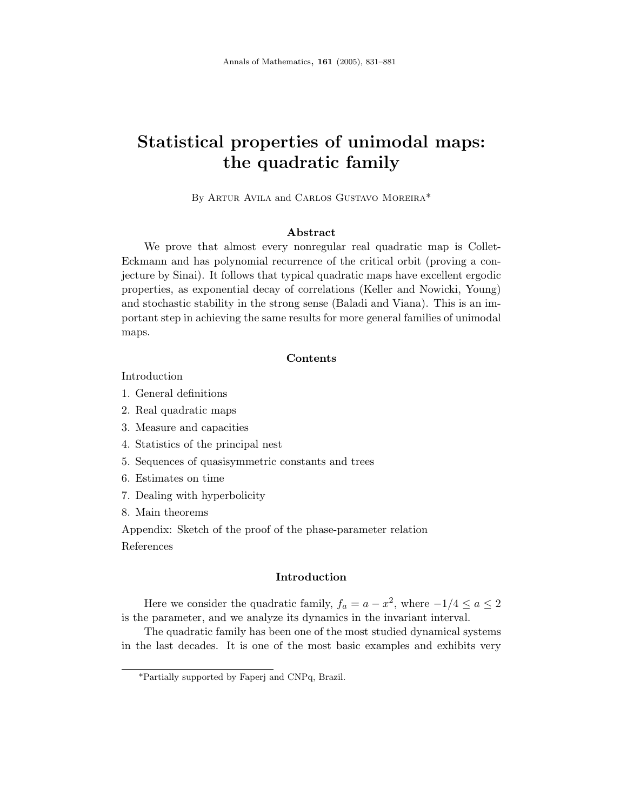# **Statistical properties of unimodal maps: the quadratic family**

By Artur Avila and Carlos Gustavo Moreira\*

## **Abstract**

We prove that almost every nonregular real quadratic map is Collet-Eckmann and has polynomial recurrence of the critical orbit (proving a conjecture by Sinai). It follows that typical quadratic maps have excellent ergodic properties, as exponential decay of correlations (Keller and Nowicki, Young) and stochastic stability in the strong sense (Baladi and Viana). This is an important step in achieving the same results for more general families of unimodal maps.

#### **Contents**

# Introduction

- 1. General definitions
- 2. Real quadratic maps
- 3. Measure and capacities
- 4. Statistics of the principal nest
- 5. Sequences of quasisymmetric constants and trees
- 6. Estimates on time
- 7. Dealing with hyperbolicity
- 8. Main theorems

Appendix: Sketch of the proof of the phase-parameter relation References

#### **Introduction**

Here we consider the quadratic family,  $f_a = a - x^2$ , where  $-1/4 \le a \le 2$ is the parameter, and we analyze its dynamics in the invariant interval.

The quadratic family has been one of the most studied dynamical systems in the last decades. It is one of the most basic examples and exhibits very

<sup>\*</sup>Partially supported by Faperj and CNPq, Brazil.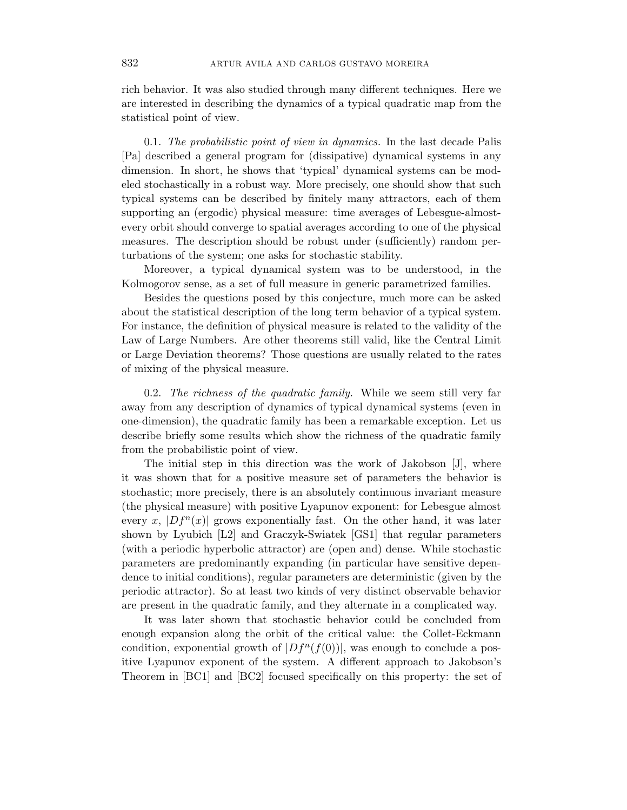rich behavior. It was also studied through many different techniques. Here we are interested in describing the dynamics of a typical quadratic map from the statistical point of view.

0.1. The probabilistic point of view in dynamics. In the last decade Palis [Pa] described a general program for (dissipative) dynamical systems in any dimension. In short, he shows that 'typical' dynamical systems can be modeled stochastically in a robust way. More precisely, one should show that such typical systems can be described by finitely many attractors, each of them supporting an (ergodic) physical measure: time averages of Lebesgue-almostevery orbit should converge to spatial averages according to one of the physical measures. The description should be robust under (sufficiently) random perturbations of the system; one asks for stochastic stability.

Moreover, a typical dynamical system was to be understood, in the Kolmogorov sense, as a set of full measure in generic parametrized families.

Besides the questions posed by this conjecture, much more can be asked about the statistical description of the long term behavior of a typical system. For instance, the definition of physical measure is related to the validity of the Law of Large Numbers. Are other theorems still valid, like the Central Limit or Large Deviation theorems? Those questions are usually related to the rates of mixing of the physical measure.

0.2. The richness of the quadratic family. While we seem still very far away from any description of dynamics of typical dynamical systems (even in one-dimension), the quadratic family has been a remarkable exception. Let us describe briefly some results which show the richness of the quadratic family from the probabilistic point of view.

The initial step in this direction was the work of Jakobson [J], where it was shown that for a positive measure set of parameters the behavior is stochastic; more precisely, there is an absolutely continuous invariant measure (the physical measure) with positive Lyapunov exponent: for Lebesgue almost every x,  $|Df^{n}(x)|$  grows exponentially fast. On the other hand, it was later shown by Lyubich [L2] and Graczyk-Swiatek [GS1] that regular parameters (with a periodic hyperbolic attractor) are (open and) dense. While stochastic parameters are predominantly expanding (in particular have sensitive dependence to initial conditions), regular parameters are deterministic (given by the periodic attractor). So at least two kinds of very distinct observable behavior are present in the quadratic family, and they alternate in a complicated way.

It was later shown that stochastic behavior could be concluded from enough expansion along the orbit of the critical value: the Collet-Eckmann condition, exponential growth of  $|Df^n(f(0))|$ , was enough to conclude a positive Lyapunov exponent of the system. A different approach to Jakobson's Theorem in [BC1] and [BC2] focused specifically on this property: the set of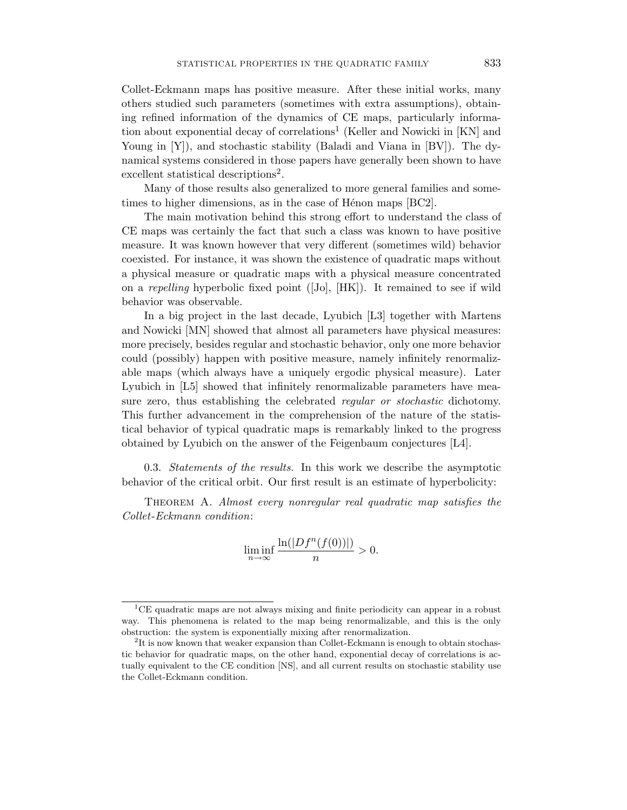Collet-Eckmann maps has positive measure. After these initial works, many others studied such parameters (sometimes with extra assumptions), obtaining refined information of the dynamics of CE maps, particularly information about exponential decay of correlations<sup>1</sup> (Keller and Nowicki in  $[KN]$  and Young in [Y]), and stochastic stability (Baladi and Viana in [BV]). The dynamical systems considered in those papers have generally been shown to have excellent statistical descriptions<sup>2</sup>.

Many of those results also generalized to more general families and sometimes to higher dimensions, as in the case of Hénon maps  $[BC2]$ .

The main motivation behind this strong effort to understand the class of CE maps was certainly the fact that such a class was known to have positive measure. It was known however that very different (sometimes wild) behavior coexisted. For instance, it was shown the existence of quadratic maps without a physical measure or quadratic maps with a physical measure concentrated on a repelling hyperbolic fixed point ([Jo], [HK]). It remained to see if wild behavior was observable.

In a big project in the last decade, Lyubich [L3] together with Martens and Nowicki [MN] showed that almost all parameters have physical measures: more precisely, besides regular and stochastic behavior, only one more behavior could (possibly) happen with positive measure, namely infinitely renormalizable maps (which always have a uniquely ergodic physical measure). Later Lyubich in [L5] showed that infinitely renormalizable parameters have measure zero, thus establishing the celebrated *regular or stochastic* dichotomy. This further advancement in the comprehension of the nature of the statistical behavior of typical quadratic maps is remarkably linked to the progress obtained by Lyubich on the answer of the Feigenbaum conjectures [L4].

0.3. *Statements of the results*. In this work we describe the asymptotic behavior of the critical orbit. Our first result is an estimate of hyperbolicity:

THEOREM A. Almost every nonregular real quadratic map satisfies the Collet-Eckmann condition:

$$
\liminf_{n \to \infty} \frac{\ln(|Df^n(f(0))|)}{n} > 0.
$$

<sup>1</sup>CE quadratic maps are not always mixing and finite periodicity can appear in a robust way. This phenomena is related to the map being renormalizable, and this is the only obstruction: the system is exponentially mixing after renormalization.

 $2$ It is now known that weaker expansion than Collet-Eckmann is enough to obtain stochastic behavior for quadratic maps, on the other hand, exponential decay of correlations is actually equivalent to the CE condition [NS], and all current results on stochastic stability use the Collet-Eckmann condition.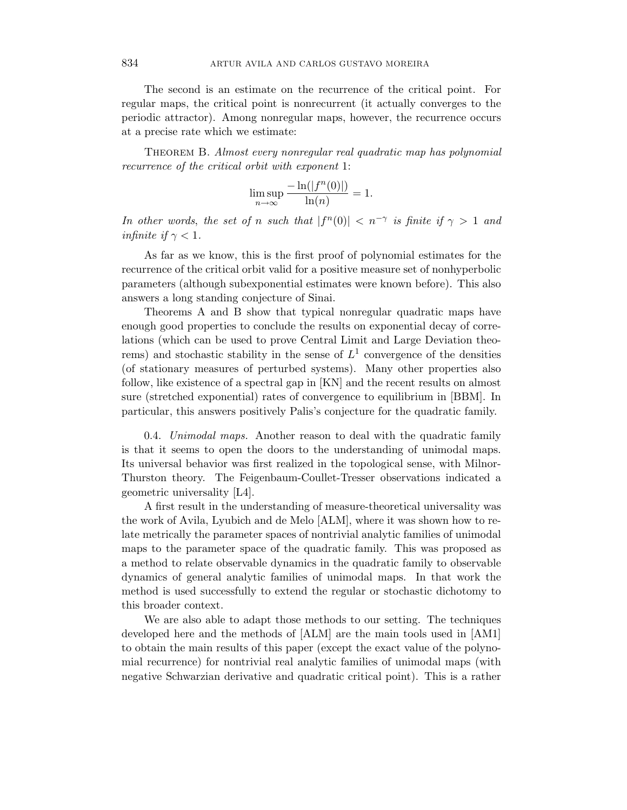The second is an estimate on the recurrence of the critical point. For regular maps, the critical point is nonrecurrent (it actually converges to the periodic attractor). Among nonregular maps, however, the recurrence occurs at a precise rate which we estimate:

THEOREM B. Almost every nonregular real quadratic map has polynomial recurrence of the critical orbit with exponent 1:

$$
\limsup_{n \to \infty} \frac{-\ln(|f^n(0)|)}{\ln(n)} = 1.
$$

In other words, the set of *n* such that  $|f^{n}(0)| < n^{-\gamma}$  is finite if  $\gamma > 1$  and infinite if  $\gamma < 1$ .

As far as we know, this is the first proof of polynomial estimates for the recurrence of the critical orbit valid for a positive measure set of nonhyperbolic parameters (although subexponential estimates were known before). This also answers a long standing conjecture of Sinai.

Theorems A and B show that typical nonregular quadratic maps have enough good properties to conclude the results on exponential decay of correlations (which can be used to prove Central Limit and Large Deviation theorems) and stochastic stability in the sense of  $L<sup>1</sup>$  convergence of the densities (of stationary measures of perturbed systems). Many other properties also follow, like existence of a spectral gap in [KN] and the recent results on almost sure (stretched exponential) rates of convergence to equilibrium in [BBM]. In particular, this answers positively Palis's conjecture for the quadratic family.

0.4. Unimodal maps. Another reason to deal with the quadratic family is that it seems to open the doors to the understanding of unimodal maps. Its universal behavior was first realized in the topological sense, with Milnor-Thurston theory. The Feigenbaum-Coullet-Tresser observations indicated a geometric universality [L4].

A first result in the understanding of measure-theoretical universality was the work of Avila, Lyubich and de Melo [ALM], where it was shown how to relate metrically the parameter spaces of nontrivial analytic families of unimodal maps to the parameter space of the quadratic family. This was proposed as a method to relate observable dynamics in the quadratic family to observable dynamics of general analytic families of unimodal maps. In that work the method is used successfully to extend the regular or stochastic dichotomy to this broader context.

We are also able to adapt those methods to our setting. The techniques developed here and the methods of [ALM] are the main tools used in [AM1] to obtain the main results of this paper (except the exact value of the polynomial recurrence) for nontrivial real analytic families of unimodal maps (with negative Schwarzian derivative and quadratic critical point). This is a rather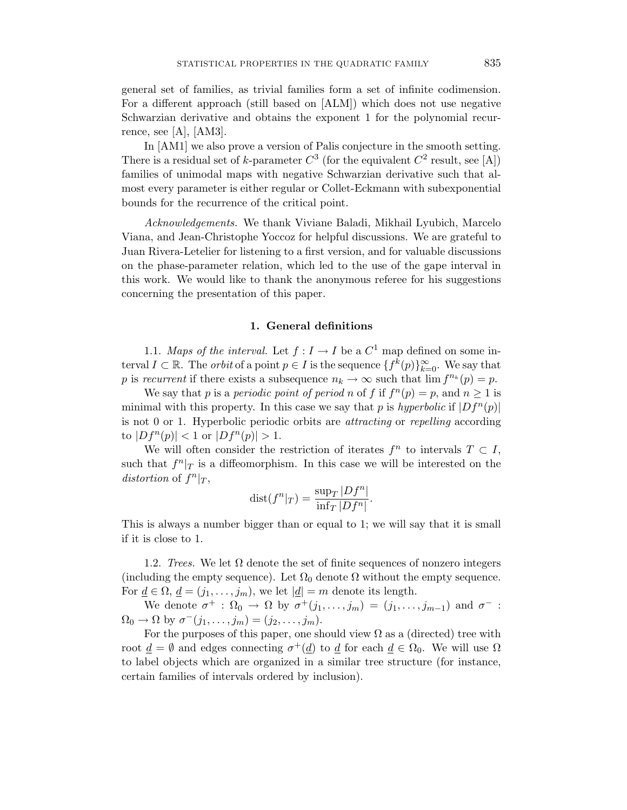general set of families, as trivial families form a set of infinite codimension. For a different approach (still based on [ALM]) which does not use negative Schwarzian derivative and obtains the exponent 1 for the polynomial recurrence, see [A], [AM3].

In [AM1] we also prove a version of Palis conjecture in the smooth setting. There is a residual set of *k*-parameter  $C^3$  (for the equivalent  $C^2$  result, see [A]) families of unimodal maps with negative Schwarzian derivative such that almost every parameter is either regular or Collet-Eckmann with subexponential bounds for the recurrence of the critical point.

Acknowledgements. We thank Viviane Baladi, Mikhail Lyubich, Marcelo Viana, and Jean-Christophe Yoccoz for helpful discussions. We are grateful to Juan Rivera-Letelier for listening to a first version, and for valuable discussions on the phase-parameter relation, which led to the use of the gape interval in this work. We would like to thank the anonymous referee for his suggestions concerning the presentation of this paper.

## **1. General definitions**

1.1. Maps of the interval. Let  $f: I \to I$  be a  $C^1$  map defined on some interval  $I \subset \mathbb{R}$ . The *orbit* of a point  $p \in I$  is the sequence  $\{f^k(p)\}_{k=0}^{\infty}$ . We say that *p* is recurrent if there exists a subsequence  $n_k \to \infty$  such that  $\lim f^{n_k}(p) = p$ .

We say that *p* is a *periodic point of period <i>n* of *f* if  $f^{n}(p) = p$ , and  $n \ge 1$  is minimal with this property. In this case we say that *p* is hyperbolic if  $|Df^n(p)|$ is not 0 or 1. Hyperbolic periodic orbits are attracting or repelling according to  $|Df^{n}(p)| < 1$  or  $|Df^{n}(p)| > 1$ .

We will often consider the restriction of iterates  $f^n$  to intervals  $T \subset I$ , such that  $f^{n}|_{T}$  is a diffeomorphism. In this case we will be interested on the distortion of  $f^n|_T$ ,

$$
dist(f^n|_T) = \frac{\sup_T |Df^n|}{\inf_T |Df^n|}.
$$

This is always a number bigger than or equal to 1; we will say that it is small if it is close to 1.

1.2. Trees. We let  $\Omega$  denote the set of finite sequences of nonzero integers (including the empty sequence). Let  $\Omega_0$  denote  $\Omega$  without the empty sequence. For  $\underline{d} \in \Omega$ ,  $\underline{d} = (j_1, \ldots, j_m)$ , we let  $|\underline{d}| = m$  denote its length.

We denote  $\sigma^+$ :  $\Omega_0 \to \Omega$  by  $\sigma^+(j_1,\ldots,j_m)=(j_1,\ldots,j_{m-1})$  and  $\sigma^-$ :  $\Omega_0 \to \Omega$  by  $\sigma^{-}(j_1,\ldots,j_m)=(j_2,\ldots,j_m).$ 

For the purposes of this paper, one should view  $\Omega$  as a (directed) tree with root  $\underline{d} = \emptyset$  and edges connecting  $\sigma^+(\underline{d})$  to  $\underline{d}$  for each  $\underline{d} \in \Omega_0$ . We will use  $\Omega$ to label objects which are organized in a similar tree structure (for instance, certain families of intervals ordered by inclusion).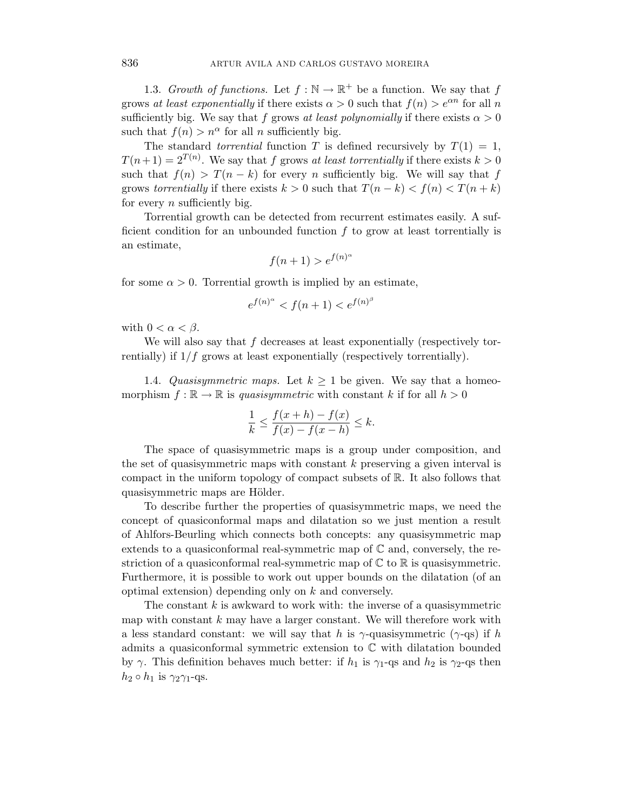1.3. Growth of functions. Let  $f : \mathbb{N} \to \mathbb{R}^+$  be a function. We say that f grows at least exponentially if there exists  $\alpha > 0$  such that  $f(n) > e^{\alpha n}$  for all *n* sufficiently big. We say that *f* grows at least polynomially if there exists  $\alpha > 0$ such that  $f(n) > n^{\alpha}$  for all *n* sufficiently big.

The standard *torrential* function *T* is defined recursively by  $T(1) = 1$ ,  $T(n+1) = 2^{T(n)}$ . We say that *f* grows at least torrentially if there exists  $k > 0$ such that  $f(n) > T(n - k)$  for every *n* sufficiently big. We will say that *f* grows torrentially if there exists  $k > 0$  such that  $T(n - k) < f(n) < T(n + k)$ for every *n* sufficiently big.

Torrential growth can be detected from recurrent estimates easily. A sufficient condition for an unbounded function *f* to grow at least torrentially is an estimate,

$$
f(n+1) > e^{f(n)^{\alpha}}
$$

for some  $\alpha > 0$ . Torrential growth is implied by an estimate,

$$
e^{f(n)^{\alpha}} < f(n+1) < e^{f(n)^{\beta}}
$$

with  $0 < \alpha < \beta$ .

We will also say that *f* decreases at least exponentially (respectively torrentially) if  $1/f$  grows at least exponentially (respectively torrentially).

1.4. Quasisymmetric maps. Let  $k \geq 1$  be given. We say that a homeomorphism  $f : \mathbb{R} \to \mathbb{R}$  is quasisymmetric with constant k if for all  $h > 0$ 

$$
\frac{1}{k} \le \frac{f(x+h) - f(x)}{f(x) - f(x-h)} \le k.
$$

The space of quasisymmetric maps is a group under composition, and the set of quasisymmetric maps with constant *k* preserving a given interval is compact in the uniform topology of compact subsets of R. It also follows that quasisymmetric maps are Hölder.

To describe further the properties of quasisymmetric maps, we need the concept of quasiconformal maps and dilatation so we just mention a result of Ahlfors-Beurling which connects both concepts: any quasisymmetric map extends to a quasiconformal real-symmetric map of  $\mathbb C$  and, conversely, the restriction of a quasiconformal real-symmetric map of  $\mathbb C$  to  $\mathbb R$  is quasisymmetric. Furthermore, it is possible to work out upper bounds on the dilatation (of an optimal extension) depending only on *k* and conversely.

The constant *k* is awkward to work with: the inverse of a quasisymmetric map with constant *k* may have a larger constant. We will therefore work with a less standard constant: we will say that *h* is *γ*-quasisymmetric (*γ*-qs) if *h* admits a quasiconformal symmetric extension to  $\mathbb C$  with dilatation bounded by  $\gamma$ . This definition behaves much better: if  $h_1$  is  $\gamma_1$ -qs and  $h_2$  is  $\gamma_2$ -qs then  $h_2 \circ h_1$  is  $\gamma_2 \gamma_1$ -qs.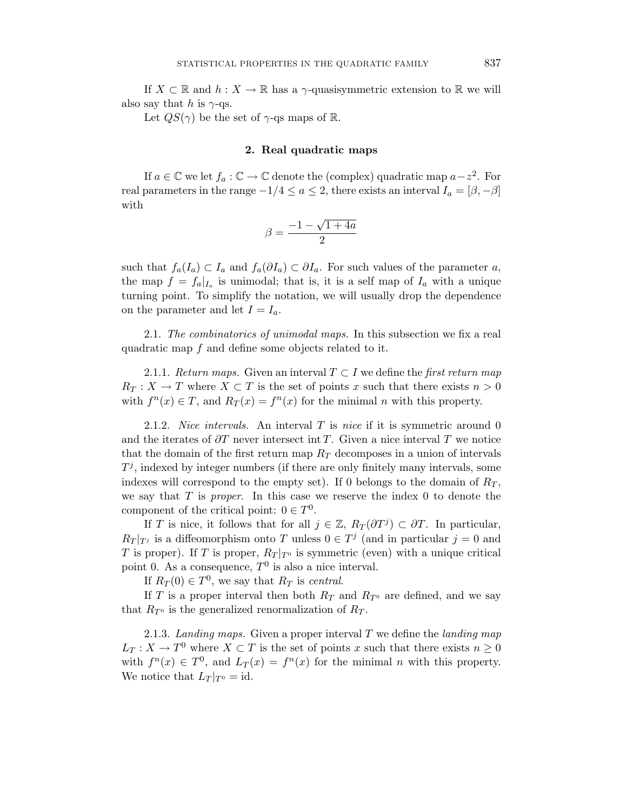If  $X \subset \mathbb{R}$  and  $h: X \to \mathbb{R}$  has a  $\gamma$ -quasisymmetric extension to  $\mathbb{R}$  we will also say that *h* is  $\gamma$ -qs.

Let  $QS(\gamma)$  be the set of  $\gamma$ -qs maps of R.

## **2. Real quadratic maps**

If *a* ∈  $\mathbb C$  we let  $f_a$  :  $\mathbb C$  →  $\mathbb C$  denote the (complex) quadratic map *a*−*z*<sup>2</sup>. For real parameters in the range  $-1/4 \le a \le 2$ , there exists an interval  $I_a = [\beta, -\beta]$ with

$$
\beta = \frac{-1 - \sqrt{1 + 4a}}{2}
$$

such that  $f_a(I_a) \subset I_a$  and  $f_a(\partial I_a) \subset \partial I_a$ . For such values of the parameter a, the map  $f = f_a|_{I_a}$  is unimodal; that is, it is a self map of  $I_a$  with a unique turning point. To simplify the notation, we will usually drop the dependence on the parameter and let  $I = I_a$ .

2.1. The combinatorics of unimodal maps. In this subsection we fix a real quadratic map *f* and define some objects related to it.

2.1.1. Return maps. Given an interval  $T \subset I$  we define the first return map  $R_T: X \to T$  where  $X \subset T$  is the set of points *x* such that there exists  $n > 0$ with  $f^{n}(x) \in T$ , and  $R_{T}(x) = f^{n}(x)$  for the minimal *n* with this property.

2.1.2. Nice intervals. An interval *T* is nice if it is symmetric around 0 and the iterates of *∂T* never intersect int *T*. Given a nice interval *T* we notice that the domain of the first return map  $R_T$  decomposes in a union of intervals  $T<sup>j</sup>$ , indexed by integer numbers (if there are only finitely many intervals, some indexes will correspond to the empty set). If 0 belongs to the domain of  $R_T$ , we say that *T* is proper. In this case we reserve the index 0 to denote the component of the critical point:  $0 \in T^0$ .

If *T* is nice, it follows that for all  $j \in \mathbb{Z}$ ,  $R_T(\partial T^j) \subset \partial T$ . In particular,  $R_T |_{T_j}$  is a diffeomorphism onto *T* unless  $0 \in T_j$  (and in particular  $j = 0$  and *T* is proper). If *T* is proper,  $R_T |_{T^0}$  is symmetric (even) with a unique critical point 0. As a consequence,  $T^0$  is also a nice interval.

If  $R_T(0) \in T^0$ , we say that  $R_T$  is central.

If *T* is a proper interval then both  $R_T$  and  $R_{T}$  are defined, and we say that  $R_{T^0}$  is the generalized renormalization of  $R_T$ .

2.1.3. Landing maps. Given a proper interval *T* we define the landing map  $L_T: X \to T^0$  where  $X \subset T$  is the set of points *x* such that there exists  $n \geq 0$ with  $f^{n}(x) \in T^{0}$ , and  $L_{T}(x) = f^{n}(x)$  for the minimal *n* with this property. We notice that  $L_T |_{T^0} = id$ .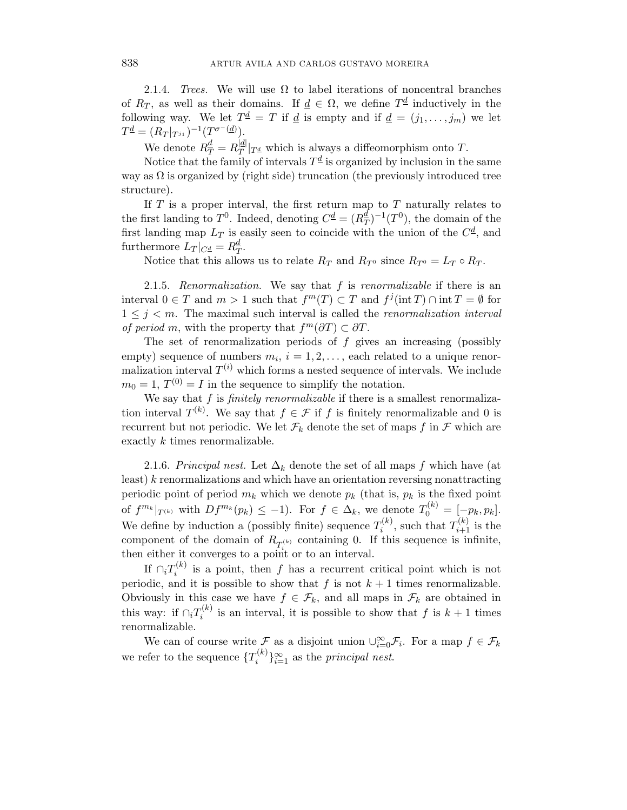2.1.4. Trees. We will use  $\Omega$  to label iterations of noncentral branches of  $R_T$ , as well as their domains. If  $d \in \Omega$ , we define  $T^d$  inductively in the following way. We let  $T^{\underline{d}} = T$  if <u>d</u> is empty and if  $\underline{d} = (j_1, \ldots, j_m)$  we let  $T^{\underline{d}} = (R_T |_{T^{j_1}})^{-1}(T^{\sigma^{-}(\underline{d})}).$ 

We denote  $R_T^{\underline{d}} = R_T^{\underline{d}}|_{T^{\underline{d}}}$  which is always a diffeomorphism onto *T*.

Notice that the family of intervals  $T^{\underline{d}}$  is organized by inclusion in the same way as  $\Omega$  is organized by (right side) truncation (the previously introduced tree structure).

If *T* is a proper interval, the first return map to *T* naturally relates to the first landing to  $T^0$ . Indeed, denoting  $C^{\underline{d}} = (R^{\underline{d}}_T)^{-1}(T^0)$ , the domain of the first landing map  $L_T$  is easily seen to coincide with the union of the  $C^{\underline{d}}$ , and furthermore  $L_T|_{C^{\underline{d}}} = R_T^{\underline{d}}$ .

Notice that this allows us to relate  $R_T$  and  $R_{T^0}$  since  $R_{T^0} = L_T \circ R_T$ .

2.1.5. Renormalization. We say that *f* is renormalizable if there is an interval  $0 \in T$  and  $m > 1$  such that  $f^m(T) \subset T$  and  $f^j(\text{int } T) \cap \text{int } T = \emptyset$  for  $1 \leq j \leq m$ . The maximal such interval is called the *renormalization interval of period m*, with the property that  $f^m(\partial T) \subset \partial T$ .

The set of renormalization periods of *f* gives an increasing (possibly empty) sequence of numbers  $m_i$ ,  $i = 1, 2, \ldots$ , each related to a unique renormalization interval  $T^{(i)}$  which forms a nested sequence of intervals. We include  $m_0 = 1$ ,  $T^{(0)} = I$  in the sequence to simplify the notation.

We say that *f* is *finitely renormalizable* if there is a smallest renormalization interval  $T^{(k)}$ . We say that  $f \in \mathcal{F}$  if *f* is finitely renormalizable and 0 is recurrent but not periodic. We let  $\mathcal{F}_k$  denote the set of maps  $f$  in  $\mathcal F$  which are exactly *k* times renormalizable.

2.1.6. Principal nest. Let  $\Delta_k$  denote the set of all maps f which have (at least) *k* renormalizations and which have an orientation reversing nonattracting periodic point of period  $m_k$  which we denote  $p_k$  (that is,  $p_k$  is the fixed point of  $f^{m_k}|_{T^{(k)}}$  with  $Df^{m_k}(p_k) \leq -1$ ). For  $f \in \Delta_k$ , we denote  $T_0^{(k)} = [-p_k, p_k]$ . We define by induction a (possibly finite) sequence  $T_i^{(k)}$ , such that  $T_{i+1}^{(k)}$  is the component of the domain of  $R_{T_i^{(k)}}$  containing 0. If this sequence is infinite, then either it converges to a point or to an interval.

If  $\bigcap_i T_i^{(k)}$  is a point, then *f* has a recurrent critical point which is not periodic, and it is possible to show that  $f$  is not  $k+1$  times renormalizable. Obviously in this case we have  $f \in \mathcal{F}_k$ , and all maps in  $\mathcal{F}_k$  are obtained in this way: if  $\bigcap_i T_i^{(k)}$  is an interval, it is possible to show that *f* is  $k+1$  times renormalizable.

We can of course write  $\mathcal F$  as a disjoint union  $\cup_{i=0}^{\infty} \mathcal F_i$ . For a map  $f \in \mathcal F_k$ we refer to the sequence  $\{T_i^{(k)}\}_{i=1}^{\infty}$  as the *principal nest*.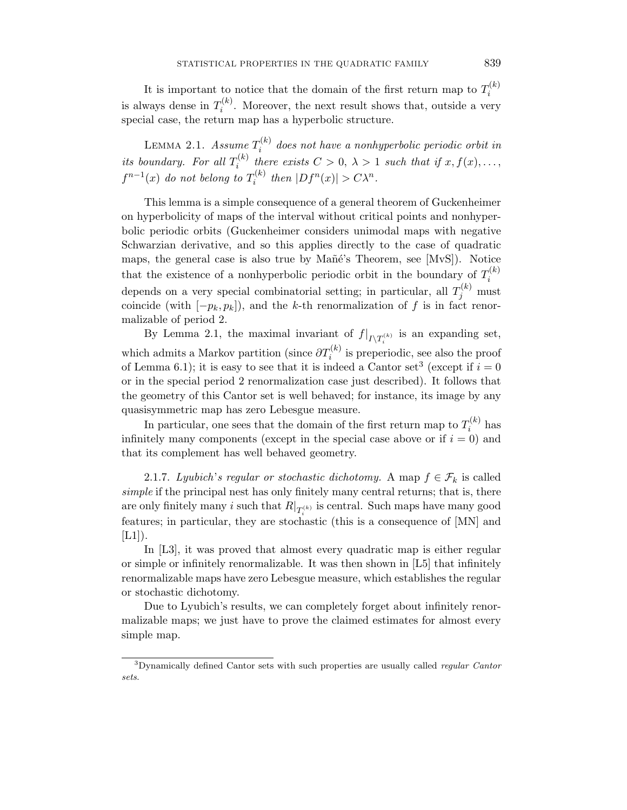It is important to notice that the domain of the first return map to  $T_i^{(k)}$ is always dense in  $T_i^{(k)}$ . Moreover, the next result shows that, outside a very special case, the return map has a hyperbolic structure.

LEMMA 2.1. Assume  $T_i^{(k)}$  does not have a nonhyperbolic periodic orbit in its boundary. For all  $T_i^{(k)}$  there exists  $C > 0$ ,  $\lambda > 1$  such that if  $x, f(x), \ldots$ ,  $f^{n-1}(x)$  do not belong to  $T_i^{(k)}$  then  $|Df^n(x)| > C\lambda^n$ .

This lemma is a simple consequence of a general theorem of Guckenheimer on hyperbolicity of maps of the interval without critical points and nonhyperbolic periodic orbits (Guckenheimer considers unimodal maps with negative Schwarzian derivative, and so this applies directly to the case of quadratic maps, the general case is also true by Mañé's Theorem, see [MvS]). Notice that the existence of a nonhyperbolic periodic orbit in the boundary of  $T_i^{(k)}$ depends on a very special combinatorial setting; in particular, all  $T_j^{(k)}$  must coincide (with  $[-p_k, p_k]$ ), and the *k*-th renormalization of *f* is in fact renormalizable of period 2.

By Lemma 2.1, the maximal invariant of  $f|_{I\setminus T_i^{(k)}}$  is an expanding set, which admits a Markov partition (since  $\partial T_i^{(k)}$  is preperiodic, see also the proof of Lemma 6.1); it is easy to see that it is indeed a Cantor set<sup>3</sup> (except if  $i = 0$ ) or in the special period 2 renormalization case just described). It follows that the geometry of this Cantor set is well behaved; for instance, its image by any quasisymmetric map has zero Lebesgue measure.

In particular, one sees that the domain of the first return map to  $T_i^{(k)}$  has infinitely many components (except in the special case above or if  $i = 0$ ) and that its complement has well behaved geometry.

2.1.7. Lyubich's regular or stochastic dichotomy. A map  $f \in \mathcal{F}_k$  is called simple if the principal nest has only finitely many central returns; that is, there are only finitely many *i* such that  $R|_{T_i^{(k)}}$  is central. Such maps have many good features; in particular, they are stochastic (this is a consequence of [MN] and  $[L1]$ .

In [L3], it was proved that almost every quadratic map is either regular or simple or infinitely renormalizable. It was then shown in [L5] that infinitely renormalizable maps have zero Lebesgue measure, which establishes the regular or stochastic dichotomy.

Due to Lyubich's results, we can completely forget about infinitely renormalizable maps; we just have to prove the claimed estimates for almost every simple map.

<sup>3</sup>Dynamically defined Cantor sets with such properties are usually called *regular Cantor sets*.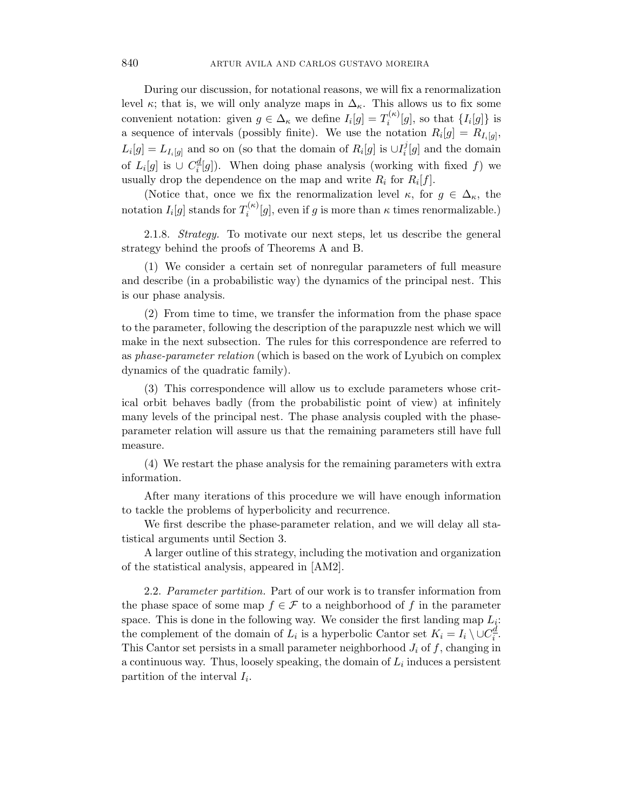During our discussion, for notational reasons, we will fix a renormalization level  $\kappa$ ; that is, we will only analyze maps in  $\Delta_{\kappa}$ . This allows us to fix some convenient notation: given  $g \in \Delta_{\kappa}$  we define  $I_i[g] = T_i^{(\kappa)}[g]$ , so that  $\{I_i[g]\}$  is a sequence of intervals (possibly finite). We use the notation  $R_i[g] = R_{I_i[g]}$ ,  $L_i[g] = L_{I_i[g]}$  and so on (so that the domain of  $R_i[g]$  is  $\cup I_i^j[g]$  and the domain of  $L_i[g]$  is  $\cup C_i^{\underline{d}}[g]$ ). When doing phase analysis (working with fixed *f*) we usually drop the dependence on the map and write  $R_i$  for  $R_i[f]$ .

(Notice that, once we fix the renormalization level  $\kappa$ , for  $g \in \Delta_{\kappa}$ , the notation  $I_i[g]$  stands for  $T_i^{(\kappa)}[g]$ , even if *g* is more than  $\kappa$  times renormalizable.)

2.1.8. Strategy. To motivate our next steps, let us describe the general strategy behind the proofs of Theorems A and B.

(1) We consider a certain set of nonregular parameters of full measure and describe (in a probabilistic way) the dynamics of the principal nest. This is our phase analysis.

(2) From time to time, we transfer the information from the phase space to the parameter, following the description of the parapuzzle nest which we will make in the next subsection. The rules for this correspondence are referred to as phase-parameter relation (which is based on the work of Lyubich on complex dynamics of the quadratic family).

(3) This correspondence will allow us to exclude parameters whose critical orbit behaves badly (from the probabilistic point of view) at infinitely many levels of the principal nest. The phase analysis coupled with the phaseparameter relation will assure us that the remaining parameters still have full measure.

(4) We restart the phase analysis for the remaining parameters with extra information.

After many iterations of this procedure we will have enough information to tackle the problems of hyperbolicity and recurrence.

We first describe the phase-parameter relation, and we will delay all statistical arguments until Section 3.

A larger outline of this strategy, including the motivation and organization of the statistical analysis, appeared in [AM2].

2.2. Parameter partition. Part of our work is to transfer information from the phase space of some map  $f \in \mathcal{F}$  to a neighborhood of f in the parameter space. This is done in the following way. We consider the first landing map *L*i: the complement of the domain of  $L_i$  is a hyperbolic Cantor set  $K_i = I_i \setminus \cup C_i^{\underline{d}}$ . This Cantor set persists in a small parameter neighborhood *J*<sup>i</sup> of *f*, changing in a continuous way. Thus, loosely speaking, the domain of  $L<sub>i</sub>$  induces a persistent partition of the interval  $I_i$ .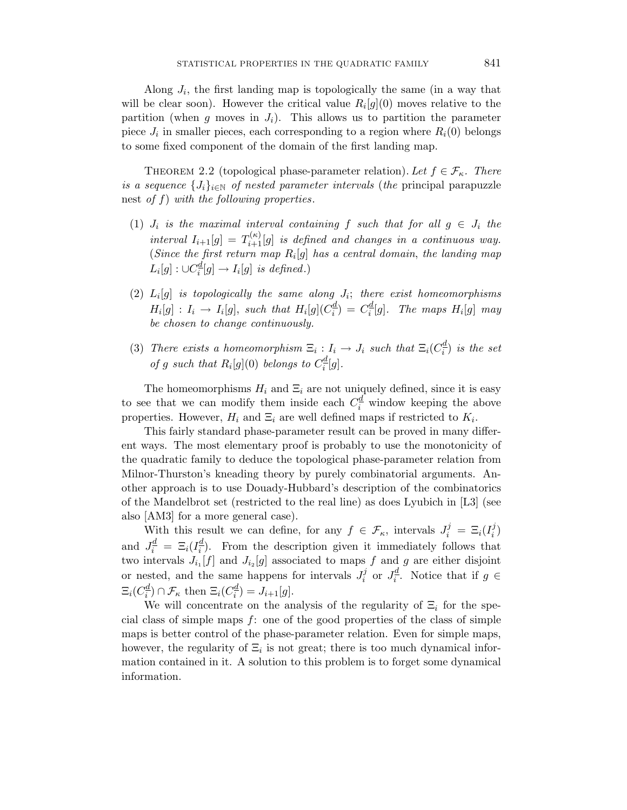Along  $J_i$ , the first landing map is topologically the same (in a way that will be clear soon). However the critical value  $R_i[g](0)$  moves relative to the partition (when  $g$  moves in  $J_i$ ). This allows us to partition the parameter piece  $J_i$  in smaller pieces, each corresponding to a region where  $R_i(0)$  belongs to some fixed component of the domain of the first landing map.

THEOREM 2.2 (topological phase-parameter relation). Let  $f \in \mathcal{F}_{\kappa}$ . There is a sequence  $\{J_i\}_{i\in\mathbb{N}}$  of nested parameter intervals (the principal parapuzzle nest of *f*) with the following properties.

- (1)  $J_i$  is the maximal interval containing  $f$  such that for all  $g \in J_i$  the interval  $I_{i+1}[g] = T_{i+1}^{(\kappa)}[g]$  is defined and changes in a continuous way. (Since the first return map  $R_i[g]$  has a central domain, the landing map  $L_i[g]: \cup C_i^{\underline{d}}[g] \rightarrow I_i[g]$  is defined.)
- (2)  $L_i[g]$  is topologically the same along  $J_i$ ; there exist homeomorphisms  $H_i[g]$  :  $I_i \rightarrow I_i[g]$ , such that  $H_i[g](C_i^{\underline{d}}) = C_i^{\underline{d}}[g]$ . The maps  $H_i[g]$  may be chosen to change continuously.
- (3) There exists a homeomorphism  $\Xi_i : I_i \to J_i$  such that  $\Xi_i(C_i^d)$  is the set of *g* such that  $R_i[g](0)$  belongs to  $C_i^{\underline{d}}[g]$ .

The homeomorphisms  $H_i$  and  $\Xi_i$  are not uniquely defined, since it is easy to see that we can modify them inside each  $C_i^{\underline{d}}$  window keeping the above properties. However,  $H_i$  and  $\Xi_i$  are well defined maps if restricted to  $K_i$ .

This fairly standard phase-parameter result can be proved in many different ways. The most elementary proof is probably to use the monotonicity of the quadratic family to deduce the topological phase-parameter relation from Milnor-Thurston's kneading theory by purely combinatorial arguments. Another approach is to use Douady-Hubbard's description of the combinatorics of the Mandelbrot set (restricted to the real line) as does Lyubich in [L3] (see also [AM3] for a more general case).

With this result we can define, for any  $f \in \mathcal{F}_{\kappa}$ , intervals  $J_i^j = \Xi_i(I_i^j)$ and  $J_i^{\underline{d}} = \Xi_i(I_i^{\underline{d}})$ . From the description given it immediately follows that two intervals  $J_{i_1}[f]$  and  $J_{i_2}[g]$  associated to maps f and g are either disjoint or nested, and the same happens for intervals  $J_i^j$  or  $J_i^{\underline{d}}$ . Notice that if  $g \in$  $\Xi_i(C_i^{\underline{d}}) \cap \mathcal{F}_\kappa$  then  $\Xi_i(C_i^{\underline{d}}) = J_{i+1}[g].$ 

We will concentrate on the analysis of the regularity of  $\Xi_i$  for the special class of simple maps *f*: one of the good properties of the class of simple maps is better control of the phase-parameter relation. Even for simple maps, however, the regularity of  $\Xi_i$  is not great; there is too much dynamical information contained in it. A solution to this problem is to forget some dynamical information.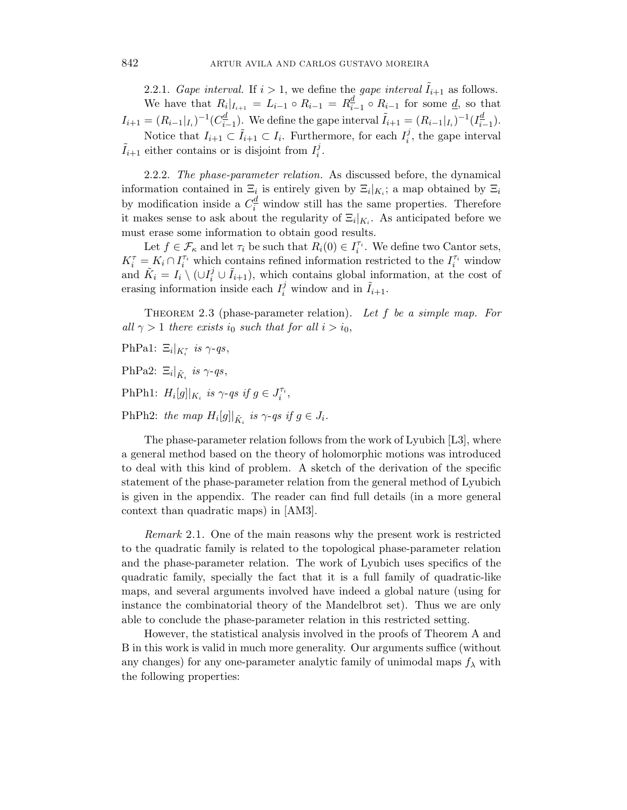2.2.1. Gape interval. If  $i > 1$ , we define the gape interval  $I_{i+1}$  as follows. We have that  $R_i|_{I_{i+1}} = L_{i-1} \circ R_{i-1} = R_{i-1}^d \circ R_{i-1}$  for some <u>*d*</u>, so that  $I_{i+1} = (R_{i-1}|_{I_i})^{-1}(C_{i-1}^{\underline{d}})$ . We define the gape interval  $\tilde{I}_{i+1} = (R_{i-1}|_{I_i})^{-1}(I_{i-1}^{\underline{d}})$ . Notice that  $I_{i+1} \subset \tilde{I}_{i+1} \subset I_i$ . Furthermore, for each  $I_i^j$ , the gape interval  $\tilde{I}_{i+1}$  either contains or is disjoint from  $I_i^j$ .

2.2.2. The phase-parameter relation. As discussed before, the dynamical information contained in  $\Xi_i$  is entirely given by  $\Xi_i|_{K_i}$ ; a map obtained by  $\Xi_i$ by modification inside a  $C_i^{\underline{d}}$  window still has the same properties. Therefore it makes sense to ask about the regularity of  $\Xi_i|_{K_i}$ . As anticipated before we must erase some information to obtain good results.

Let  $f \in \mathcal{F}_\kappa$  and let  $\tau_i$  be such that  $R_i(0) \in I_i^{\tau_i}$ . We define two Cantor sets,  $K_i^{\tau} = K_i \cap I_i^{\tau_i}$  which contains refined information restricted to the  $I_i^{\tau_i}$  window and  $\tilde{K}_i = I_i \setminus (\cup I_i^j \cup \tilde{I}_{i+1}),$  which contains global information, at the cost of erasing information inside each  $I_i^j$  window and in  $\tilde{I}_{i+1}$ .

THEOREM 2.3 (phase-parameter relation). Let f be a simple map. For all  $\gamma > 1$  there exists *i*<sub>0</sub> such that for all  $i > i_0$ ,

PhPa1:  $\Xi_i|_{K_i^{\tau}}$  *is*  $\gamma$ -qs,

PhPa2:  $\Xi_i|_{\tilde{K}_i}$  *is*  $\gamma$ -qs,

PhPh1:  $H_i[g]|_{K_i}$  is  $\gamma$ -qs if  $g \in J_i^{\tau_i}$ ,

PhPh2: the map  $H_i[g]|_{\tilde{K}_i}$  is  $\gamma$ -qs if  $g \in J_i$ .

The phase-parameter relation follows from the work of Lyubich [L3], where a general method based on the theory of holomorphic motions was introduced to deal with this kind of problem. A sketch of the derivation of the specific statement of the phase-parameter relation from the general method of Lyubich is given in the appendix. The reader can find full details (in a more general context than quadratic maps) in [AM3].

Remark 2.1. One of the main reasons why the present work is restricted to the quadratic family is related to the topological phase-parameter relation and the phase-parameter relation. The work of Lyubich uses specifics of the quadratic family, specially the fact that it is a full family of quadratic-like maps, and several arguments involved have indeed a global nature (using for instance the combinatorial theory of the Mandelbrot set). Thus we are only able to conclude the phase-parameter relation in this restricted setting.

However, the statistical analysis involved in the proofs of Theorem A and B in this work is valid in much more generality. Our arguments suffice (without any changes) for any one-parameter analytic family of unimodal maps  $f_{\lambda}$  with the following properties: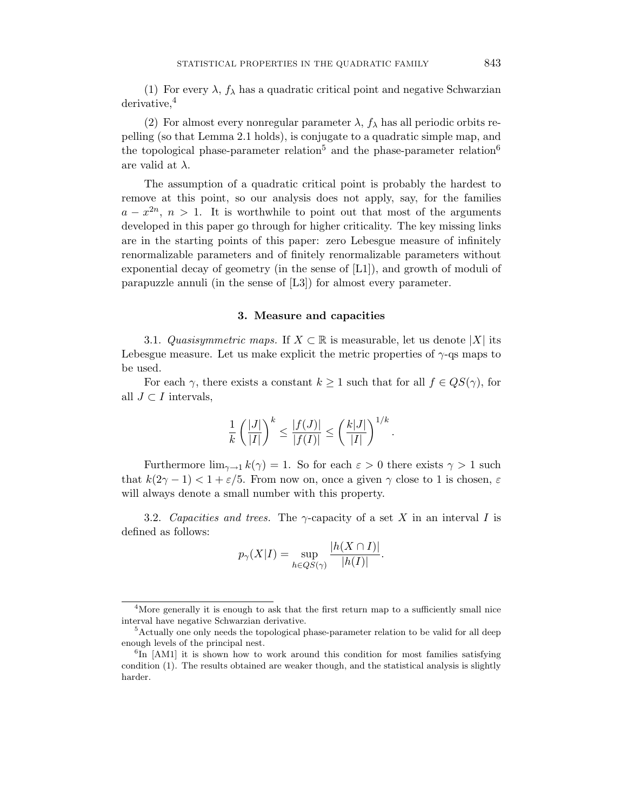(1) For every  $\lambda$ ,  $f_{\lambda}$  has a quadratic critical point and negative Schwarzian derivative,<sup>4</sup>

(2) For almost every nonregular parameter  $\lambda$ ,  $f_{\lambda}$  has all periodic orbits repelling (so that Lemma 2.1 holds), is conjugate to a quadratic simple map, and the topological phase-parameter relation<sup>5</sup> and the phase-parameter relation<sup>6</sup> are valid at *λ*.

The assumption of a quadratic critical point is probably the hardest to remove at this point, so our analysis does not apply, say, for the families  $a - x^{2n}$ ,  $n > 1$ . It is worthwhile to point out that most of the arguments developed in this paper go through for higher criticality. The key missing links are in the starting points of this paper: zero Lebesgue measure of infinitely renormalizable parameters and of finitely renormalizable parameters without exponential decay of geometry (in the sense of [L1]), and growth of moduli of parapuzzle annuli (in the sense of [L3]) for almost every parameter.

#### **3. Measure and capacities**

3.1. Quasisymmetric maps. If  $X \subset \mathbb{R}$  is measurable, let us denote  $|X|$  its Lebesgue measure. Let us make explicit the metric properties of  $\gamma$ -qs maps to be used.

For each  $\gamma$ , there exists a constant  $k \geq 1$  such that for all  $f \in QS(\gamma)$ , for all  $J ⊂ I$  intervals,

$$
\frac{1}{k}\left(\frac{|J|}{|I|}\right)^k \le \frac{|f(J)|}{|f(I)|} \le \left(\frac{k|J|}{|I|}\right)^{1/k}.
$$

Furthermore  $\lim_{\gamma \to 1} k(\gamma) = 1$ . So for each  $\varepsilon > 0$  there exists  $\gamma > 1$  such that  $k(2\gamma - 1) < 1 + \varepsilon/5$ . From now on, once a given  $\gamma$  close to 1 is chosen,  $\varepsilon$ will always denote a small number with this property.

3.2. Capacities and trees. The *γ*-capacity of a set *X* in an interval *I* is defined as follows:

$$
p_{\gamma}(X|I) = \sup_{h \in QS(\gamma)} \frac{|h(X \cap I)|}{|h(I)|}.
$$

<sup>&</sup>lt;sup>4</sup>More generally it is enough to ask that the first return map to a sufficiently small nice interval have negative Schwarzian derivative.

<sup>&</sup>lt;sup>5</sup>Actually one only needs the topological phase-parameter relation to be valid for all deep enough levels of the principal nest.

 ${}^{6}$ In [AM1] it is shown how to work around this condition for most families satisfying condition (1). The results obtained are weaker though, and the statistical analysis is slightly harder.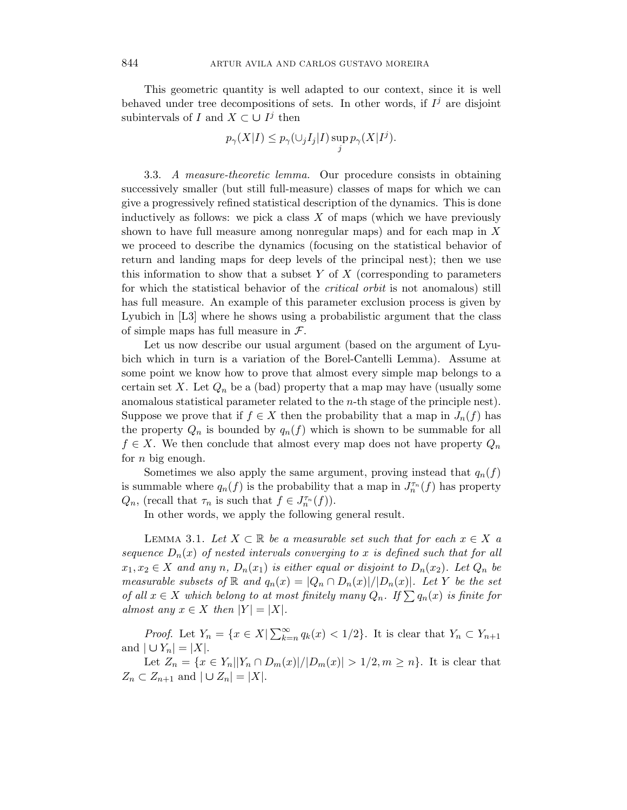This geometric quantity is well adapted to our context, since it is well behaved under tree decompositions of sets. In other words, if  $I<sup>j</sup>$  are disjoint subintervals of *I* and  $X \subset \bigcup I^j$  then

$$
p_{\gamma}(X|I) \leq p_{\gamma}(\cup_j I_j | I) \sup_j p_{\gamma}(X|I^j).
$$

3.3. A measure-theoretic lemma. Our procedure consists in obtaining successively smaller (but still full-measure) classes of maps for which we can give a progressively refined statistical description of the dynamics. This is done inductively as follows: we pick a class *X* of maps (which we have previously shown to have full measure among nonregular maps) and for each map in *X* we proceed to describe the dynamics (focusing on the statistical behavior of return and landing maps for deep levels of the principal nest); then we use this information to show that a subset *Y* of *X* (corresponding to parameters for which the statistical behavior of the critical orbit is not anomalous) still has full measure. An example of this parameter exclusion process is given by Lyubich in [L3] where he shows using a probabilistic argument that the class of simple maps has full measure in  $\mathcal{F}$ .

Let us now describe our usual argument (based on the argument of Lyubich which in turn is a variation of the Borel-Cantelli Lemma). Assume at some point we know how to prove that almost every simple map belongs to a certain set X. Let  $Q_n$  be a (bad) property that a map may have (usually some anomalous statistical parameter related to the *n*-th stage of the principle nest). Suppose we prove that if  $f \in X$  then the probability that a map in  $J_n(f)$  has the property  $Q_n$  is bounded by  $q_n(f)$  which is shown to be summable for all  $f \in X$ . We then conclude that almost every map does not have property  $Q_n$ for *n* big enough.

Sometimes we also apply the same argument, proving instead that  $q_n(f)$ is summable where  $q_n(f)$  is the probability that a map in  $J_n^{\tau_n}(f)$  has property *Q<sub>n</sub>*, (recall that  $\tau_n$  is such that  $f \in J_n^{\tau_n}(f)$ ).

In other words, we apply the following general result.

LEMMA 3.1. Let  $X \subset \mathbb{R}$  be a measurable set such that for each  $x \in X$  a sequence  $D_n(x)$  of nested intervals converging to x is defined such that for all  $x_1, x_2 \in X$  and any *n*,  $D_n(x_1)$  is either equal or disjoint to  $D_n(x_2)$ . Let  $Q_n$  be measurable subsets of  $\mathbb R$  and  $q_n(x) = |Q_n \cap D_n(x)|/|D_n(x)|$ . Let Y be the set of all  $x \in X$  which belong to at most finitely many  $Q_n$ . If  $\sum q_n(x)$  is finite for almost any  $x \in X$  then  $|Y| = |X|$ .

*Proof.* Let  $Y_n = \{x \in X | \sum_{k=n}^{\infty} q_k(x) < 1/2\}$ . It is clear that  $Y_n \subset Y_{n+1}$ and  $|U Y_n| = |X|$ .

Let  $Z_n = \{x \in Y_n | |Y_n \cap D_m(x)| / |D_m(x)| > 1/2, m \ge n\}$ . It is clear that *Z*<sub>n</sub> ⊂ *Z*<sub>n+1</sub> and  $| ∪ Z_n| = |X|$ .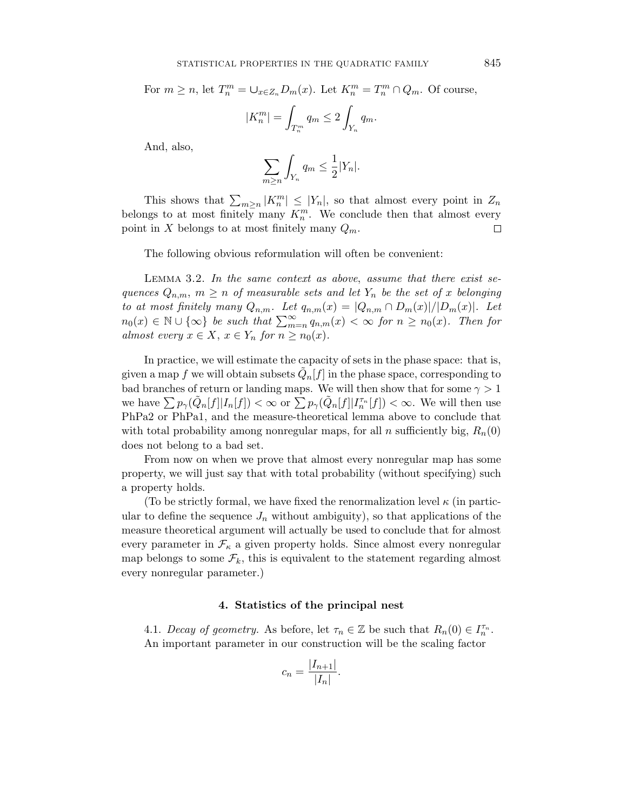For  $m \ge n$ , let  $T_n^m = \bigcup_{x \in Z_n} D_m(x)$ . Let  $K_n^m = T_n^m \cap Q_m$ . Of course,  $|K_n^m| =$  $T_n^m$  $q_m \leq 2$ i. Y*<sup>n</sup> q*m*.*

And, also,

$$
\sum_{m\geq n} \int_{Y_n} q_m \leq \frac{1}{2} |Y_n|.
$$

This shows that  $\sum_{m\geq n}|K_n^m|\leq |Y_n|$ , so that almost every point in  $Z_n$ belongs to at most finitely many  $K_n^m$ . We conclude then that almost every point in X belongs to at most finitely many  $Q_m$ . □

The following obvious reformulation will often be convenient:

LEMMA 3.2. In the same context as above, assume that there exist sequences  $Q_{n,m}$ ,  $m \geq n$  of measurable sets and let  $Y_n$  be the set of x belonging to at most finitely many  $Q_{n,m}$ . Let  $q_{n,m}(x) = |Q_{n,m} \cap D_m(x)|/|D_m(x)|$ . Let  $n_0(x) \in \mathbb{N} \cup \{\infty\}$  be such that  $\sum_{m=n}^{\infty} q_{n,m}(x) < \infty$  for  $n \geq n_0(x)$ . Then for almost every  $x \in X$ ,  $x \in Y_n$  for  $n \geq n_0(x)$ .

In practice, we will estimate the capacity of sets in the phase space: that is, given a map f we will obtain subsets  $Q_n[f]$  in the phase space, corresponding to bad branches of return or landing maps. We will then show that for some  $\gamma > 1$ we have  $\sum p_{\gamma}(\tilde{Q}_n[f]|I_n[f]) < \infty$  or  $\sum p_{\gamma}(\tilde{Q}_n[f]|I_n^{\tau_n}[f]) < \infty$ . We will then use PhPa2 or PhPa1, and the measure-theoretical lemma above to conclude that with total probability among nonregular maps, for all *n* sufficiently big,  $R_n(0)$ does not belong to a bad set.

From now on when we prove that almost every nonregular map has some property, we will just say that with total probability (without specifying) such a property holds.

(To be strictly formal, we have fixed the renormalization level  $\kappa$  (in particular to define the sequence  $J_n$  without ambiguity), so that applications of the measure theoretical argument will actually be used to conclude that for almost every parameter in  $\mathcal{F}_{\kappa}$  a given property holds. Since almost every nonregular map belongs to some  $\mathcal{F}_k$ , this is equivalent to the statement regarding almost every nonregular parameter.)

#### **4. Statistics of the principal nest**

4.1. Decay of geometry. As before, let  $\tau_n \in \mathbb{Z}$  be such that  $R_n(0) \in I_n^{\tau_n}$ . An important parameter in our construction will be the scaling factor

$$
c_n = \frac{|I_{n+1}|}{|I_n|}.
$$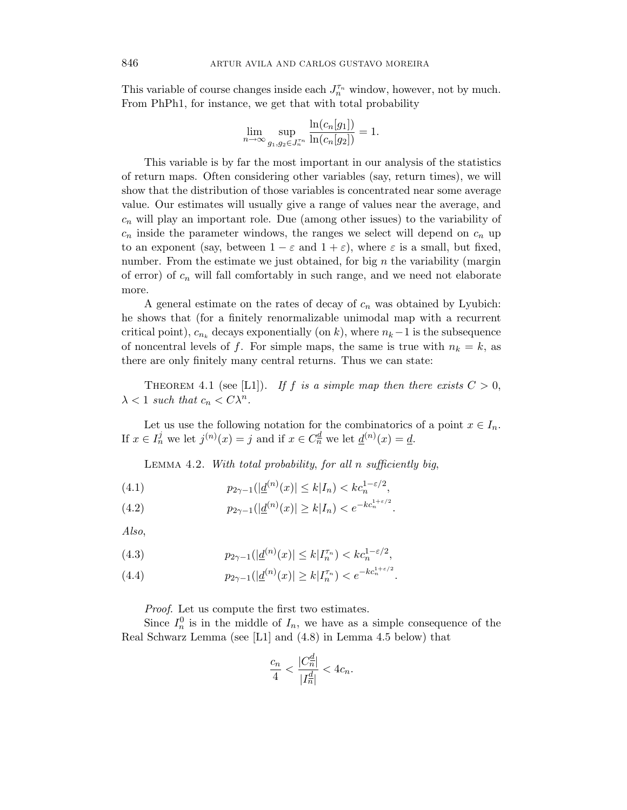This variable of course changes inside each  $J_n^{\tau_n}$  window, however, not by much. From PhPh1, for instance, we get that with total probability

$$
\lim_{n \to \infty} \sup_{g_1, g_2 \in J_n^{\tau_n}} \frac{\ln(c_n[g_1])}{\ln(c_n[g_2])} = 1.
$$

This variable is by far the most important in our analysis of the statistics of return maps. Often considering other variables (say, return times), we will show that the distribution of those variables is concentrated near some average value. Our estimates will usually give a range of values near the average, and *c*<sup>n</sup> will play an important role. Due (among other issues) to the variability of  $c_n$  inside the parameter windows, the ranges we select will depend on  $c_n$  up to an exponent (say, between  $1 - \varepsilon$  and  $1 + \varepsilon$ ), where  $\varepsilon$  is a small, but fixed, number. From the estimate we just obtained, for big *n* the variability (margin of error) of *c*<sup>n</sup> will fall comfortably in such range, and we need not elaborate more.

A general estimate on the rates of decay of  $c_n$  was obtained by Lyubich: he shows that (for a finitely renormalizable unimodal map with a recurrent critical point),  $c_{n_k}$  decays exponentially (on k), where  $n_k-1$  is the subsequence of noncentral levels of f. For simple maps, the same is true with  $n_k = k$ , as there are only finitely many central returns. Thus we can state:

THEOREM 4.1 (see [L1]). If *f* is a simple map then there exists  $C > 0$ ,  $\lambda < 1$  such that  $c_n < C\lambda^n$ .

Let us use the following notation for the combinatorics of a point  $x \in I_n$ . If  $x \in I_n^j$  we let  $j^{(n)}(x) = j$  and if  $x \in C_n^d$  we let  $\underline{d}^{(n)}(x) = \underline{d}$ .

Lemma 4.2. With total probability, for all *n* sufficiently big,

(4.1) 
$$
p_{2\gamma-1}(|\underline{d}^{(n)}(x)| \le k|I_n) < k c_n^{1-\varepsilon/2},
$$

(4.2) 
$$
p_{2\gamma-1}(|\underline{d}^{(n)}(x)| \ge k|I_n) < e^{-kc_n^{1+\varepsilon/2}}.
$$

Also,

(4.3) 
$$
p_{2\gamma-1}(|\underline{d}^{(n)}(x)| \le k | I_n^{\tau_n}) < k c_n^{1-\varepsilon/2},
$$

(4.4) 
$$
p_{2\gamma-1}(|\underline{d}^{(n)}(x)| \ge k|I_n^{\tau_n}) < e^{-kc_n^{1+\varepsilon/2}}.
$$

Proof. Let us compute the first two estimates.

Since  $I_n^0$  is in the middle of  $I_n$ , we have as a simple consequence of the Real Schwarz Lemma (see [L1] and (4.8) in Lemma 4.5 below) that

$$
\frac{c_n}{4} < \frac{|C_n^{\underline{d}}|}{|I_n^{\underline{d}}|} < 4c_n.
$$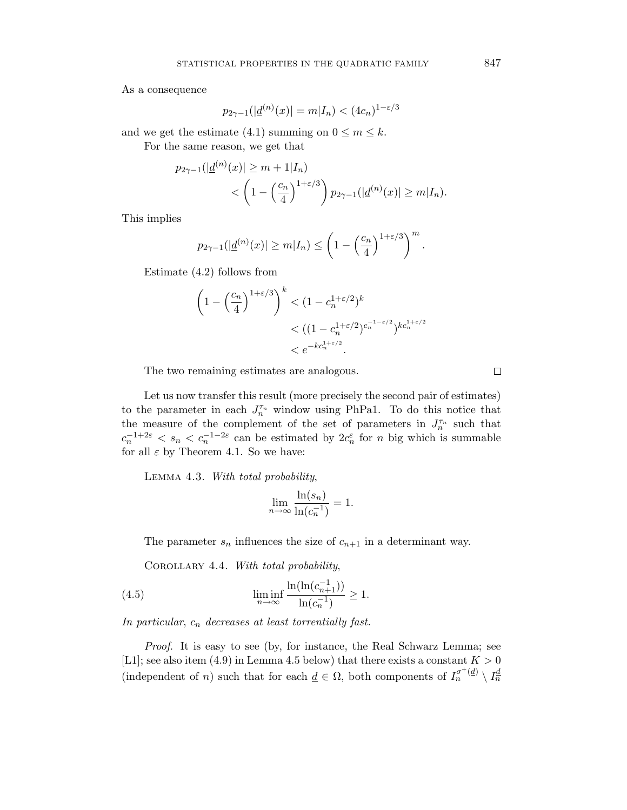As a consequence

$$
p_{2\gamma - 1}(|\underline{d}^{(n)}(x)| = m | I_n) < (4c_n)^{1 - \varepsilon/3}
$$

and we get the estimate (4.1) summing on  $0 \le m \le k$ . For the same reason, we get that

$$
p_{2\gamma-1}(|\underline{d}^{(n)}(x)| \ge m + 1 | I_n) < \left(1 - \left(\frac{c_n}{4}\right)^{1+\varepsilon/3}\right) p_{2\gamma-1}(|\underline{d}^{(n)}(x)| \ge m | I_n).
$$

This implies

$$
p_{2\gamma-1}(|\underline{d}^{(n)}(x)| \ge m|I_n) \le \left(1 - \left(\frac{c_n}{4}\right)^{1+\varepsilon/3}\right)^m.
$$

Estimate (4.2) follows from

$$
\left(1 - \left(\frac{c_n}{4}\right)^{1+\varepsilon/3}\right)^k < (1 - c_n^{1+\varepsilon/2})^k \\
& < ((1 - c_n^{1+\varepsilon/2})^{c_n^{-1-\varepsilon/2}})^{kc_n^{1+\varepsilon/2}} \\
&< e^{-kc_n^{1+\varepsilon/2}}.
$$

The two remaining estimates are analogous.

Let us now transfer this result (more precisely the second pair of estimates) to the parameter in each  $J_n^{\tau_n}$  window using PhPa1. To do this notice that the measure of the complement of the set of parameters in  $J_n^{\tau_n}$  such that  $c_n^{-1+2\varepsilon} < s_n < c_n^{-1-2\varepsilon}$  can be estimated by  $2c_n^{\varepsilon}$  for *n* big which is summable for all  $\varepsilon$  by Theorem 4.1. So we have:

LEMMA 4.3. With total probability,

$$
\lim_{n \to \infty} \frac{\ln(s_n)}{\ln(c_n^{-1})} = 1.
$$

The parameter  $s_n$  influences the size of  $c_{n+1}$  in a determinant way.

COROLLARY 4.4. With total probability,

(4.5) 
$$
\liminf_{n \to \infty} \frac{\ln(\ln(c_{n+1}^{-1}))}{\ln(c_n^{-1})} \ge 1.
$$

In particular, *c*<sup>n</sup> decreases at least torrentially fast.

Proof. It is easy to see (by, for instance, the Real Schwarz Lemma; see [L1]; see also item  $(4.9)$  in Lemma 4.5 below) that there exists a constant  $K > 0$ (independent of *n*) such that for each  $\underline{d} \in \Omega$ , both components of  $I_n^{\sigma^+(d)} \setminus I_n^{\underline{d}}$ 

 $\Box$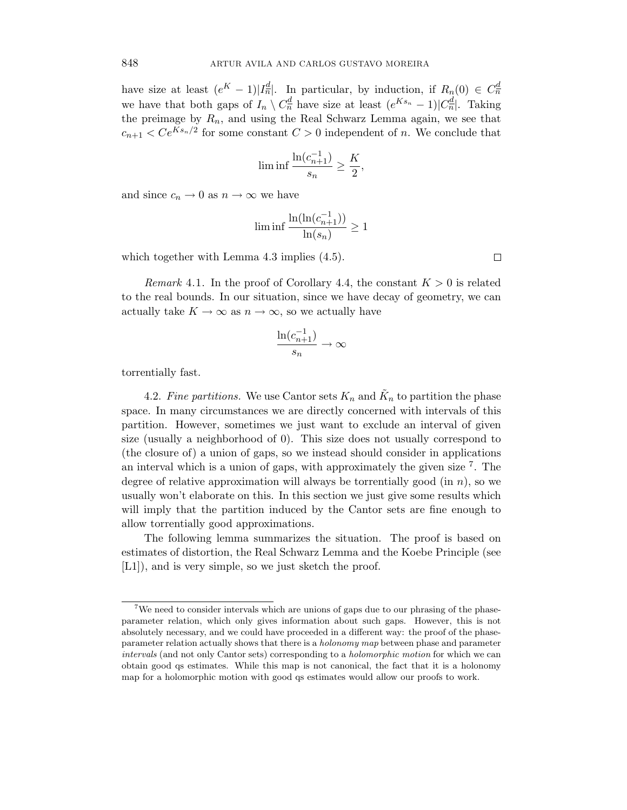have size at least  $(e^K - 1)|I_n^{\underline{d}}|$ . In particular, by induction, if  $R_n(0) \in C_n^{\underline{d}}$ we have that both gaps of  $I_n \setminus C_n^{\underline{d}}$  have size at least  $(e^{Ks_n}-1)|C_n^{\underline{d}}|$ . Taking the preimage by  $R_n$ , and using the Real Schwarz Lemma again, we see that  $c_{n+1}$  *< Ce*<sup>Ks<sub>n</sub>/2</sup> for some constant  $C > 0$  independent of *n*. We conclude that

$$
\liminf \frac{\ln(c_{n+1}^{-1})}{s_n} \ge \frac{K}{2},
$$

and since  $c_n \to 0$  as  $n \to \infty$  we have

$$
\liminf \frac{\ln(\ln(c_{n+1}^{-1}))}{\ln(s_n)} \ge 1
$$

which together with Lemma 4.3 implies  $(4.5)$ .

*Remark* 4.1. In the proof of Corollary 4.4, the constant  $K > 0$  is related to the real bounds. In our situation, since we have decay of geometry, we can actually take  $K \to \infty$  as  $n \to \infty$ , so we actually have

$$
\frac{\ln(c_{n+1}^{-1})}{s_n} \to \infty
$$

torrentially fast.

4.2. Fine partitions. We use Cantor sets  $K_n$  and  $\tilde{K}_n$  to partition the phase space. In many circumstances we are directly concerned with intervals of this partition. However, sometimes we just want to exclude an interval of given size (usually a neighborhood of 0). This size does not usually correspond to (the closure of) a union of gaps, so we instead should consider in applications an interval which is a union of gaps, with approximately the given size  $\tilde{f}$ . The degree of relative approximation will always be torrentially good (in *n*), so we usually won't elaborate on this. In this section we just give some results which will imply that the partition induced by the Cantor sets are fine enough to allow torrentially good approximations.

The following lemma summarizes the situation. The proof is based on estimates of distortion, the Real Schwarz Lemma and the Koebe Principle (see [L1]), and is very simple, so we just sketch the proof.

 $\Box$ 

<sup>&</sup>lt;sup>7</sup>We need to consider intervals which are unions of gaps due to our phrasing of the phaseparameter relation, which only gives information about such gaps. However, this is not absolutely necessary, and we could have proceeded in a different way: the proof of the phaseparameter relation actually shows that there is a *holonomy map* between phase and parameter *intervals* (and not only Cantor sets) corresponding to a *holomorphic motion* for which we can obtain good qs estimates. While this map is not canonical, the fact that it is a holonomy map for a holomorphic motion with good qs estimates would allow our proofs to work.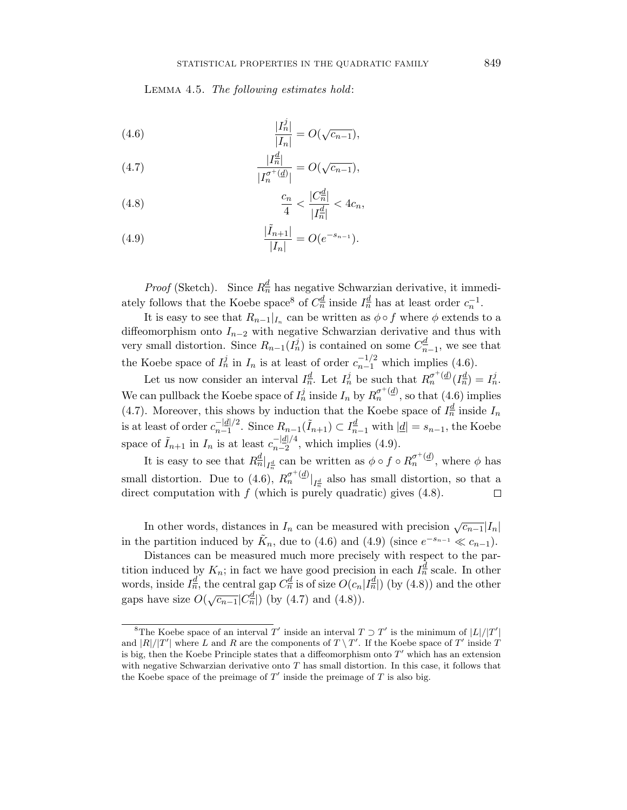LEMMA 4.5. The following estimates hold:

(4.6) 
$$
\frac{|I_n^j|}{|I_n|} = O(\sqrt{c_{n-1}}),
$$

(4.7) 
$$
\frac{|I_n^d|}{|I_n^{\sigma^+(d)}|} = O(\sqrt{c_{n-1}}),
$$

(4.8) 
$$
\frac{c_n}{4} < \frac{|C_n^{\underline{d}}|}{|I_n^{\underline{d}}|} < 4c_n,
$$

(4.9) 
$$
\frac{|\tilde{I}_{n+1}|}{|I_n|} = O(e^{-s_{n-1}}).
$$

*Proof* (Sketch). Since  $R_n^d$  has negative Schwarzian derivative, it immediately follows that the Koebe space<sup>8</sup> of  $C_n^d$  inside  $I_n^d$  has at least order  $c_n^{-1}$ .

It is easy to see that  $R_{n-1}|_{I_n}$  can be written as  $\phi \circ f$  where  $\phi$  extends to a diffeomorphism onto *I*n−<sup>2</sup> with negative Schwarzian derivative and thus with very small distortion. Since  $R_{n-1}(I_n^j)$  is contained on some  $C_{n-1}^d$ , we see that the Koebe space of  $I_n^j$  in  $I_n$  is at least of order  $c_{n-1}^{-1/2}$  which implies (4.6).

Let us now consider an interval  $I_n^d$ . Let  $I_n^j$  be such that  $R_n^{\sigma^+(d)}(I_n^d) = I_n^j$ . We can pullback the Koebe space of  $I_n^j$  inside  $I_n$  by  $R_n^{\sigma^+(d)}$ , so that (4.6) implies (4.7). Moreover, this shows by induction that the Koebe space of  $I_n^{\underline{d}}$  inside  $I_n$ is at least of order  $c_{n-1}^{-d/2}$ . Since  $R_{n-1}(\tilde{I}_{n+1}) \subset I_{n-1}^d$  with  $|d| = s_{n-1}$ , the Koebe space of  $\tilde{I}_{n+1}$  in  $I_n$  is at least  $c_{n-2}^{-|d|/4}$ , which implies (4.9).

It is easy to see that  $R_n^d|_{I_n^d}$  can be written as  $\phi \circ f \circ R_n^{\sigma^+(d)}$ , where  $\phi$  has small distortion. Due to (4.6),  $R_n^{\sigma^+(d)}|_{I_n^d}$  also has small distortion, so that a direct computation with *f* (which is purely quadratic) gives (4.8).  $\Box$ 

In other words, distances in  $I_n$  can be measured with precision  $\sqrt{c_{n-1}}|I_n|$ in the partition induced by  $\tilde{K}_n$ , due to (4.6) and (4.9) (since  $e^{-s_{n-1}} \ll c_{n-1}$ ).

Distances can be measured much more precisely with respect to the partition induced by  $K_n$ ; in fact we have good precision in each  $I_n^d$  scale. In other words, inside  $I_n^{\underline{d}}$ , the central gap  $C_n^{\underline{d}}$  is of size  $O(c_n|I_n^{\underline{d}}|)$  (by (4.8)) and the other gaps have size  $O(\sqrt{c_{n-1}}|C_n^d|)$  (by (4.7) and (4.8)).

<sup>&</sup>lt;sup>8</sup>The Koebe space of an interval *T'* inside an interval  $T \supset T'$  is the minimum of  $|L|/|T'|$ and  $|R|/|T'|$  where *L* and *R* are the components of  $T \setminus T'$ . If the Koebe space of  $T'$  inside *T* is big, then the Koebe Principle states that a diffeomorphism onto  $T'$  which has an extension with negative Schwarzian derivative onto *T* has small distortion. In this case, it follows that the Koebe space of the preimage of  $T'$  inside the preimage of  $T$  is also big.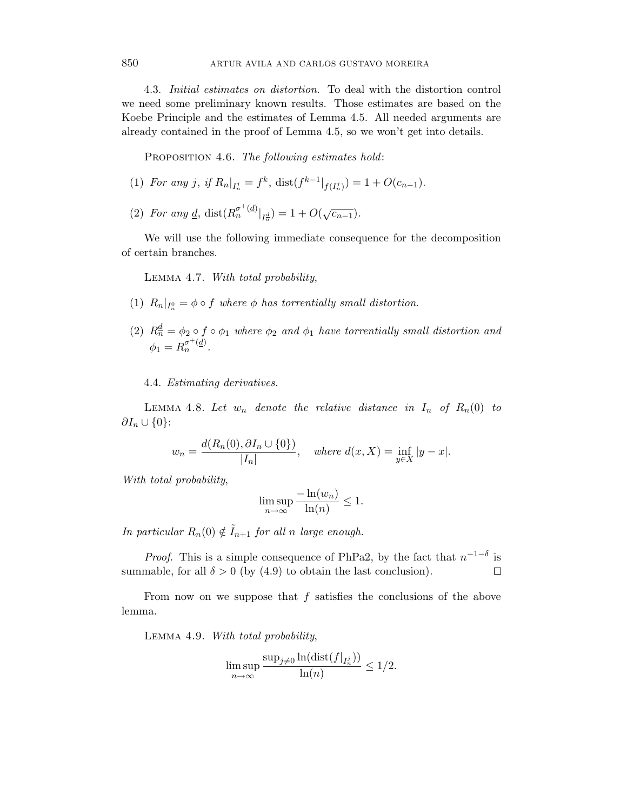4.3. Initial estimates on distortion. To deal with the distortion control we need some preliminary known results. Those estimates are based on the Koebe Principle and the estimates of Lemma 4.5. All needed arguments are already contained in the proof of Lemma 4.5, so we won't get into details.

PROPOSITION 4.6. The following estimates hold:

- (1) For any *j*, if  $R_n|_{I_n^j} = f^k$ , dist $(f^{k-1}|_{f(I_n^j)}) = 1 + O(c_{n-1})$ .
- (2) For any <u>d</u>, dist $(R_n^{\sigma^{+}(d)}|_{I_n^d}) = 1 + O(\sqrt{c_{n-1}})$ .

We will use the following immediate consequence for the decomposition of certain branches.

LEMMA 4.7. With total probability,

- (1)  $R_n|_{I_n^0} = \phi \circ f$  where  $\phi$  has torrentially small distortion.
- (2)  $R_n^{\underline{d}} = \phi_2 \circ f \circ \phi_1$  where  $\phi_2$  and  $\phi_1$  have torrentially small distortion and  $\phi_1 = R_n^{\sigma^+(d)}$ .

4.4. Estimating derivatives.

LEMMA 4.8. Let  $w_n$  denote the relative distance in  $I_n$  of  $R_n(0)$  to *∂I*<sup>n</sup> ∪ {0}:

$$
w_n = \frac{d(R_n(0), \partial I_n \cup \{0\})}{|I_n|}, \quad \text{where } d(x, X) = \inf_{y \in X} |y - x|.
$$

With total probability,

$$
\limsup_{n \to \infty} \frac{-\ln(w_n)}{\ln(n)} \le 1.
$$

In particular  $R_n(0) \notin \tilde{I}_{n+1}$  for all *n* large enough.

*Proof.* This is a simple consequence of PhPa2, by the fact that  $n^{-1-\delta}$  is summable, for all  $\delta > 0$  (by (4.9) to obtain the last conclusion). □

From now on we suppose that *f* satisfies the conclusions of the above lemma.

LEMMA 4.9. With total probability,

$$
\limsup_{n\to\infty}\frac{\sup_{j\neq 0}\ln(\text{dist}(f|_{I_n^j}))}{\ln(n)}\leq 1/2.
$$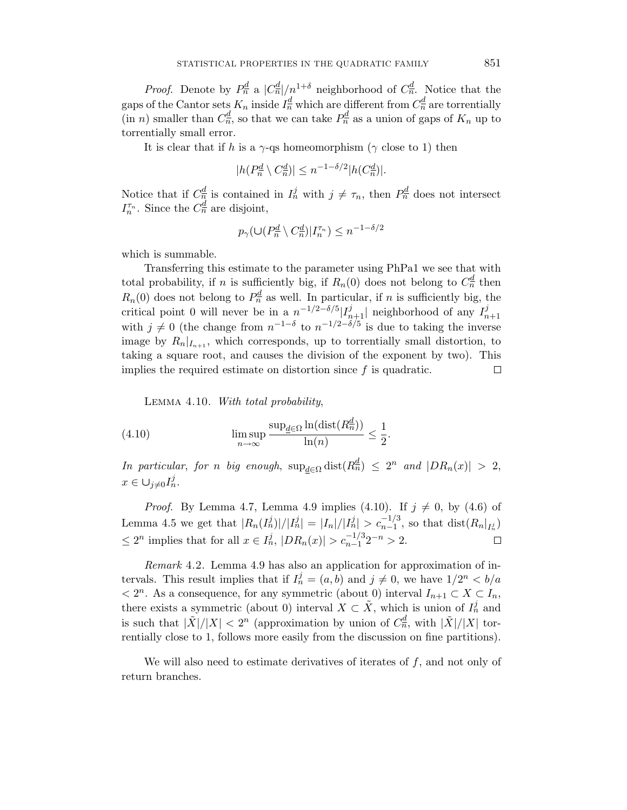*Proof.* Denote by  $P_n^d$  a  $|C_n^d|/n^{1+\delta}$  neighborhood of  $C_n^d$ . Notice that the gaps of the Cantor sets  $K_n$  inside  $I_n^{\underline{d}}$  which are different from  $C_n^{\underline{d}}$  are torrentially  $(\text{in } n)$  smaller than  $C_n^d$ , so that we can take  $P_n^d$  as a union of gaps of  $K_n$  up to torrentially small error.

It is clear that if *h* is a  $\gamma$ -qs homeomorphism ( $\gamma$  close to 1) then

$$
|h(P_n^{\underline{d}} \setminus C_n^{\underline{d}})| \le n^{-1-\delta/2} |h(C_n^{\underline{d}})|.
$$

Notice that if  $C_n^d$  is contained in  $I_n^j$  with  $j \neq \tau_n$ , then  $P_n^d$  does not intersect *I*<sup>T<sub>n</sub></sup>. Since the  $C_n^{\underline{d}}$  are disjoint,

$$
p_{\gamma}(\cup (P_n^{\underline{d}} \setminus C_n^{\underline{d}})|I_n^{\tau_n}) \le n^{-1-\delta/2}
$$

which is summable.

Transferring this estimate to the parameter using PhPa1 we see that with total probability, if *n* is sufficiently big, if  $R_n(0)$  does not belong to  $C_n^d$  then  $R_n(0)$  does not belong to  $P_n^{\underline{d}}$  as well. In particular, if *n* is sufficiently big, the critical point 0 will never be in a  $n^{-1/2-\delta/5} |I_{n+1}^j|$  neighborhood of any  $I_{n+1}^j$  with  $j \neq 0$  (the change from  $n^{-1-\delta}$  to  $n^{-1/2-\delta/5}$  is due to taking the inverse image by  $R_n|_{I_{n+1}}$ , which corresponds, up to torrentially small distortion, to taking a square root, and causes the division of the exponent by two). This implies the required estimate on distortion since *f* is quadratic.  $\Box$ 

LEMMA 4.10. With total probability,

(4.10) 
$$
\limsup_{n \to \infty} \frac{\sup_{\underline{d} \in \Omega} \ln(\text{dist}(R_n^{\underline{d}}))}{\ln(n)} \leq \frac{1}{2}.
$$

 $\text{In particular, for } n \text{ big enough, } \sup_{d \in \Omega} \text{dist}(R_n^d) \leq 2^n \text{ and } |DR_n(x)| > 2,$  $x \in \bigcup_{j \neq 0} I_n^j$ .

*Proof.* By Lemma 4.7, Lemma 4.9 implies (4.10). If  $j \neq 0$ , by (4.6) of Lemma 4.5 we get that  $|R_n(I_n^j)|/|I_n^j| = |I_n|/|I_n^j| > c_{n-1}^{-1/3}$ , so that  $\text{dist}(R_n|_{I_n^j})$  $\leq 2^n$  implies that for all  $x \in I_n^j$ ,  $|DR_n(x)| > c_{n-1}^{-1/3}2^{-n} > 2$ .

Remark 4.2. Lemma 4.9 has also an application for approximation of intervals. This result implies that if  $I_n^j = (a, b)$  and  $j \neq 0$ , we have  $1/2^n < b/a$  $\langle$  2<sup>n</sup>. As a consequence, for any symmetric (about 0) interval *I*<sub>n+1</sub> ⊂ *X* ⊂ *I*<sub>n</sub>, there exists a symmetric (about 0) interval  $X \subset \tilde{X}$ , which is union of  $I_n^j$  and is such that  $|\tilde{X}|/|X| < 2^n$  (approximation by union of  $C_n^d$ , with  $|\tilde{X}|/|X|$  torrentially close to 1, follows more easily from the discussion on fine partitions).

We will also need to estimate derivatives of iterates of *f*, and not only of return branches.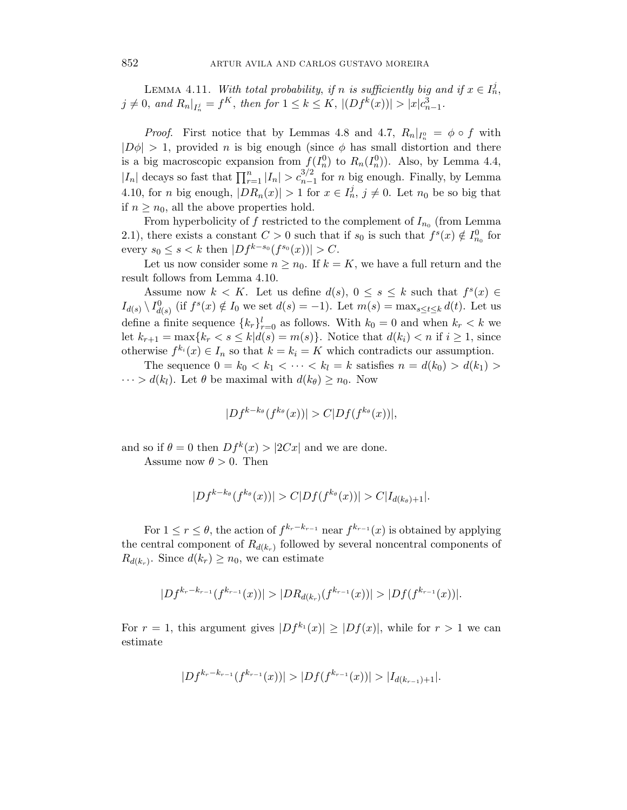LEMMA 4.11. With total probability, if *n* is sufficiently big and if  $x \in I_n^j$ ,  $j \neq 0$ , and  $R_n|_{I_n^j} = f^K$ , then for  $1 \leq k \leq K$ ,  $|(Df^k(x))| > |x|c_{n-1}^3$ .

*Proof.* First notice that by Lemmas 4.8 and 4.7,  $R_n|_{I_n^0} = \phi \circ f$  with  $|D\phi| > 1$ , provided *n* is big enough (since  $\phi$  has small distortion and there is a big macroscopic expansion from  $f(I_n^0)$  to  $R_n(I_n^0)$ ). Also, by Lemma 4.4,  $|I_n|$  decays so fast that  $\prod_{r=1}^n |I_n| > c_{n-1}^{3/2}$  for *n* big enough. Finally, by Lemma 4.10, for *n* big enough,  $|DR_n(x)| > 1$  for  $x \in I_n^j$ ,  $j \neq 0$ . Let  $n_0$  be so big that if  $n \geq n_0$ , all the above properties hold.

From hyperbolicity of  $f$  restricted to the complement of  $I_{n_0}$  (from Lemma 2.1), there exists a constant  $C > 0$  such that if  $s_0$  is such that  $f^s(x) \notin I^0_{n_0}$  for every  $s_0 \le s < k$  then  $|Df^{k-s_0}(f^{s_0}(x))| > C$ .

Let us now consider some  $n \geq n_0$ . If  $k = K$ , we have a full return and the result follows from Lemma 4.10.

Assume now  $k < K$ . Let us define  $d(s)$ ,  $0 \le s \le k$  such that  $f^s(x) \in$  $I_{d(s)} \setminus I_{d(s)}^0$  (if  $f^s(x) \notin I_0$  we set  $d(s) = -1$ ). Let  $m(s) = \max_{s \le t \le k} d(t)$ . Let us define a finite sequence  ${k_r}_{r=0}^l$  as follows. With  $k_0 = 0$  and when  $k_r < k$  we let  $k_{r+1} = \max\{k_r < s \leq k | d(s) = m(s)\}.$  Notice that  $d(k_i) < n$  if  $i \geq 1$ , since otherwise  $f^{k_i}(x) \in I_n$  so that  $k = k_i = K$  which contradicts our assumption.

The sequence  $0 = k_0 < k_1 < \cdots < k_l = k$  satisfies  $n = d(k_0) > d(k_1) >$  $\cdots > d(k_l)$ . Let  $\theta$  be maximal with  $d(k_\theta) \geq n_0$ . Now

$$
|Df^{k-k_{\theta}}(f^{k_{\theta}}(x))| > C|Df(f^{k_{\theta}}(x))|,
$$

and so if  $\theta = 0$  then  $Df^{k}(x) > |2Cx|$  and we are done.

Assume now  $\theta > 0$ . Then

$$
|Df^{k-k_{\theta}}(f^{k_{\theta}}(x))| > C|Df(f^{k_{\theta}}(x))| > C|I_{d(k_{\theta})+1}|.
$$

For  $1 \leq r \leq \theta$ , the action of  $f^{k_r-k_{r-1}}$  near  $f^{k_{r-1}}(x)$  is obtained by applying the central component of  $R_{d(k_r)}$  followed by several noncentral components of  $R_{d(k_r)}$ . Since  $d(k_r) \geq n_0$ , we can estimate

$$
|Df^{k_r-k_{r-1}}(f^{k_{r-1}}(x))| > |DR_{d(k_r)}(f^{k_{r-1}}(x))| > |Df(f^{k_{r-1}}(x))|.
$$

For  $r = 1$ , this argument gives  $|Df^{k_1}(x)| \geq |Df(x)|$ , while for  $r > 1$  we can estimate

$$
|Df^{k_r-k_{r-1}}(f^{k_{r-1}}(x))| > |Df(f^{k_{r-1}}(x))| > |I_{d(k_{r-1})+1}|.
$$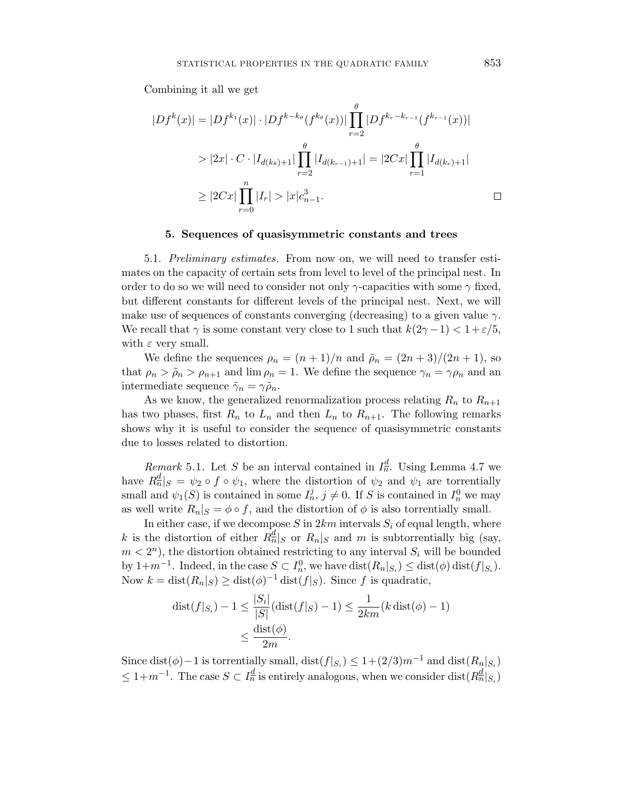Combining it all we get

$$
|Df^{k}(x)| = |Df^{k_{1}}(x)| \cdot |Df^{k-k_{\theta}}(f^{k_{\theta}}(x))| \prod_{r=2}^{\theta} |Df^{k_{r}-k_{r-1}}(f^{k_{r-1}}(x))|
$$
  
>  $|2x| \cdot C \cdot |I_{d(k_{\theta})+1}| \prod_{r=2}^{\theta} |I_{d(k_{r-1})+1}| = |2Cx| \prod_{r=1}^{\theta} |I_{d(k_{r})+1}|$   
 $\geq |2Cx| \prod_{r=0}^{n} |I_{r}| > |x|c_{n-1}^{3}.$ 

# **5. Sequences of quasisymmetric constants and trees**

5.1. Preliminary estimates. From now on, we will need to transfer estimates on the capacity of certain sets from level to level of the principal nest. In order to do so we will need to consider not only  $\gamma$ -capacities with some  $\gamma$  fixed, but different constants for different levels of the principal nest. Next, we will make use of sequences of constants converging (decreasing) to a given value *γ*. We recall that  $\gamma$  is some constant very close to 1 such that  $k(2\gamma - 1) < 1 + \varepsilon/5$ , with *ε* very small.

We define the sequences  $\rho_n = (n+1)/n$  and  $\tilde{\rho}_n = (2n+3)/(2n+1)$ , so that  $\rho_n > \tilde{\rho}_n > \rho_{n+1}$  and  $\lim \rho_n = 1$ . We define the sequence  $\gamma_n = \gamma \rho_n$  and an intermediate sequence  $\tilde{\gamma}_n = \gamma \tilde{\rho}_n$ .

As we know, the generalized renormalization process relating  $R_n$  to  $R_{n+1}$ has two phases, first  $R_n$  to  $L_n$  and then  $L_n$  to  $R_{n+1}$ . The following remarks shows why it is useful to consider the sequence of quasisymmetric constants due to losses related to distortion.

Remark 5.1. Let *S* be an interval contained in  $I_n^d$ . Using Lemma 4.7 we have  $R_n^d|_S = \psi_2 \circ f \circ \psi_1$ , where the distortion of  $\psi_2$  and  $\psi_1$  are torrentially small and  $\psi_1(S)$  is contained in some  $I_n^j$ ,  $j \neq 0$ . If *S* is contained in  $I_n^0$  we may as well write  $R_n|S = \phi \circ f$ , and the distortion of  $\phi$  is also torrentially small.

In either case, if we decompose  $S$  in  $2km$  intervals  $S_i$  of equal length, where k is the distortion of either  $R_n^d|_S$  or  $R_n|_S$  and m is subtorrentially big (say,  $m < 2<sup>n</sup>$ , the distortion obtained restricting to any interval  $S<sub>i</sub>$  will be bounded by  $1+m^{-1}$ . Indeed, in the case  $S \subset I_n^0$ , we have  $dist(R_n|_{S_i}) \leq dist(\phi) dist(f|_{S_i})$ . Now  $k = \text{dist}(R_n|S) \geq \text{dist}(\phi)^{-1} \text{dist}(f|S)$ . Since *f* is quadratic,

$$
\begin{aligned} \text{dist}(f|_{S_i}) - 1 &\leq \frac{|S_i|}{|S|} (\text{dist}(f|_S) - 1) \leq \frac{1}{2km} (k \, \text{dist}(\phi) - 1) \\ &\leq \frac{\text{dist}(\phi)}{2m} .\end{aligned}
$$

Since dist( $\phi$ )−1 is torrentially small, dist( $f|_{S_i}$ ) ≤ 1+(2/3) $m^{-1}$  and dist( $R_n|_{S_i}$ )  $\leq 1+m^{-1}$ . The case  $S \subset I_n^d$  is entirely analogous, when we consider dist $(R_n^d|_{S_i})$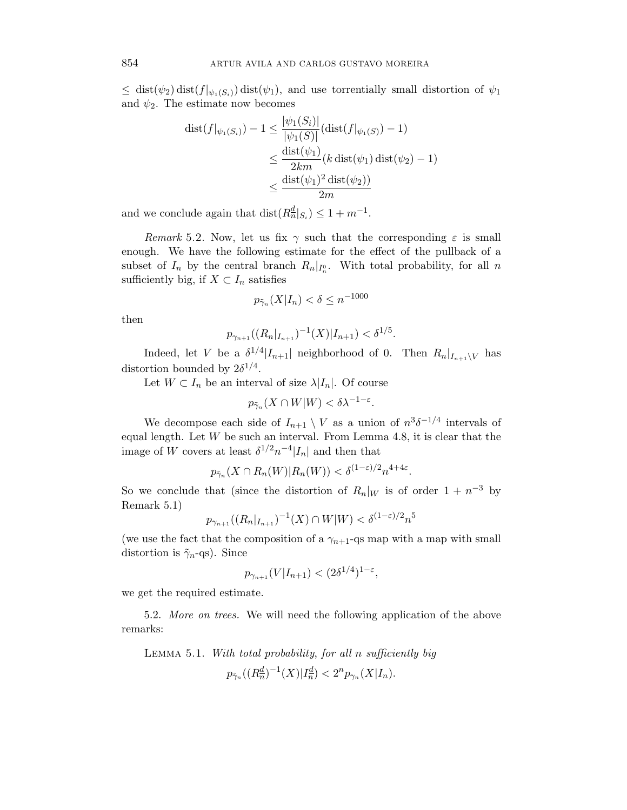$\leq$  dist( $\psi$ <sub>2</sub>) dist( $f|_{\psi_1(S_i)}$ ) dist( $\psi_1$ ), and use torrentially small distortion of  $\psi_1$ and  $\psi_2$ . The estimate now becomes

$$
\begin{aligned} \text{dist}(f|_{\psi_1(S_i)}) - 1 &\leq \frac{|\psi_1(S_i)|}{|\psi_1(S)|} (\text{dist}(f|_{\psi_1(S)}) - 1) \\ &\leq \frac{\text{dist}(\psi_1)}{2km} (k \, \text{dist}(\psi_1) \, \text{dist}(\psi_2) - 1) \\ &\leq \frac{\text{dist}(\psi_1)^2 \, \text{dist}(\psi_2)}{2m} \end{aligned}
$$

and we conclude again that  $dist(R_n^d|_{S_i}) \leq 1 + m^{-1}$ .

Remark 5.2. Now, let us fix  $\gamma$  such that the corresponding  $\varepsilon$  is small enough. We have the following estimate for the effect of the pullback of a subset of  $I_n$  by the central branch  $R_n|_{I_n^0}$ . With total probability, for all n sufficiently big, if  $X \subset I_n$  satisfies

$$
p_{\tilde{\gamma}_n}(X|I_n) < \delta \le n^{-1000}
$$

then

$$
p_{\gamma_{n+1}}((R_n|_{I_{n+1}})^{-1}(X)|I_{n+1}) < \delta^{1/5}.
$$

Indeed, let *V* be a  $\delta^{1/4}$ |*I*<sub>n+1</sub>| neighborhood of 0. Then  $R_n|_{I_{n+1}\setminus V}$  has distortion bounded by  $2\delta^{1/4}$ .

Let  $W \subset I_n$  be an interval of size  $\lambda |I_n|$ . Of course

$$
p_{\tilde{\gamma}_n}(X \cap W|W) < \delta \lambda^{-1-\varepsilon}.
$$

We decompose each side of  $I_{n+1} \setminus V$  as a union of  $n^3 \delta^{-1/4}$  intervals of equal length. Let *W* be such an interval. From Lemma 4.8, it is clear that the image of *W* covers at least  $\delta^{1/2}n^{-4}|I_n|$  and then that

$$
p_{\tilde{\gamma}_n}(X \cap R_n(W)|R_n(W)) < \delta^{(1-\varepsilon)/2} n^{4+4\varepsilon}
$$

*.*

So we conclude that (since the distortion of  $R_n|_W$  is of order  $1 + n^{-3}$  by Remark 5.1)

$$
p_{\gamma_{n+1}}((R_n|_{I_{n+1}})^{-1}(X) \cap W|W) < \delta^{(1-\varepsilon)/2} n^5
$$

(we use the fact that the composition of a  $\gamma_{n+1}$ -qs map with a map with small distortion is ˜*γ*n-qs). Since

$$
p_{\gamma_{n+1}}(V|I_{n+1}) < (2\delta^{1/4})^{1-\varepsilon},
$$

we get the required estimate.

5.2. More on trees. We will need the following application of the above remarks:

Lemma 5.1. With total probability, for all *n* sufficiently big

 $p_{\tilde{\gamma}_n}((R_n^d)^{-1}(X)|I_n^d) < 2^n p_{\gamma_n}(X|I_n).$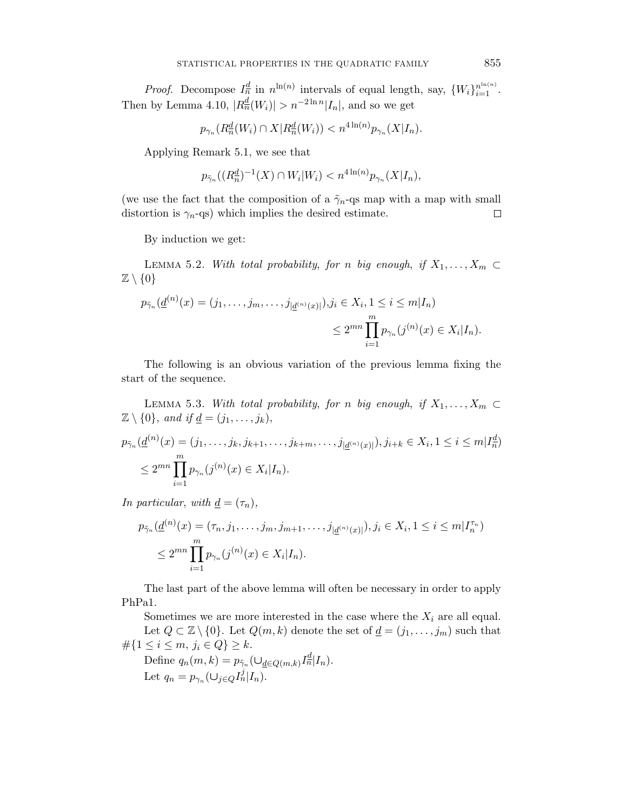*Proof.* Decompose  $I_n^{\underline{d}}$  in  $n^{\ln(n)}$  intervals of equal length, say,  $\{W_i\}_{i=1}^{n^{\ln(n)}}$ . Then by Lemma 4.10,  $|R_n^{\underline{d}}(W_i)| > n^{-2\ln n}|I_n|$ , and so we get

$$
p_{\gamma_n}(R_n^d(W_i) \cap X | R_n^d(W_i)) < n^{4\ln(n)} p_{\gamma_n}(X | I_n).
$$

Applying Remark 5.1, we see that

$$
p_{\tilde{\gamma}_n}((R_n^d)^{-1}(X) \cap W_i|W_i) < n^{4\ln(n)}p_{\gamma_n}(X|I_n),
$$

(we use the fact that the composition of a  $\tilde{\gamma}_n$ -qs map with a map with small distortion is  $\gamma_n$ -qs) which implies the desired estimate.  $\Box$ 

By induction we get:

LEMMA 5.2. With total probability, for *n* big enough, if  $X_1, \ldots, X_m \subset$  $\mathbb{Z} \setminus \{0\}$ 

$$
p_{\tilde{\gamma}_n}(\underline{d}^{(n)}(x) = (j_1, \dots, j_m, \dots, j_{|\underline{d}^{(n)}(x)|}), j_i \in X_i, 1 \le i \le m | I_n)
$$
  

$$
\le 2^{mn} \prod_{i=1}^m p_{\gamma_n}(j^{(n)}(x) \in X_i | I_n).
$$

The following is an obvious variation of the previous lemma fixing the start of the sequence.

LEMMA 5.3. With total probability, for *n* big enough, if  $X_1, \ldots, X_m \subset$  $\mathbb{Z} \setminus \{0\}$ , and if <u>d</u> =  $(j_1, \ldots, j_k)$ ,

$$
p_{\tilde{\gamma}_n}(\underline{d}^{(n)}(x) = (j_1, \dots, j_k, j_{k+1}, \dots, j_{k+m}, \dots, j_{|\underline{d}^{(n)}(x)|}), j_{i+k} \in X_i, 1 \le i \le m | I_n^{\underline{d}})
$$
  

$$
\le 2^{mn} \prod_{i=1}^m p_{\gamma_n}(j^{(n)}(x) \in X_i | I_n).
$$

In particular, with  $\underline{d} = (\tau_n)$ ,

$$
p_{\tilde{\gamma}_n}(\underline{d}^{(n)}(x) = (\tau_n, j_1, \dots, j_m, j_{m+1}, \dots, j_{|\underline{d}^{(n)}(x)|}), j_i \in X_i, 1 \le i \le m | I_n^{\tau_n})
$$
  

$$
\le 2^{mn} \prod_{i=1}^m p_{\gamma_n}(j^{(n)}(x) \in X_i | I_n).
$$

The last part of the above lemma will often be necessary in order to apply PhPa1.

Sometimes we are more interested in the case where the  $X_i$  are all equal. Let  $Q \subset \mathbb{Z} \setminus \{0\}$ . Let  $Q(m, k)$  denote the set of  $\underline{d} = (j_1, \ldots, j_m)$  such that #{1 ≤ *i* ≤ *m, j*<sup>i</sup> ∈ *Q*} ≥ *k*.

Define  $q_n(m, k) = p_{\tilde{\gamma}_n}(\cup_{\underline{d} \in Q(m, k)} I_n^{\underline{d}} | I_n)$ . Let  $q_n = p_{\gamma_n}(\cup_{j \in Q} I_n^j | I_n)$ .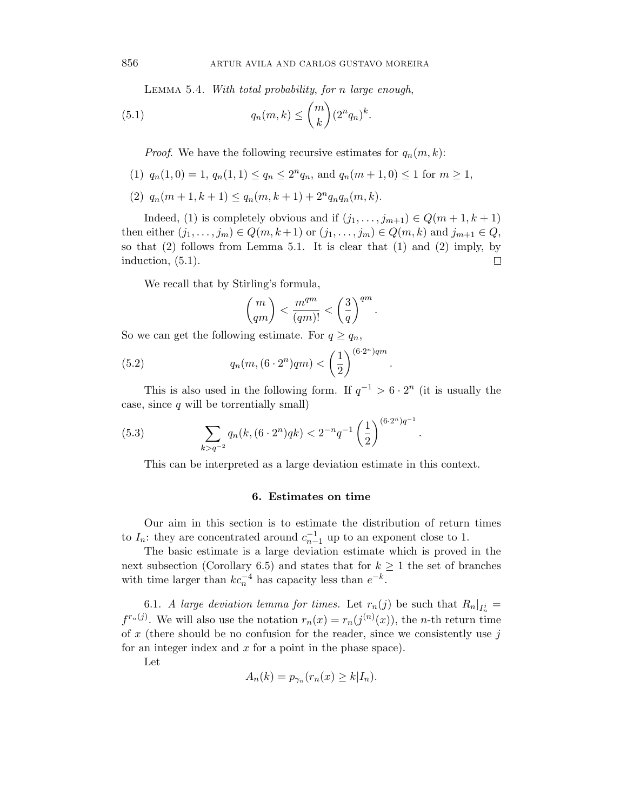Lemma 5.4. With total probability, for *n* large enough,

(5.1) 
$$
q_n(m,k) \leq {m \choose k} (2^n q_n)^k.
$$

*Proof.* We have the following recursive estimates for  $q_n(m, k)$ :

- (1)  $q_n(1,0) = 1$ ,  $q_n(1,1) \le q_n \le 2^n q_n$ , and  $q_n(m+1,0) \le 1$  for  $m \ge 1$ ,
- $(2)$   $q_n(m+1, k+1) \leq q_n(m, k+1) + 2^n q_n q_n(m, k).$

Indeed, (1) is completely obvious and if  $(j_1, \ldots, j_{m+1}) \in Q(m+1, k+1)$ then either  $(j_1, ..., j_m) \in Q(m, k+1)$  or  $(j_1, ..., j_m) \in Q(m, k)$  and  $j_{m+1} \in Q$ , so that (2) follows from Lemma 5.1. It is clear that (1) and (2) imply, by induction, (5.1).  $\Box$ 

We recall that by Stirling's formula,

$$
\binom{m}{qm} < \frac{m^{qm}}{(qm)!} < \left(\frac{3}{q}\right)^{qm}.
$$

So we can get the following estimate. For  $q \geq q_n$ ,

(5.2) 
$$
q_n(m, (6 \cdot 2^n)qm) < \left(\frac{1}{2}\right)^{(6 \cdot 2^n)qm}.
$$

This is also used in the following form. If  $q^{-1} > 6 \cdot 2^n$  (it is usually the case, since *q* will be torrentially small)

(5.3) 
$$
\sum_{k>q^{-2}} q_n(k, (6 \cdot 2^n)qk) < 2^{-n}q^{-1} \left(\frac{1}{2}\right)^{(6 \cdot 2^n)q^{-1}}.
$$

This can be interpreted as a large deviation estimate in this context.

#### **6. Estimates on time**

Our aim in this section is to estimate the distribution of return times to  $I_n$ : they are concentrated around  $c_{n-1}^{-1}$  up to an exponent close to 1.

The basic estimate is a large deviation estimate which is proved in the next subsection (Corollary 6.5) and states that for  $k \geq 1$  the set of branches with time larger than  $kc_n^{-4}$  has capacity less than  $e^{-k}$ .

6.1. A large deviation lemma for times. Let  $r_n(j)$  be such that  $R_n|_{I_n^j} =$  $f^{r_n(j)}$ . We will also use the notation  $r_n(x) = r_n(j^{(n)}(x))$ , the *n*-th return time of *x* (there should be no confusion for the reader, since we consistently use *j* for an integer index and *x* for a point in the phase space).

Let

$$
A_n(k) = p_{\gamma_n}(r_n(x) \ge k | I_n).
$$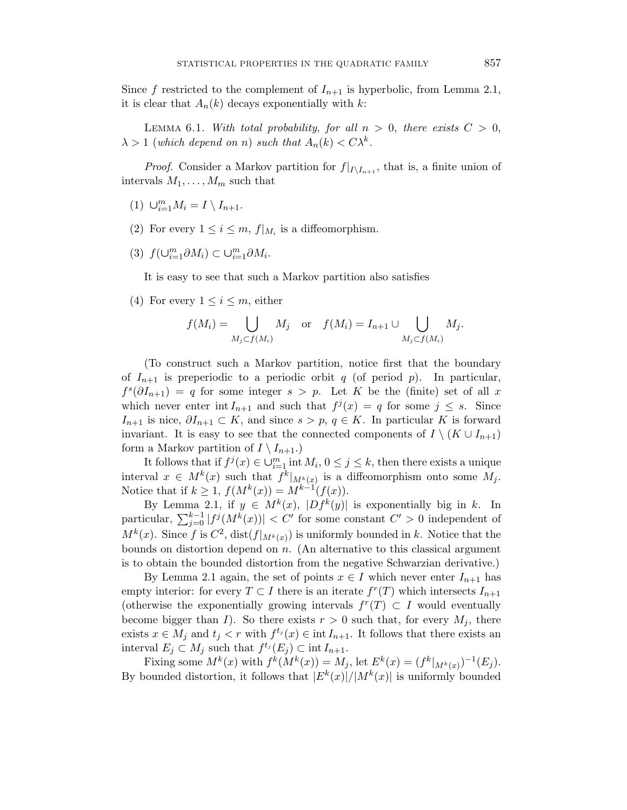Since f restricted to the complement of  $I_{n+1}$  is hyperbolic, from Lemma 2.1, it is clear that  $A_n(k)$  decays exponentially with  $k$ :

LEMMA 6.1. With total probability, for all  $n > 0$ , there exists  $C > 0$ ,  $\lambda > 1$  (which depend on *n*) such that  $A_n(k) < C\lambda^k$ .

*Proof.* Consider a Markov partition for  $f|_{I\setminus I_{n+1}}$ , that is, a finite union of intervals  $M_1, \ldots, M_m$  such that

- $(1)$   $\cup_{i=1}^{m} M_i = I \setminus I_{n+1}.$
- (2) For every  $1 \leq i \leq m$ ,  $f|_{M_i}$  is a diffeomorphism.
- $(3)$   $f(\cup_{i=1}^{m} \partial M_i) \subset \cup_{i=1}^{m} \partial M_i$ .

It is easy to see that such a Markov partition also satisfies

(4) For every  $1 \leq i \leq m$ , either

$$
f(M_i) = \bigcup_{M_j \subset f(M_i)} M_j \quad \text{or} \quad f(M_i) = I_{n+1} \cup \bigcup_{M_j \subset f(M_i)} M_j.
$$

(To construct such a Markov partition, notice first that the boundary of  $I_{n+1}$  is preperiodic to a periodic orbit *q* (of period *p*). In particular,  $f^{s}(\partial I_{n+1}) = q$  for some integer  $s > p$ . Let K be the (finite) set of all x which never enter int  $I_{n+1}$  and such that  $f^j(x) = q$  for some  $j \leq s$ . Since *I*<sub>n+1</sub> is nice,  $\partial I_{n+1}$  ⊂ *K*, and since *s* > *p*, *q* ∈ *K*. In particular *K* is forward invariant. It is easy to see that the connected components of  $I \setminus (K \cup I_{n+1})$ form a Markov partition of  $I \setminus I_{n+1}$ .)

It follows that if  $f^j(x) \in \bigcup_{i=1}^m \text{int } M_i$ ,  $0 \leq j \leq k$ , then there exists a unique interval  $x \in M^k(x)$  such that  $f^k|_{M^k(x)}$  is a diffeomorphism onto some  $M_j$ . Notice that if  $k \ge 1$ ,  $f(M^k(x)) = M^{k-1}(f(x)).$ 

By Lemma 2.1, if  $y \in M^k(x)$ ,  $|Df^k(y)|$  is exponentially big in *k*. In particular,  $\sum_{j=0}^{k-1} |f^j(M^k(x))| < C'$  for some constant  $C' > 0$  independent of  $M^k(x)$ . Since *f* is  $C^2$ , dist( $f|_{M^k(x)}$ ) is uniformly bounded in *k*. Notice that the bounds on distortion depend on *n*. (An alternative to this classical argument is to obtain the bounded distortion from the negative Schwarzian derivative.)

By Lemma 2.1 again, the set of points  $x \in I$  which never enter  $I_{n+1}$  has empty interior: for every  $T \subset I$  there is an iterate  $f^{r}(T)$  which intersects  $I_{n+1}$ (otherwise the exponentially growing intervals  $f^{r}(T) \subset I$  would eventually become bigger than *I*). So there exists  $r > 0$  such that, for every  $M_j$ , there exists  $x \in M_j$  and  $t_j < r$  with  $f^{t_j}(x) \in \text{int } I_{n+1}$ . It follows that there exists an interval  $E_j \subset M_j$  such that  $f^{t_j}(E_j) \subset \text{int } I_{n+1}$ .

Fixing some  $M^k(x)$  with  $f^k(M^k(x)) = M_j$ , let  $E^k(x) = (f^k|_{M^k(x)})^{-1}(E_j)$ . By bounded distortion, it follows that  $|E^k(x)|/|M^k(x)|$  is uniformly bounded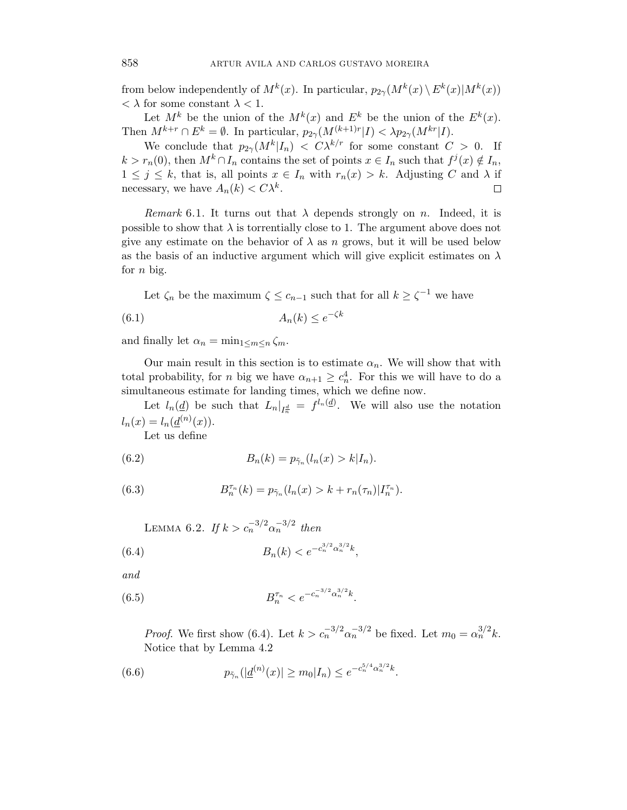from below independently of  $M^k(x)$ . In particular,  $p_{2\gamma}(M^k(x) \setminus E^k(x)|M^k(x))$  $\langle \lambda \rangle$  for some constant  $\lambda \langle 1$ .

Let  $M^k$  be the union of the  $M^k(x)$  and  $E^k$  be the union of the  $E^k(x)$ . Then  $M^{k+r} \cap E^k = \emptyset$ . In particular,  $p_{2\gamma}(M^{(k+1)r}|I) < \lambda p_{2\gamma}(M^{kr}|I)$ .

We conclude that  $p_{2\gamma}(M^k|I_n) < C\lambda^{k/r}$  for some constant  $C > 0$ . If  $k > r_n(0)$ , then  $M^k \cap I_n$  contains the set of points  $x \in I_n$  such that  $f^j(x) \notin I_n$ ,  $1 \leq j \leq k$ , that is, all points  $x \in I_n$  with  $r_n(x) > k$ . Adjusting *C* and  $\lambda$  if necessary, we have  $A_n(k) < C\lambda^k$ . □

Remark 6.1. It turns out that  $\lambda$  depends strongly on *n*. Indeed, it is possible to show that  $\lambda$  is torrentially close to 1. The argument above does not give any estimate on the behavior of  $\lambda$  as *n* grows, but it will be used below as the basis of an inductive argument which will give explicit estimates on *λ* for *n* big.

Let  $\zeta_n$  be the maximum  $\zeta \leq c_{n-1}$  such that for all  $k \geq \zeta^{-1}$  we have

$$
(6.1) \t A_n(k) \le e^{-\zeta k}
$$

and finally let  $\alpha_n = \min_{1 \leq m \leq n} \zeta_m$ .

Our main result in this section is to estimate  $\alpha_n$ . We will show that with total probability, for *n* big we have  $\alpha_{n+1} \geq c_n^4$ . For this we will have to do a simultaneous estimate for landing times, which we define now.

Let  $l_n(\underline{d})$  be such that  $L_n|_{I_n^d} = f^{l_n(\underline{d})}$ . We will also use the notation  $l_n(x) = l_n(\underline{d}^{(n)}(x)).$ 

Let us define

(6.2) 
$$
B_n(k) = p_{\tilde{\gamma}_n}(l_n(x) > k | I_n).
$$

(6.3) 
$$
B_n^{\tau_n}(k) = p_{\tilde{\gamma}_n}(l_n(x) > k + r_n(\tau_n)|I_n^{\tau_n}).
$$

LEMMA 6.2. If  $k>c_n^{-3/2} \alpha_n^{-3/2}$  then

(6.4) 
$$
B_n(k) < e^{-c_n^{3/2} \alpha_n^{3/2} k},
$$

and

(6.5) 
$$
B_n^{\tau_n} < e^{-c_n^{-3/2} \alpha_n^{3/2} k}.
$$

*Proof.* We first show (6.4). Let  $k > c_n^{-3/2} \alpha_n^{-3/2}$  be fixed. Let  $m_0 = \alpha_n^{3/2} k$ . Notice that by Lemma 4.2

(6.6) 
$$
p_{\tilde{\gamma}_n}(|\underline{d}^{(n)}(x)| \ge m_0|I_n) \le e^{-c_n^{5/4} \alpha_n^{3/2} k}.
$$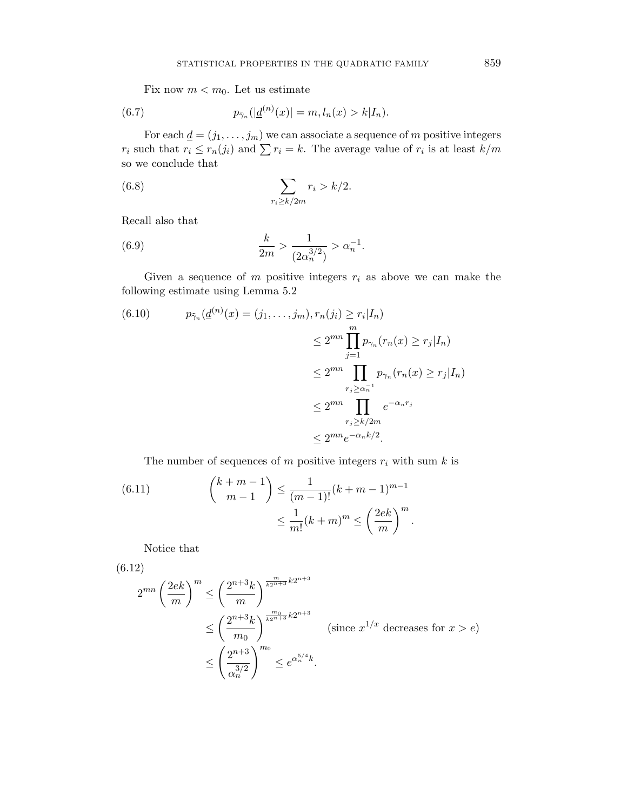Fix now  $m < m_0$ . Let us estimate

(6.7) 
$$
p_{\tilde{\gamma}_n}(|\underline{d}^{(n)}(x)| = m, l_n(x) > k|I_n).
$$

For each  $\underline{d} = (j_1, \ldots, j_m)$  we can associate a sequence of *m* positive integers *r*<sub>i</sub> such that  $r_i \le r_n(j_i)$  and  $\sum r_i = k$ . The average value of  $r_i$  is at least  $k/m$ so we conclude that

(6.8) 
$$
\sum_{r_i \ge k/2m} r_i > k/2.
$$

Recall also that

(6.9) 
$$
\frac{k}{2m} > \frac{1}{(2\alpha_n^{3/2})} > \alpha_n^{-1}.
$$

Given a sequence of  $m$  positive integers  $r_i$  as above we can make the following estimate using Lemma 5.2

(6.10) 
$$
p_{\tilde{\gamma}_n}(\underline{d}^{(n)}(x) = (j_1, \dots, j_m), r_n(j_i) \ge r_i | I_n)
$$

$$
\le 2^{mn} \prod_{j=1}^m p_{\gamma_n}(r_n(x) \ge r_j | I_n)
$$

$$
\le 2^{mn} \prod_{r_j \ge \alpha_n^{-1}} p_{\gamma_n}(r_n(x) \ge r_j | I_n)
$$

$$
\le 2^{mn} \prod_{r_j \ge k/2m} e^{-\alpha_n r_j}
$$

$$
\le 2^{mn} e^{-\alpha_n k/2}.
$$

The number of sequences of  $m$  positive integers  $r_i$  with sum  $k$  is

(6.11) 
$$
{\binom{k+m-1}{m-1}} \leq \frac{1}{(m-1)!} (k+m-1)^{m-1} \leq \frac{1}{m!} (k+m)^m \leq \left(\frac{2ek}{m}\right)^m.
$$

Notice that

$$
(6.12)
$$
\n
$$
2^{mn} \left(\frac{2ek}{m}\right)^m \le \left(\frac{2^{n+3}k}{m}\right)^{\frac{m}{k2^{n+3}}} k2^{n+3}
$$
\n
$$
\le \left(\frac{2^{n+3}k}{m_0}\right)^{\frac{m_0}{k2^{n+3}}} k2^{n+3}
$$
\n(since  $x^{1/x}$  decreases for  $x > e$ )\n
$$
\le \left(\frac{2^{n+3}}{\alpha_n^{3/2}}\right)^{m_0} \le e^{\alpha_n^{5/4}k}.
$$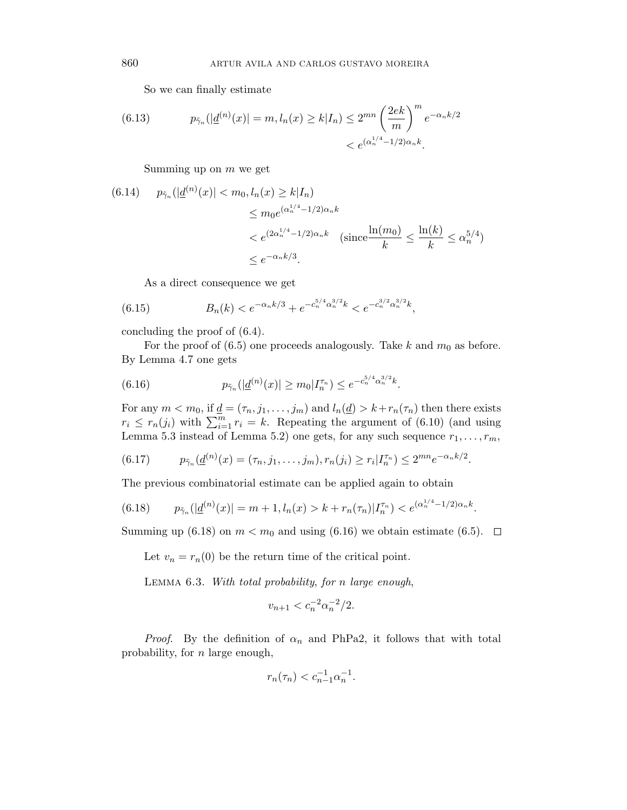So we can finally estimate

(6.13) 
$$
p_{\tilde{\gamma}_n}(|\underline{d}^{(n)}(x)| = m, l_n(x) \ge k | I_n) \le 2^{mn} \left(\frac{2ek}{m}\right)^m e^{-\alpha_n k/2} < e^{(\alpha_n^{1/4} - 1/2)\alpha_n k}.
$$

Summing up on *m* we get

$$
(6.14) \quad p_{\tilde{\gamma}_n}(|\underline{d}^{(n)}(x)| < m_0, l_n(x) \ge k | I_n) \\
\le m_0 e^{(\alpha_n^{1/4} - 1/2)\alpha_n k} \\
\le e^{(2\alpha_n^{1/4} - 1/2)\alpha_n k} \quad (\text{since } \frac{\ln(m_0)}{k} \le \frac{\ln(k)}{k} \le \alpha_n^{5/4}) \\
\le e^{-\alpha_n k/3}.
$$

As a direct consequence we get

(6.15) 
$$
B_n(k) < e^{-\alpha_n k/3} + e^{-c_n^{5/4} \alpha_n^{3/2} k} < e^{-c_n^{3/2} \alpha_n^{3/2} k},
$$

concluding the proof of (6.4).

For the proof of  $(6.5)$  one proceeds analogously. Take k and  $m_0$  as before. By Lemma 4.7 one gets

(6.16) 
$$
p_{\tilde{\gamma}_n}(|\underline{d}^{(n)}(x)| \geq m_0 | I_n^{\tau_n}) \leq e^{-c_n^{5/4} \alpha_n^{3/2} k}.
$$

For any  $m < m_0$ , if  $\underline{d} = (\tau_n, j_1, \ldots, j_m)$  and  $l_n(\underline{d}) > k + r_n(\tau_n)$  then there exists  $r_i \leq r_n(j_i)$  with  $\sum_{i=1}^m r_i = k$ . Repeating the argument of (6.10) (and using Lemma 5.3 instead of Lemma 5.2) one gets, for any such sequence  $r_1, \ldots, r_m$ ,

$$
(6.17) \t p_{\tilde{\gamma}_n}(\underline{d}^{(n)}(x)=(\tau_n,j_1,\ldots,j_m),r_n(j_i)\geq r_i|I_n^{\tau_n})\leq 2^{mn}e^{-\alpha_n k/2}.
$$

The previous combinatorial estimate can be applied again to obtain

$$
(6.18) \t p_{\tilde{\gamma}_n}(|\underline{d}^{(n)}(x)| = m + 1, l_n(x) > k + r_n(\tau_n)|I_n^{\tau_n}) < e^{(\alpha_n^{1/4} - 1/2)\alpha_n k}.
$$

Summing up (6.18) on  $m < m_0$  and using (6.16) we obtain estimate (6.5).  $\Box$ 

Let  $v_n = r_n(0)$  be the return time of the critical point.

Lemma 6.3. With total probability, for *n* large enough,

$$
v_{n+1} < c_n^{-2} \alpha_n^{-2} / 2.
$$

*Proof.* By the definition of  $\alpha_n$  and PhPa2, it follows that with total probability, for *n* large enough,

$$
r_n(\tau_n) < c_{n-1}^{-1} \alpha_n^{-1}.
$$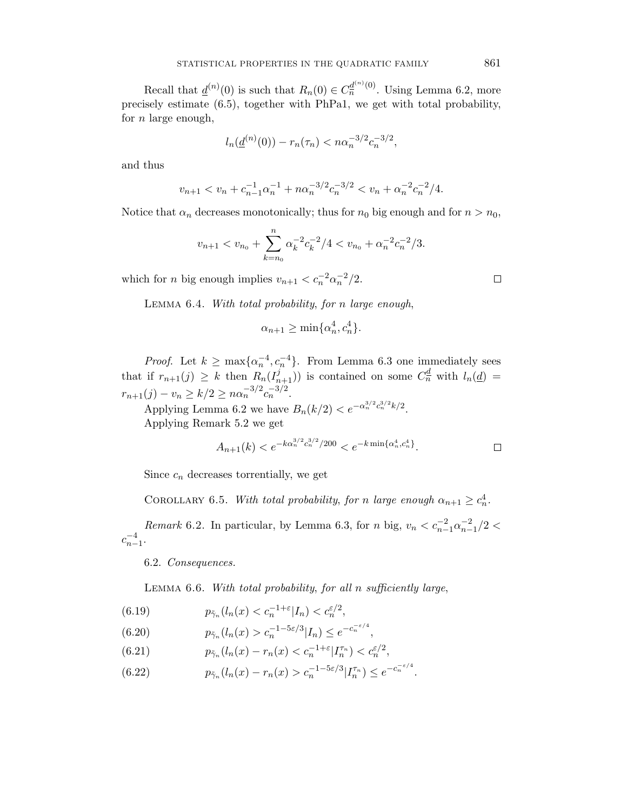Recall that  $\underline{d}^{(n)}(0)$  is such that  $R_n(0) \in C_n^{\underline{d}^{(n)}(0)}$ . Using Lemma 6.2, more precisely estimate (6.5), together with PhPa1, we get with total probability, for *n* large enough,

$$
l_n(\underline{d}^{(n)}(0)) - r_n(\tau_n) < n\alpha_n^{-3/2}c_n^{-3/2},
$$

and thus

$$
v_{n+1} < v_n + c_{n-1}^{-1} \alpha_n^{-1} + n \alpha_n^{-3/2} c_n^{-3/2} < v_n + \alpha_n^{-2} c_n^{-2} / 4.
$$

Notice that  $\alpha_n$  decreases monotonically; thus for  $n_0$  big enough and for  $n > n_0$ ,

$$
v_{n+1} < v_{n_0} + \sum_{k=n_0}^n \alpha_k^{-2} c_k^{-2} / 4 < v_{n_0} + \alpha_n^{-2} c_n^{-2} / 3.
$$

which for *n* big enough implies  $v_{n+1} < c_n^{-2} \alpha_n^{-2}/2$ .

Lemma 6.4. With total probability, for *n* large enough,

$$
\alpha_{n+1} \ge \min\{\alpha_n^4, c_n^4\}.
$$

*Proof.* Let  $k \ge \max\{\alpha_n^{-4}, c_n^{-4}\}$ . From Lemma 6.3 one immediately sees that if  $r_{n+1}(j) \geq k$  then  $R_n(I_{n+1}^j)$  is contained on some  $C_n^{\underline{d}}$  with  $l_n(\underline{d}) =$  $r_{n+1}(j) - v_n \ge k/2 \ge n\alpha_n^{-3/2}c_n^{-3/2}.$ 

Applying Lemma 6.2 we have  $B_n(k/2) < e^{-\alpha_n^{3/2}c_n^{3/2}k/2}$ . Applying Remark 5.2 we get

$$
A_{n+1}(k) < e^{-k\alpha_n^{3/2}c_n^{3/2}/200} < e^{-k\min\{\alpha_n^4, c_n^4\}}.\tag{}
$$

Since  $c_n$  decreases torrentially, we get

COROLLARY 6.5. With total probability, for *n* large enough  $\alpha_{n+1} \geq c_n^4$ .

*Remark* 6.2. In particular, by Lemma 6.3, for *n* big,  $v_n < c_{n-1}^{-2} \alpha_{n-1}^{-2} / 2 <$  $c_{n-1}^{-4}$ .

6.2. Consequences.

Lemma 6.6. With total probability, for all *n* sufficiently large,

(6.19) 
$$
p_{\tilde{\gamma}_n}(l_n(x) < c_n^{-1+\varepsilon}|I_n) < c_n^{\varepsilon/2},
$$

(6.20) 
$$
p_{\tilde{\gamma}_n}(l_n(x) > c_n^{-1-5\varepsilon/3} |I_n) \leq e^{-c_n^{-\varepsilon/4}},
$$

(6.21) 
$$
p_{\tilde{\gamma}_n}(l_n(x) - r_n(x) < c_n^{-1+\varepsilon} | I_n^{\tau_n}) < c_n^{\varepsilon/2},
$$

(6.22) 
$$
p_{\tilde{\gamma}_n}(l_n(x) - r_n(x) > c_n^{-1-5\varepsilon/3} |I_n^{\tau_n}) \le e^{-c_n^{-\varepsilon/4}}.
$$

 $\Box$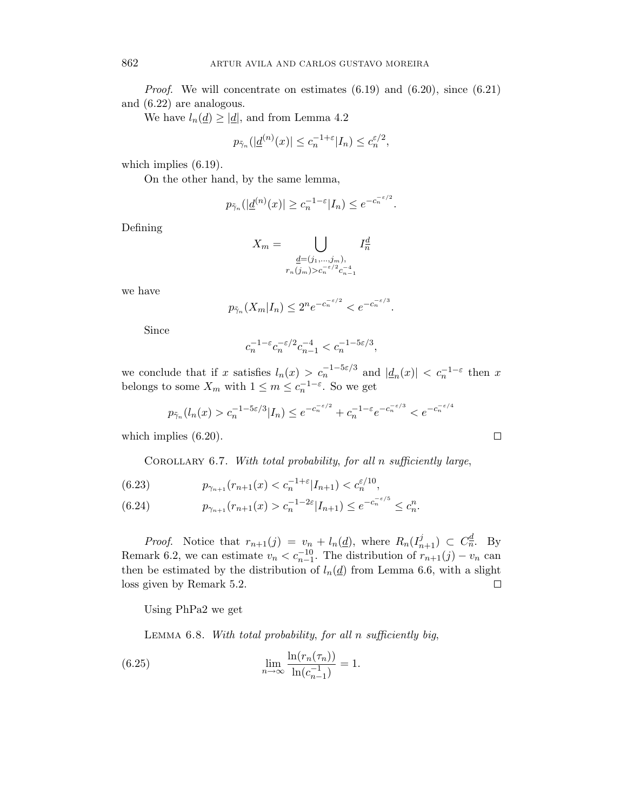*Proof.* We will concentrate on estimates  $(6.19)$  and  $(6.20)$ , since  $(6.21)$ and (6.22) are analogous.

We have  $l_n(\underline{d}) \geq |\underline{d}|$ , and from Lemma 4.2

$$
p_{\tilde{\gamma}_n}(|\underline{d}^{(n)}(x)| \leq c_n^{-1+\varepsilon} |I_n| \leq c_n^{\varepsilon/2},
$$

which implies (6.19).

On the other hand, by the same lemma,

$$
p_{\tilde{\gamma}_n}(|\underline{d}^{(n)}(x)| \geq c_n^{-1-\varepsilon} |I_n| \leq e^{-c_n^{-\varepsilon/2}}.
$$

Defining

$$
X_m = \bigcup_{\substack{\underline{d} = (j_1,\ldots,j_m),\\r_n(j_m) > c_n^{-\varepsilon/2} c_{n-1}}} I_n^{\underline{d}}
$$

we have

$$
p_{\tilde{\gamma}_n}(X_m|I_n) \le 2^n e^{-c_n^{-\varepsilon/2}} < e^{-c_n^{-\varepsilon/3}}.
$$

Since

$$
c_n^{-1-\varepsilon}c_n^{-\varepsilon/2}c_{n-1}^{-4}
$$

we conclude that if *x* satisfies  $l_n(x) > c_n^{-1-5\varepsilon/3}$  and  $|\underline{d}_n(x)| < c_n^{-1-\varepsilon}$  then *x* belongs to some  $X_m$  with  $1 \leq m \leq c_n^{-1-\varepsilon}$ . So we get

$$
p_{\tilde{\gamma}_n}(l_n(x) > c_n^{-1-5\varepsilon/3} | I_n) \le e^{-c_n^{-\varepsilon/2}} + c_n^{-1-\varepsilon} e^{-c_n^{-\varepsilon/3}} < e^{-c_n^{-\varepsilon/4}}
$$

which implies (6.20).

Corollary 6.7. With total probability, for all *n* sufficiently large,

(6.23) 
$$
p_{\gamma_{n+1}}(r_{n+1}(x) < c_n^{-1+\varepsilon} |I_{n+1}) < c_n^{\varepsilon/10},
$$

$$
(6.24) \t\t p_{\gamma_{n+1}}(r_{n+1}(x) > c_n^{-1-2\varepsilon} |I_{n+1}) \le e^{-c_n^{-\varepsilon/5}} \le c_n^n.
$$

*Proof.* Notice that  $r_{n+1}(j) = v_n + l_n(\underline{d})$ , where  $R_n(I_{n+1}^j) \subset C_n^{\underline{d}}$ . By Remark 6.2, we can estimate  $v_n < c_{n-1}^{-1}$ . The distribution of  $r_{n+1}(j) - v_n$  can then be estimated by the distribution of  $l_n(\underline{d})$  from Lemma 6.6, with a slight loss given by Remark 5.2.  $\Box$ 

Using PhPa2 we get

Lemma 6.8. With total probability, for all *n* sufficiently big,

(6.25) 
$$
\lim_{n \to \infty} \frac{\ln(r_n(\tau_n))}{\ln(c_{n-1}^{-1})} = 1.
$$

$$
\qquad \qquad \Box
$$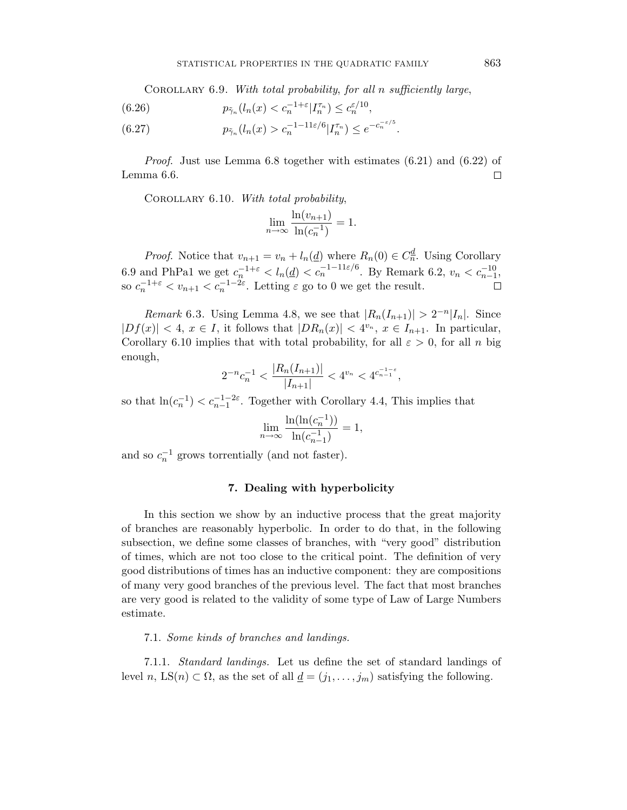Corollary 6.9. With total probability, for all *n* sufficiently large,

(6.26) 
$$
p_{\tilde{\gamma}_n}(l_n(x) < c_n^{-1+\varepsilon} | I_n^{\tau_n}) \leq c_n^{\varepsilon/10},
$$

(6.27) 
$$
p_{\tilde{\gamma}_n}(l_n(x) > c_n^{-1-11\varepsilon/6} | I_n^{\tau_n}) \le e^{-c_n^{-\varepsilon/5}}.
$$

Proof. Just use Lemma 6.8 together with estimates (6.21) and (6.22) of Lemma 6.6.  $\Box$ 

COROLLARY 6.10. With total probability,

$$
\lim_{n \to \infty} \frac{\ln(v_{n+1})}{\ln(c_n^{-1})} = 1.
$$

*Proof.* Notice that  $v_{n+1} = v_n + l_n(\underline{d})$  where  $R_n(0) \in C_n^{\underline{d}}$ . Using Corollary 6.9 and PhPa1 we get  $c_n^{-1+\varepsilon} < l_n(\underline{d}) < c_n^{-1-11\varepsilon/6}$ . By Remark 6.2,  $v_n < c_{n-1}^{-10}$ , so  $c_n^{-1+\varepsilon} < v_{n+1} < c_n^{-1-2\varepsilon}$ . Letting  $\varepsilon$  go to 0 we get the result.  $\Box$ 

*Remark* 6.3. Using Lemma 4.8, we see that  $|R_n(I_{n+1})| > 2^{-n}|I_n|$ . Since  $|Df(x)| < 4$ ,  $x \in I$ , it follows that  $|DR_n(x)| < 4^{v_n}$ ,  $x \in I_{n+1}$ . In particular, Corollary 6.10 implies that with total probability, for all  $\varepsilon > 0$ , for all *n* big enough,

$$
2^{-n}c_n^{-1} < \frac{|R_n(I_{n+1})|}{|I_{n+1}|} < 4^{v_n} < 4^{c_{n-1}^{-1-\varepsilon}},
$$

so that  $ln(c_n^{-1}) < c_{n-1}^{-1-2\varepsilon}$ . Together with Corollary 4.4, This implies that

$$
\lim_{n \to \infty} \frac{\ln(\ln(c_n^{-1}))}{\ln(c_{n-1}^{-1})} = 1,
$$

and so  $c_n^{-1}$  grows torrentially (and not faster).

# **7. Dealing with hyperbolicity**

In this section we show by an inductive process that the great majority of branches are reasonably hyperbolic. In order to do that, in the following subsection, we define some classes of branches, with "very good" distribution of times, which are not too close to the critical point. The definition of very good distributions of times has an inductive component: they are compositions of many very good branches of the previous level. The fact that most branches are very good is related to the validity of some type of Law of Large Numbers estimate.

### 7.1. Some kinds of branches and landings.

7.1.1. Standard landings. Let us define the set of standard landings of level *n*, LS(*n*)  $\subset \Omega$ , as the set of all  $\underline{d} = (j_1, \ldots, j_m)$  satisfying the following.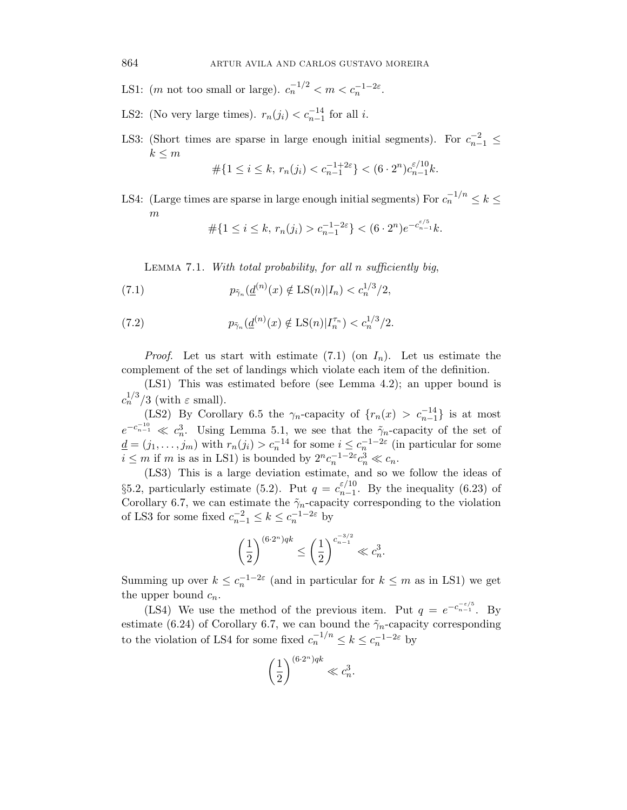LS1: (*m* not too small or large).  $c_n^{-1/2} < m < c_n^{-1-2\varepsilon}$ .

- LS2: (No very large times).  $r_n(j_i) < c_{n-1}^{-14}$  for all *i*.
- LS3: (Short times are sparse in large enough initial segments). For  $c_{n-1}^{-2} \leq$  $k \leq m$

$$
\#\{1 \le i \le k, \, r_n(j_i) < c_{n-1}^{-1+2\varepsilon}\} < (6 \cdot 2^n) c_{n-1}^{\varepsilon/10} k.
$$

LS4: (Large times are sparse in large enough initial segments) For  $c_n^{-1/n} \leq k \leq$ *m*

$$
\#\{1 \le i \le k, \, r_n(j_i) > c_{n-1}^{-1-2\varepsilon}\} < (6 \cdot 2^n) e^{-c_{n-1}^{\varepsilon/5} k}.
$$

Lemma 7.1. With total probability, for all *n* sufficiently big,

(7.1) 
$$
p_{\tilde{\gamma}_n}(\underline{d}^{(n)}(x) \notin \text{LS}(n)|I_n) < c_n^{1/3}/2,
$$

(7.2) 
$$
p_{\tilde{\gamma}_n}(\underline{d}^{(n)}(x) \notin \text{LS}(n)|I_n^{\tau_n}) < c_n^{1/3}/2.
$$

*Proof.* Let us start with estimate  $(7.1)$  (on  $I_n$ ). Let us estimate the complement of the set of landings which violate each item of the definition.

(LS1) This was estimated before (see Lemma 4.2); an upper bound is  $c_n^{1/3}/3$  (with  $\varepsilon$  small).

(LS2) By Corollary 6.5 the  $\gamma_n$ -capacity of  $\{r_n(x) > c_{n-1}^{-1}\}\$ is at most  $e^{-c_{n-1}^{-10}} \ll c_n^3$ . Using Lemma 5.1, we see that the  $\tilde{\gamma}_n$ -capacity of the set of  $\underline{d} = (j_1, \ldots, j_m)$  with  $r_n(j_i) > c_n^{-14}$  for some  $i \leq c_n^{-1-2\varepsilon}$  (in particular for some  $i \leq m$  if *m* is as in LS1) is bounded by  $2^n c_n^{-1-2\varepsilon} c_n^3 \ll c_n$ .

(LS3) This is a large deviation estimate, and so we follow the ideas of §5.2, particularly estimate (5.2). Put  $q = c_{n-1}^{\varepsilon/10}$ . By the inequality (6.23) of Corollary 6.7, we can estimate the  $\tilde{\gamma}_n$ -capacity corresponding to the violation of LS3 for some fixed  $c_{n-1}^{-2} \le k \le c_n^{-1-2\varepsilon}$  by

$$
\left(\frac{1}{2}\right)^{(6\cdot 2^n)qk} \leq \left(\frac{1}{2}\right)^{c_{n-1}^{-3/2}} \ll c_n^3.
$$

Summing up over  $k \leq c_n^{-1-2\varepsilon}$  (and in particular for  $k \leq m$  as in LS1) we get the upper bound  $c_n$ .

(LS4) We use the method of the previous item. Put  $q = e^{-c_{n-1}^{-\epsilon/5}}$ . By estimate (6.24) of Corollary 6.7, we can bound the  $\tilde{\gamma}_n$ -capacity corresponding to the violation of LS4 for some fixed  $c_n^{-1/n} \le k \le c_n^{-1-2\varepsilon}$  by

$$
\left(\frac{1}{2}\right)^{(6\cdot 2^n)qk} \ll c_n^3.
$$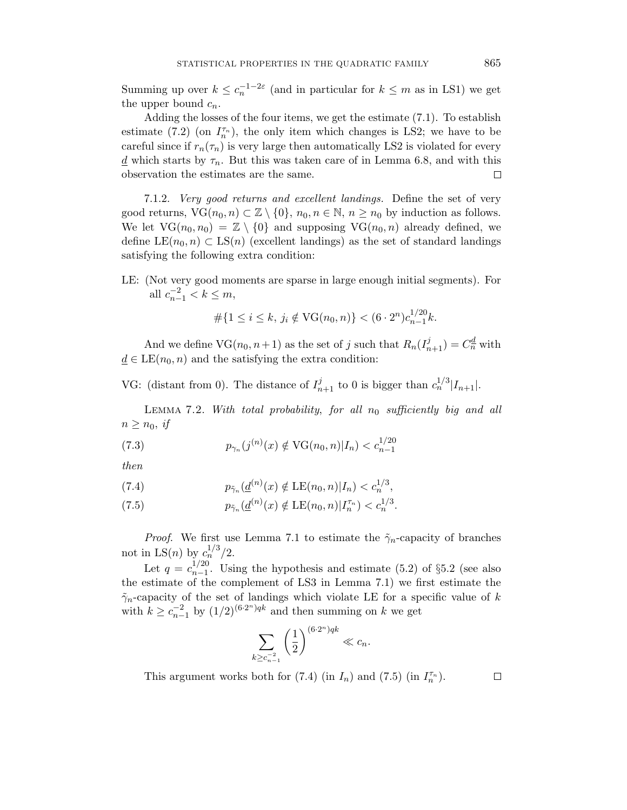Summing up over  $k \leq c_n^{-1-2\varepsilon}$  (and in particular for  $k \leq m$  as in LS1) we get the upper bound  $c_n$ .

Adding the losses of the four items, we get the estimate (7.1). To establish estimate (7.2) (on  $I_n^{\tau_n}$ ), the only item which changes is LS2; we have to be careful since if  $r_n(\tau_n)$  is very large then automatically LS2 is violated for every  $d$  which starts by  $\tau_n$ . But this was taken care of in Lemma 6.8, and with this observation the estimates are the same. □

7.1.2. Very good returns and excellent landings. Define the set of very good returns,  $\text{VG}(n_0, n) \subset \mathbb{Z} \setminus \{0\}, n_0, n \in \mathbb{N}, n \geq n_0$  by induction as follows. We let  $VG(n_0, n_0) = \mathbb{Z} \setminus \{0\}$  and supposing  $VG(n_0, n)$  already defined, we define  $LE(n_0, n) \subset LS(n)$  (excellent landings) as the set of standard landings satisfying the following extra condition:

LE: (Not very good moments are sparse in large enough initial segments). For all  $c_{n-1}^{-2} < k \leq m$ ,

$$
\#\{1 \le i \le k, \, j_i \notin \text{VG}(n_0, n)\} < (6 \cdot 2^n) c_{n-1}^{1/20} k.
$$

And we define  $\text{VG}(n_0, n+1)$  as the set of *j* such that  $R_n(I_{n+1}^j) = C_n^{\underline{d}}$  with  $d \in LE(n_0, n)$  and the satisfying the extra condition:

VG: (distant from 0). The distance of  $I_{n+1}^j$  to 0 is bigger than  $c_n^{1/3} |I_{n+1}|$ .

LEMMA 7.2. With total probability, for all  $n_0$  sufficiently big and all  $n \geq n_0$ , *if* 

(7.3) 
$$
p_{\gamma_n}(j^{(n)}(x) \notin \text{VG}(n_0, n)|I_n) < c_{n-1}^{1/20}
$$

then

(7.4) 
$$
p_{\tilde{\gamma}_n}(\underline{d}^{(n)}(x) \notin \text{LE}(n_0, n)|I_n) < c_n^{1/3},
$$

(7.5) 
$$
p_{\tilde{\gamma}_n}(\underline{d}^{(n)}(x) \notin \text{LE}(n_0, n) | I_n^{\tau_n}) < c_n^{1/3}.
$$

*Proof.* We first use Lemma 7.1 to estimate the  $\tilde{\gamma}_n$ -capacity of branches not in LS(*n*) by  $c_n^{1/3}/2$ .

Let  $q = c_{n-1}^{1/20}$ . Using the hypothesis and estimate (5.2) of §5.2 (see also the estimate of the complement of LS3 in Lemma 7.1) we first estimate the  $\tilde{\gamma}_n$ -capacity of the set of landings which violate LE for a specific value of *k* with  $k \geq c_{n-1}^{-2}$  by  $(1/2)^{(6\cdot 2^n)qk}$  and then summing on  $k$  we get

$$
\sum_{k \ge c_{n-1}^{-2}} \left(\frac{1}{2}\right)^{(6\cdot 2^n)qk} \ll c_n.
$$

This argument works both for  $(7.4)$  (in  $I_n$ ) and  $(7.5)$  (in  $I_n^{\tau_n}$ ).

 $\Box$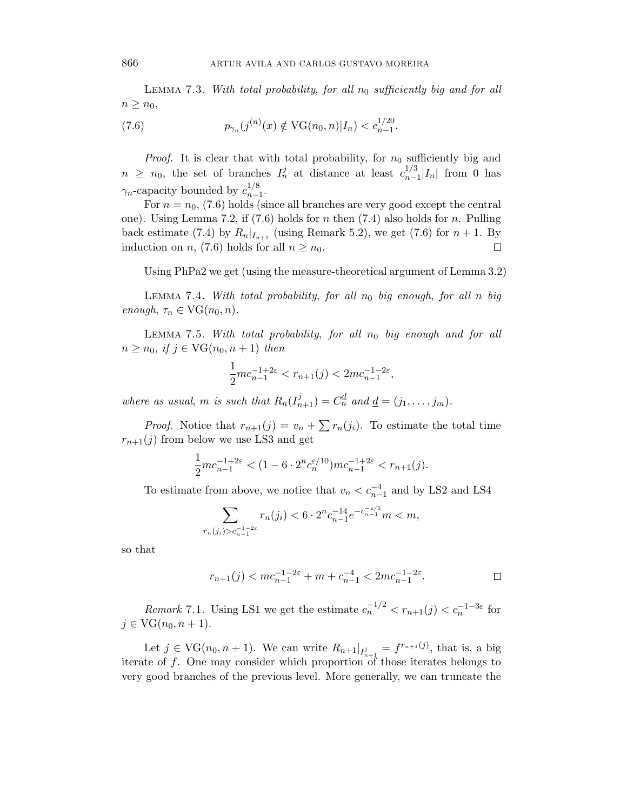LEMMA 7.3. With total probability, for all  $n_0$  sufficiently big and for all  $n \geq n_0$ ,

(7.6) 
$$
p_{\gamma_n}(j^{(n)}(x) \notin \text{VG}(n_0, n)|I_n) < c_{n-1}^{1/20}.
$$

*Proof.* It is clear that with total probability, for  $n_0$  sufficiently big and  $n \geq n_0$ , the set of branches  $I_n^j$  at distance at least  $c_{n-1}^{1/3} |I_n|$  from 0 has  $\gamma_n$ -capacity bounded by  $c_{n-1}^{1/8}$ .

For  $n = n_0$ , (7.6) holds (since all branches are very good except the central one). Using Lemma 7.2, if (7.6) holds for *n* then (7.4) also holds for *n*. Pulling back estimate (7.4) by  $R_n|_{I_{n+1}}$  (using Remark 5.2), we get (7.6) for  $n+1$ . By induction on *n*, (7.6) holds for all  $n \geq n_0$ . □

Using PhPa2 we get (using the measure-theoretical argument of Lemma 3.2)

Lemma 7.4. With total probability, for all *n*<sup>0</sup> big enough, for all *n* big  $enough, \tau_n \in \text{VG}(n_0, n).$ 

LEMMA 7.5. With total probability, for all  $n_0$  big enough and for all  $n \geq n_0$ , if  $j \in \text{VG}(n_0, n+1)$  then

$$
\frac{1}{2}mc_{n-1}^{-1+2\varepsilon} < r_{n+1}(j) < 2mc_{n-1}^{-1-2\varepsilon},
$$

where as usual, *m* is such that  $R_n(I_{n+1}^j) = C_n^d$  and  $\underline{d} = (j_1, \ldots, j_m)$ .

*Proof.* Notice that  $r_{n+1}(j) = v_n + \sum r_n(j_i)$ . To estimate the total time  $r_{n+1}(j)$  from below we use LS3 and get

$$
\frac{1}{2}mc_{n-1}^{-1+2\varepsilon} < (1-6\cdot 2^n c_n^{\varepsilon/10})mc_{n-1}^{-1+2\varepsilon} < r_{n+1}(j).
$$

To estimate from above, we notice that  $v_n < c_{n-1}^{-4}$  and by LS2 and LS4

$$
\sum_{r_n(j_i)>c_{n-1}^{-1-2\varepsilon}} r_n(j_i) < 6 \cdot 2^n c_{n-1}^{-14} e^{-c_{n-1}^{-\varepsilon/5}} m < m,
$$

so that

$$
r_{n+1}(j) < m c_{n-1}^{-1-2\varepsilon} + m + c_{n-1}^{-4} < 2m c_{n-1}^{-1-2\varepsilon}.
$$

Remark 7.1. Using LS1 we get the estimate  $c_n^{-1/2} < r_{n+1}(j) < c_n^{-1-3\varepsilon}$  for *j* ∈  $VG(n_0, n + 1)$ .

Let  $j \in \text{VG}(n_0, n+1)$ . We can write  $R_{n+1}|_{I_{n+1}^j} = f^{r_{n+1}(j)}$ , that is, a big iterate of *f*. One may consider which proportion of those iterates belongs to very good branches of the previous level. More generally, we can truncate the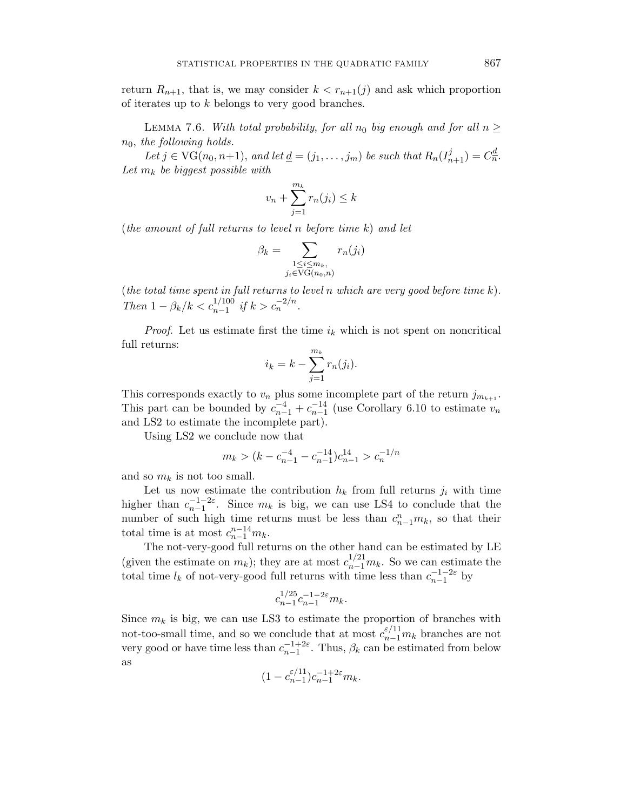return  $R_{n+1}$ , that is, we may consider  $k < r_{n+1}(j)$  and ask which proportion of iterates up to *k* belongs to very good branches.

LEMMA 7.6. With total probability, for all  $n_0$  big enough and for all  $n \geq$ *n*0, the following holds.

Let  $j \in \text{VG}(n_0, n+1)$ , and let  $\underline{d} = (j_1, \ldots, j_m)$  be such that  $R_n(I_{n+1}^j) = C_n^{\underline{d}}$ . Let  $m_k$  be biggest possible with

$$
v_n + \sum_{j=1}^{m_k} r_n(j_i) \le k
$$

(the amount of full returns to level *n* before time *k*) and let

$$
\beta_k = \sum_{\substack{1 \le i \le m_k, \\ j_i \in \text{VG}(n_0, n)}} r_n(j_i)
$$

(the total time spent in full returns to level *n* which are very good before time *k*). Then  $1 - \beta_k/k < c_{n-1}^{1/100}$  if  $k > c_n^{-2/n}$ .

*Proof.* Let us estimate first the time  $i_k$  which is not spent on noncritical full returns:

$$
i_k = k - \sum_{j=1}^{m_k} r_n(j_i).
$$

This corresponds exactly to  $v_n$  plus some incomplete part of the return  $j_{m_{k+1}}$ . This part can be bounded by  $c_{n-1}^{-4} + c_{n-1}^{-14}$  (use Corollary 6.10 to estimate  $v_n$ and LS2 to estimate the incomplete part).

Using LS2 we conclude now that

$$
m_k > (k - c_{n-1}^{-4} - c_{n-1}^{-1})c_{n-1}^{14} > c_n^{-1/n}
$$

and so  $m_k$  is not too small.

Let us now estimate the contribution  $h_k$  from full returns  $j_i$  with time higher than  $c_{n-1}^{-1-2\varepsilon}$ . Since  $m_k$  is big, we can use LS4 to conclude that the number of such high time returns must be less than  $c_{n-1}^n m_k$ , so that their total time is at most  $c_{n-1}^{n-14}m_k$ .

The not-very-good full returns on the other hand can be estimated by LE (given the estimate on  $m_k$ ); they are at most  $c_{n-1}^{1/21}m_k$ . So we can estimate the total time  $l_k$  of not-very-good full returns with time less than  $c_{n-1}^{-1-2\varepsilon}$  by

$$
c_{n-1}^{1/25}c_{n-1}^{-1-2\varepsilon}m_k.
$$

Since  $m_k$  is big, we can use LS3 to estimate the proportion of branches with not-too-small time, and so we conclude that at most  $c_{n-1}^{\varepsilon/11}m_k$  branches are not very good or have time less than  $c_{n-1}^{-1+2\varepsilon}$ . Thus,  $\beta_k$  can be estimated from below as

$$
(1 - c_{n-1}^{\varepsilon/11})c_{n-1}^{-1+2\varepsilon}m_k.
$$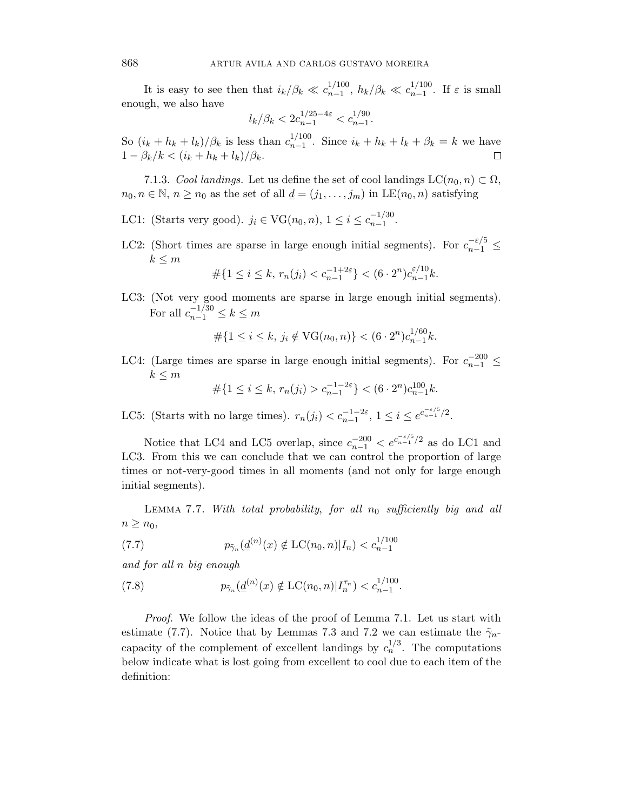It is easy to see then that  $i_k/\beta_k \ll c_{n-1}^{1/100}$ ,  $h_k/\beta_k \ll c_{n-1}^{1/100}$ . If  $\varepsilon$  is small enough, we also have

$$
l_k/\beta_k < 2c_{n-1}^{1/25-4\varepsilon} < c_{n-1}^{1/90}.
$$

So  $(i_k + h_k + l_k)/\beta_k$  is less than  $c_{n-1}^{1/100}$ . Since  $i_k + h_k + l_k + \beta_k = k$  we have  $1 - \beta_k/k < (i_k + h_k + l_k)/\beta_k$ .

7.1.3. Cool landings. Let us define the set of cool landings  $LC(n_0, n) \subset \Omega$ ,  $n_0, n \in \mathbb{N}, n \geq n_0$  as the set of all  $\underline{d} = (j_1, \ldots, j_m)$  in LE $(n_0, n)$  satisfying

- LC1: (Starts very good).  $j_i \in \text{VG}(n_0, n)$ ,  $1 \le i \le c_{n-1}^{-1/30}$ .
- LC2: (Short times are sparse in large enough initial segments). For  $c_{n-1}^{-\varepsilon/5} \leq$  $k \leq m$

$$
\#\{1 \le i \le k, \ r_n(j_i) < c_{n-1}^{-1+2\varepsilon}\} < (6 \cdot 2^n) c_{n-1}^{\varepsilon/10} k.
$$

LC3: (Not very good moments are sparse in large enough initial segments). For all  $c_{n-1}^{-1/30} \le k \le m$ 

$$
\#\{1 \le i \le k, j_i \notin \text{VG}(n_0, n)\} < (6 \cdot 2^n) c_{n-1}^{1/60} k.
$$

LC4: (Large times are sparse in large enough initial segments). For  $c_{n-1}^{-200} \leq$  $k \leq m$ 

$$
\#\{1 \le i \le k, r_n(j_i) > c_{n-1}^{-1-2\varepsilon}\} < (6 \cdot 2^n) c_{n-1}^{100} k.
$$

LC5: (Starts with no large times).  $r_n(j_i) < c_{n-1}^{-1-2\varepsilon}, 1 \le i \le e^{c_{n-1}^{-\varepsilon/5}/2}.$ 

Notice that LC4 and LC5 overlap, since  $c_{n-1}^{-200} < e^{c_{n-1}^{-\varepsilon/5}/2}$  as do LC1 and LC3. From this we can conclude that we can control the proportion of large times or not-very-good times in all moments (and not only for large enough initial segments).

LEMMA 7.7. With total probability, for all  $n_0$  sufficiently big and all  $n \geq n_0$ ,

(7.7) 
$$
p_{\tilde{\gamma}_n}(\underline{d}^{(n)}(x) \notin \mathrm{LC}(n_0, n)|I_n) < c_{n-1}^{1/100}
$$

and for all *n* big enough

(7.8) 
$$
p_{\tilde{\gamma}_n}(\underline{d}^{(n)}(x) \notin \mathrm{LC}(n_0, n) | I_n^{\tau_n}) < c_{n-1}^{1/100}.
$$

Proof. We follow the ideas of the proof of Lemma 7.1. Let us start with estimate (7.7). Notice that by Lemmas 7.3 and 7.2 we can estimate the  $\tilde{\gamma}_n$ capacity of the complement of excellent landings by  $c_n^{1/3}$ . The computations below indicate what is lost going from excellent to cool due to each item of the definition: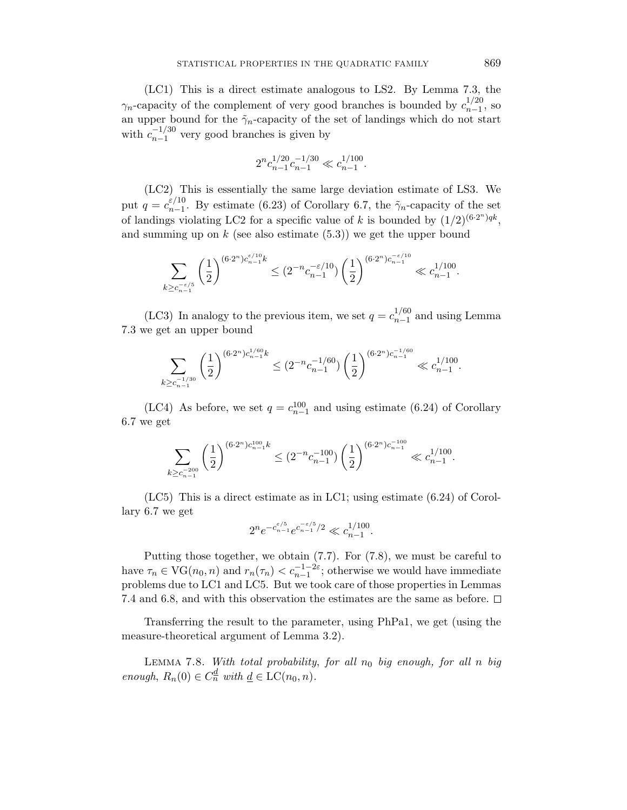(LC1) This is a direct estimate analogous to LS2. By Lemma 7.3, the  $\gamma_n$ -capacity of the complement of very good branches is bounded by  $c_{n-1}^{1/20}$ , so an upper bound for the  $\tilde{\gamma}_n$ -capacity of the set of landings which do not start with  $c_{n-1}^{-1/30}$  very good branches is given by

$$
2^n c_{n-1}^{1/20} c_{n-1}^{-1/30} \ll c_{n-1}^{1/100}.
$$

(LC2) This is essentially the same large deviation estimate of LS3. We put  $q = c_{n-1}^{\varepsilon/10}$ . By estimate (6.23) of Corollary 6.7, the  $\tilde{\gamma}_n$ -capacity of the set of landings violating LC2 for a specific value of *k* is bounded by  $(1/2)^{(6\cdot2^n)qk}$ , and summing up on  $k$  (see also estimate  $(5.3)$ ) we get the upper bound

$$
\sum_{k \geq c_{n-1}^{-\varepsilon/5}} \left( \frac{1}{2} \right)^{(6 \cdot 2^n) c_{n-1}^{\varepsilon/10} k} \leq (2^{-n} c_{n-1}^{-\varepsilon/10}) \left( \frac{1}{2} \right)^{(6 \cdot 2^n) c_{n-1}^{-\varepsilon/10}} \ll c_{n-1}^{1/100}.
$$

(LC3) In analogy to the previous item, we set  $q = c_{n-1}^{1/60}$  and using Lemma 7.3 we get an upper bound

$$
\sum_{k \geq c_{n-1}^{-1/30}} \left(\frac{1}{2}\right)^{(6 \cdot 2^n) c_{n-1}^{1/60} k} \leq (2^{-n} c_{n-1}^{-1/60}) \left(\frac{1}{2}\right)^{(6 \cdot 2^n) c_{n-1}^{-1/60}} \ll c_{n-1}^{1/100}.
$$

(LC4) As before, we set  $q = c_{n-1}^{100}$  and using estimate (6.24) of Corollary 6.7 we get

$$
\sum_{k \ge c_{n-1}^{-200}} \left(\frac{1}{2}\right)^{(6\cdot 2^n) c_{n-1}^{100} k} \le (2^{-n} c_{n-1}^{-100}) \left(\frac{1}{2}\right)^{(6\cdot 2^n) c_{n-1}^{-100}} \ll c_{n-1}^{1/100}.
$$

(LC5) This is a direct estimate as in LC1; using estimate (6.24) of Corollary 6.7 we get

$$
2^n e^{-c_{n-1}^{\varepsilon/5}} e^{c_{n-1}^{-\varepsilon/5}/2} \ll c_{n-1}^{1/100}.
$$

Putting those together, we obtain (7.7). For (7.8), we must be careful to have  $\tau_n \in \text{VG}(n_0, n)$  and  $r_n(\tau_n) < c_{n-1}^{-1-2\varepsilon}$ ; otherwise we would have immediate problems due to LC1 and LC5. But we took care of those properties in Lemmas 7.4 and 6.8, and with this observation the estimates are the same as before.  $\Box$ 

Transferring the result to the parameter, using PhPa1, we get (using the measure-theoretical argument of Lemma 3.2).

Lemma 7.8. With total probability, for all *n*<sup>0</sup> big enough, for all *n* big enough,  $R_n(0) \in C_n^d$  with  $\underline{d} \in LC(n_0, n)$ .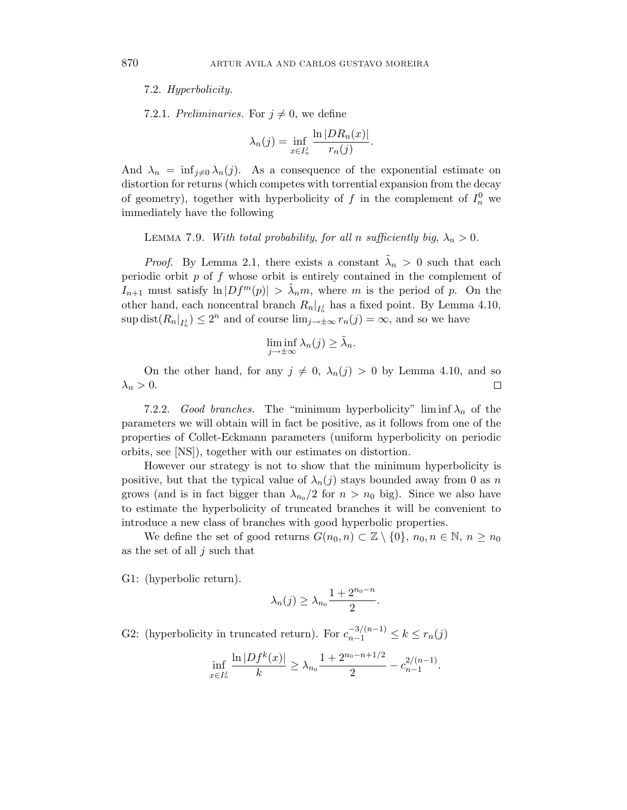7.2. Hyperbolicity.

7.2.1. Preliminaries. For  $j \neq 0$ , we define

$$
\lambda_n(j) = \inf_{x \in I_n^j} \frac{\ln |DR_n(x)|}{r_n(j)}.
$$

And  $\lambda_n = \inf_{i \neq 0} \lambda_n(j)$ . As a consequence of the exponential estimate on distortion for returns (which competes with torrential expansion from the decay of geometry), together with hyperbolicity of  $f$  in the complement of  $I_n^0$  we immediately have the following

LEMMA 7.9. With total probability, for all *n* sufficiently big,  $\lambda_n > 0$ .

*Proof.* By Lemma 2.1, there exists a constant  $\lambda_n > 0$  such that each periodic orbit *p* of *f* whose orbit is entirely contained in the complement of *I*<sub>n+1</sub> must satisfy  $\ln |Df^m(p)| > \tilde{\lambda}_n m$ , where *m* is the period of *p*. On the other hand, each noncentral branch  $R_n|_{I_n^j}$  has a fixed point. By Lemma 4.10,  $\sup \text{dist}(R_n|_{I_n^j}) \leq 2^n$  and of course  $\lim_{j \to \pm \infty} r_n(j) = \infty$ , and so we have

$$
\liminf_{j \to \pm \infty} \lambda_n(j) \ge \tilde{\lambda}_n.
$$

On the other hand, for any  $j \neq 0$ ,  $\lambda_n(j) > 0$  by Lemma 4.10, and so  $\lambda_n > 0$ .  $\Box$ 

7.2.2. Good branches. The "minimum hyperbolicity" lim inf  $\lambda_n$  of the parameters we will obtain will in fact be positive, as it follows from one of the properties of Collet-Eckmann parameters (uniform hyperbolicity on periodic orbits, see [NS]), together with our estimates on distortion.

However our strategy is not to show that the minimum hyperbolicity is positive, but that the typical value of  $\lambda_n(j)$  stays bounded away from 0 as *n* grows (and is in fact bigger than  $\lambda_{n_0}/2$  for  $n>n_0$  big). Since we also have to estimate the hyperbolicity of truncated branches it will be convenient to introduce a new class of branches with good hyperbolic properties.

We define the set of good returns  $G(n_0, n) \subset \mathbb{Z} \setminus \{0\}, n_0, n \in \mathbb{N}, n \geq n_0$ as the set of all *j* such that

G1: (hyperbolic return).

$$
\lambda_n(j) \geq \lambda_{n_0} \frac{1 + 2^{n_0 - n}}{2}.
$$

G2: (hyperbolicity in truncated return). For  $c_{n-1}^{-3/(n-1)} \leq k \leq r_n(j)$ 

$$
\inf_{x \in I_n^j} \frac{\ln |Df^k(x)|}{k} \ge \lambda_{n_0} \frac{1 + 2^{n_0 - n + 1/2}}{2} - c_{n-1}^{2/(n-1)}.
$$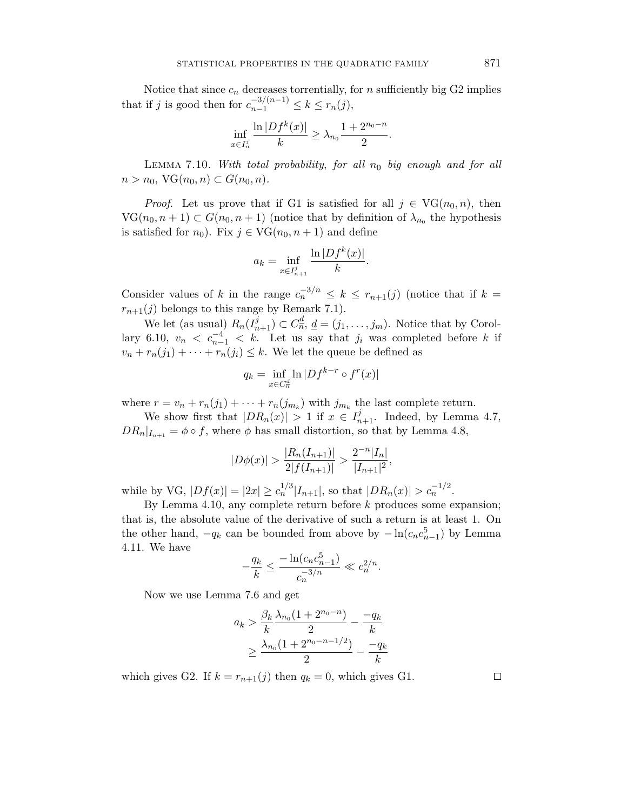Notice that since  $c_n$  decreases torrentially, for  $n$  sufficiently big G2 implies that if *j* is good then for  $c_{n-1}^{-3/(n-1)} \leq k \leq r_n(j)$ ,

$$
\inf_{x \in I_n^j} \frac{\ln |Df^k(x)|}{k} \ge \lambda_{n_0} \frac{1 + 2^{n_0 - n}}{2}.
$$

LEMMA 7.10. With total probability, for all  $n_0$  big enough and for all *n* > *n*<sub>0</sub>, VG(*n*<sub>0</sub>, *n*) ⊂ *G*(*n*<sub>0</sub>, *n*).

*Proof.* Let us prove that if G1 is satisfied for all  $j \in \text{VG}(n_0, n)$ , then  $VG(n_0, n+1) \subset G(n_0, n+1)$  (notice that by definition of  $\lambda_{n_0}$  the hypothesis is satisfied for  $n_0$ ). Fix  $j \in \text{VG}(n_0, n+1)$  and define

$$
a_k = \inf_{x \in I_{n+1}^j} \frac{\ln |Df^k(x)|}{k}.
$$

Consider values of *k* in the range  $c_n^{-3/n} \leq k \leq r_{n+1}(j)$  (notice that if  $k =$  $r_{n+1}(j)$  belongs to this range by Remark 7.1).

We let (as usual)  $R_n(I_{n+1}^j) \subset C_n^{\underline{d}}, \underline{d} = (j_1, \ldots, j_m)$ . Notice that by Corollary 6.10,  $v_n < c_{n-1}^{-4} < k$ . Let us say that  $j_i$  was completed before k if  $v_n + r_n(j_1) + \cdots + r_n(j_i) \leq k$ . We let the queue be defined as

$$
q_k = \inf_{x \in C_n^d} \ln |Df^{k-r} \circ f^r(x)|
$$

where  $r = v_n + r_n(j_1) + \cdots + r_n(j_{m_k})$  with  $j_{m_k}$  the last complete return.

We show first that  $|DR_n(x)| > 1$  if  $x \in I_{n+1}^j$ . Indeed, by Lemma 4.7,  $DR_n|_{I_{n+1}} = \phi \circ f$ , where  $\phi$  has small distortion, so that by Lemma 4.8,

$$
|D\phi(x)| > \frac{|R_n(I_{n+1})|}{2|f(I_{n+1})|} > \frac{2^{-n}|I_n|}{|I_{n+1}|^2},
$$

while by VG,  $|Df(x)| = |2x| \ge c_n^{1/3} |I_{n+1}|$ , so that  $|DR_n(x)| > c_n^{-1/2}$ .

By Lemma 4.10, any complete return before *k* produces some expansion; that is, the absolute value of the derivative of such a return is at least 1. On the other hand,  $-q_k$  can be bounded from above by  $-\ln(c_n c_{n-1}^5)$  by Lemma 4.11. We have

$$
-\frac{q_k}{k} \le \frac{-\ln(c_n c_{n-1}^5)}{c_n^{-3/n}} \ll c_n^{2/n}.
$$

Now we use Lemma 7.6 and get

$$
a_k > \frac{\beta_k}{k} \frac{\lambda_{n_0} (1 + 2^{n_0 - n})}{2} - \frac{-q_k}{k}
$$
  
 
$$
\geq \frac{\lambda_{n_0} (1 + 2^{n_0 - n - 1/2})}{2} - \frac{-q_k}{k}
$$

which gives G2. If  $k = r_{n+1}(j)$  then  $q_k = 0$ , which gives G1.

 $\Box$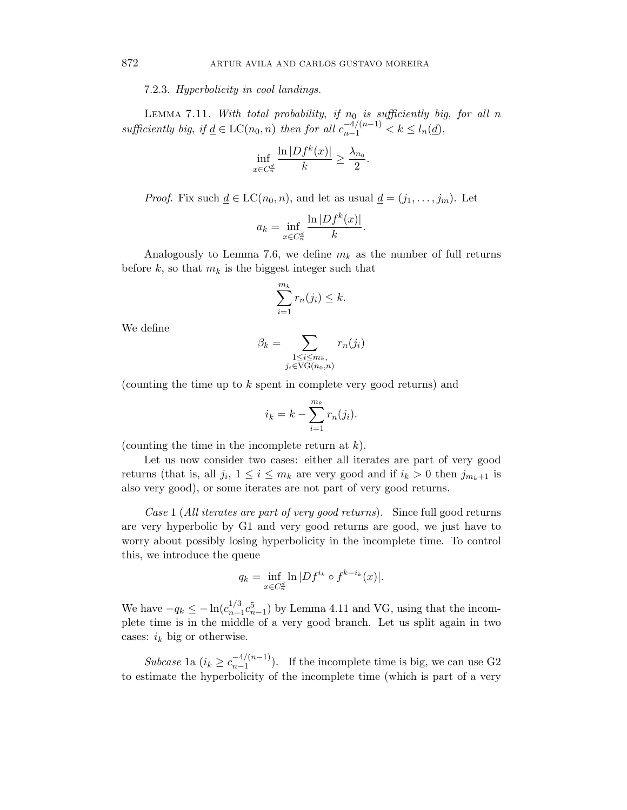7.2.3. Hyperbolicity in cool landings.

LEMMA 7.11. With total probability, if  $n_0$  is sufficiently big, for all  $n_0$ sufficiently big, if  $\underline{d} \in LC(n_0, n)$  then for all  $c_{n-1}^{-4/(n-1)} < k \leq l_n(\underline{d})$ ,

$$
\inf_{x \in C_n^d} \frac{\ln |Df^k(x)|}{k} \ge \frac{\lambda_{n_0}}{2}.
$$

*Proof.* Fix such  $\underline{d} \in LC(n_0, n)$ , and let as usual  $\underline{d} = (j_1, \ldots, j_m)$ . Let

$$
a_k = \inf_{x \in C_n^{\frac{d}{n}}} \frac{\ln |Df^k(x)|}{k}.
$$

Analogously to Lemma 7.6, we define  $m_k$  as the number of full returns before  $k$ , so that  $m_k$  is the biggest integer such that

$$
\sum_{i=1}^{m_k} r_n(j_i) \leq k.
$$

We define

$$
\beta_k = \sum_{\substack{1 \le i \le m_k, \\ j_i \in \text{VG}(n_0, n)}} r_n(j_i)
$$

(counting the time up to *k* spent in complete very good returns) and

$$
i_k = k - \sum_{i=1}^{m_k} r_n(j_i).
$$

(counting the time in the incomplete return at *k*).

Let us now consider two cases: either all iterates are part of very good returns (that is, all  $j_i$ ,  $1 \leq i \leq m_k$  are very good and if  $i_k > 0$  then  $j_{m_k+1}$  is also very good), or some iterates are not part of very good returns.

Case 1 (All iterates are part of very good returns). Since full good returns are very hyperbolic by G1 and very good returns are good, we just have to worry about possibly losing hyperbolicity in the incomplete time. To control this, we introduce the queue

$$
q_k = \inf_{x \in C_n^d} \ln |Df^{i_k} \circ f^{k-i_k}(x)|.
$$

We have  $-q_k \le -\ln(c_{n-1}^{1/3} c_{n-1}^5)$  by Lemma 4.11 and VG, using that the incomplete time is in the middle of a very good branch. Let us split again in two cases:  $i_k$  big or otherwise.

Subcase 1a  $(i_k \geq c_{n-1}^{-4/(n-1)})$ . If the incomplete time is big, we can use G2 to estimate the hyperbolicity of the incomplete time (which is part of a very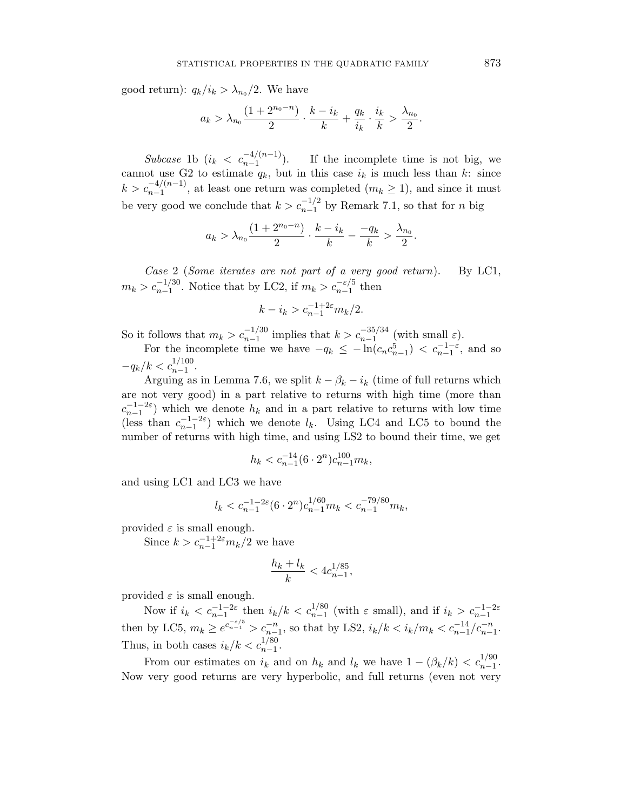good return):  $q_k/i_k > \lambda_{n_0}/2$ . We have

$$
a_k > \lambda_{n_0} \frac{(1+2^{n_0-n})}{2} \cdot \frac{k-i_k}{k} + \frac{q_k}{i_k} \cdot \frac{i_k}{k} > \frac{\lambda_{n_0}}{2}.
$$

Subcase 1b  $(i_k < c_{n-1}^{-4/(n-1)})$ . If the incomplete time is not big, we cannot use G2 to estimate  $q_k$ , but in this case  $i_k$  is much less than  $k$ : since  $k > c_{n-1}^{-4/(n-1)}$ , at least one return was completed  $(m_k \ge 1)$ , and since it must be very good we conclude that  $k > c_{n-1}^{-1/2}$  by Remark 7.1, so that for *n* big

$$
a_k > \lambda_{n_0} \frac{(1+2^{n_0-n})}{2} \cdot \frac{k-i_k}{k} - \frac{-q_k}{k} > \frac{\lambda_{n_0}}{2}.
$$

Case 2 (Some iterates are not part of a very good return). By LC1,  $m_k > c_{n-1}^{-1/30}$ . Notice that by LC2, if  $m_k > c_{n-1}^{-\varepsilon/5}$  then

$$
k - i_k > c_{n-1}^{-1+2\varepsilon} m_k/2.
$$

So it follows that  $m_k > c_{n-1}^{-1/30}$  implies that  $k > c_{n-1}^{-35/34}$  (with small  $\varepsilon$ ).

For the incomplete time we have  $-q_k \leq -\ln(c_n c_{n-1}^5) < c_{n-1}^{-1-\varepsilon}$ , and so  $-q_k/k < c_{n-1}^{1/100}$ .

Arguing as in Lemma 7.6, we split  $k - \beta_k - i_k$  (time of full returns which are not very good) in a part relative to returns with high time (more than  $c_{n-1}^{-1-2\varepsilon}$  which we denote  $h_k$  and in a part relative to returns with low time (less than  $c_{n-1}^{-1-2\varepsilon}$ ) which we denote  $l_k$ . Using LC4 and LC5 to bound the number of returns with high time, and using LS2 to bound their time, we get

$$
h_k < c_{n-1}^{-14} (6 \cdot 2^n) c_{n-1}^{100} m_k,
$$

and using LC1 and LC3 we have

$$
l_k < c_{n-1}^{-1-2\varepsilon} (6 \cdot 2^n) c_{n-1}^{1/60} m_k < c_{n-1}^{-79/80} m_k,
$$

provided  $\varepsilon$  is small enough.

Since  $k>c_{n-1}^{-1+2\varepsilon}m_k/2$  we have

$$
\frac{h_k + l_k}{k} < 4c_{n-1}^{1/85},
$$

provided  $\varepsilon$  is small enough.

Now if  $i_k < c_{n-1}^{-1-2\varepsilon}$  then  $i_k/k < c_{n-1}^{1/80}$  (with  $\varepsilon$  small), and if  $i_k > c_{n-1}^{-1-2\varepsilon}$ then by LC5,  $m_k \geq e^{c_{n-1}^{-\varepsilon/5}} > c_{n-1}^{-n}$ , so that by LS2,  $i_k/k < i_k/m_k < c_{n-1}^{-1/2}c_{n-1}^{-n}$ . Thus, in both cases  $i_k/k < c_{n-1}^{1/80}$ .

From our estimates on  $i_k$  and on  $h_k$  and  $l_k$  we have  $1 - (\beta_k/k) < c_{n-1}^{1/90}$ . Now very good returns are very hyperbolic, and full returns (even not very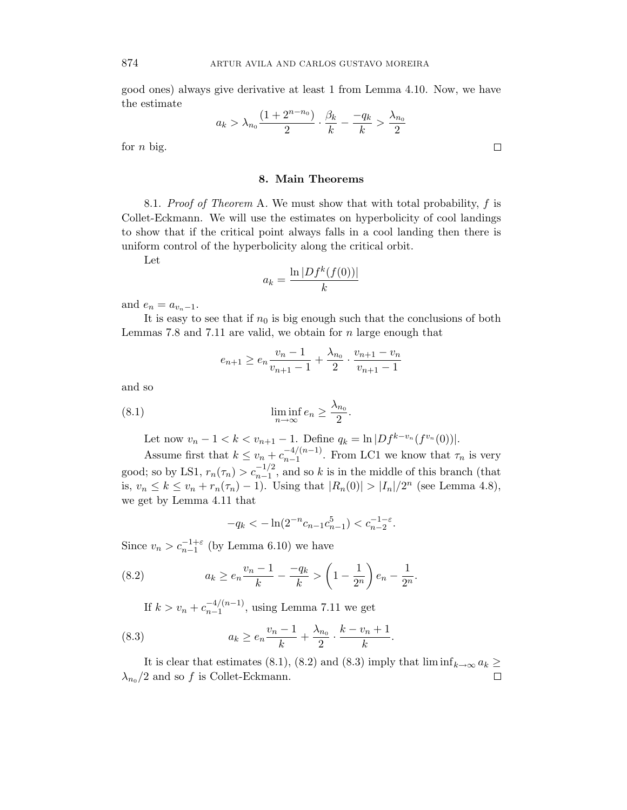good ones) always give derivative at least 1 from Lemma 4.10. Now, we have the estimate

$$
a_k > \lambda_{n_0} \frac{(1+2^{n-n_0})}{2} \cdot \frac{\beta_k}{k} - \frac{-q_k}{k} > \frac{\lambda_{n_0}}{2}
$$

for *n* big.

## **8. Main Theorems**

8.1. Proof of Theorem A. We must show that with total probability, *f* is Collet-Eckmann. We will use the estimates on hyperbolicity of cool landings to show that if the critical point always falls in a cool landing then there is uniform control of the hyperbolicity along the critical orbit.

Let

$$
a_k = \frac{\ln |Df^k(f(0))|}{k}
$$

and  $e_n = a_{v_n-1}$ .

It is easy to see that if  $n_0$  is big enough such that the conclusions of both Lemmas 7.8 and 7.11 are valid, we obtain for *n* large enough that

$$
e_{n+1} \ge e_n \frac{v_n - 1}{v_{n+1} - 1} + \frac{\lambda_{n_0}}{2} \cdot \frac{v_{n+1} - v_n}{v_{n+1} - 1}
$$

and so

(8.1) 
$$
\liminf_{n \to \infty} e_n \ge \frac{\lambda_{n_0}}{2}.
$$

Let now  $v_n - 1 < k < v_{n+1} - 1$ . Define  $q_k = \ln |Df^{k-v_n}(f^{v_n}(0))|$ .

Assume first that  $k \le v_n + c_{n-1}^{-4/(n-1)}$ . From LC1 we know that  $\tau_n$  is very good; so by LS1,  $r_n(\tau_n) > c_{n-1}^{-1/2}$ , and so *k* is in the middle of this branch (that is, *v<sub>n</sub>* ≤ *k* ≤ *v<sub>n</sub>* + *r*<sub>n</sub>( $\tau$ <sub>n</sub>) − 1). Using that  $|R_n(0)| > |I_n|/2^n$  (see Lemma 4.8), we get by Lemma 4.11 that

$$
-q_k < -\ln(2^{-n}c_{n-1}c_{n-1}^5) < c_{n-2}^{-1-\varepsilon}.
$$

Since  $v_n > c_{n-1}^{-1+\varepsilon}$  (by Lemma 6.10) we have

(8.2) 
$$
a_k \ge e_n \frac{v_n - 1}{k} - \frac{-q_k}{k} > \left(1 - \frac{1}{2^n}\right) e_n - \frac{1}{2^n}.
$$

If  $k > v_n + c_{n-1}^{-4/(n-1)}$ , using Lemma 7.11 we get

(8.3) 
$$
a_k \ge e_n \frac{v_n - 1}{k} + \frac{\lambda_{n_0}}{2} \cdot \frac{k - v_n + 1}{k}.
$$

It is clear that estimates (8.1), (8.2) and (8.3) imply that  $\liminf_{k\to\infty} a_k \geq$  $\lambda_{n_0}/2$  and so *f* is Collet-Eckmann.  $\Box$ 

 $\Box$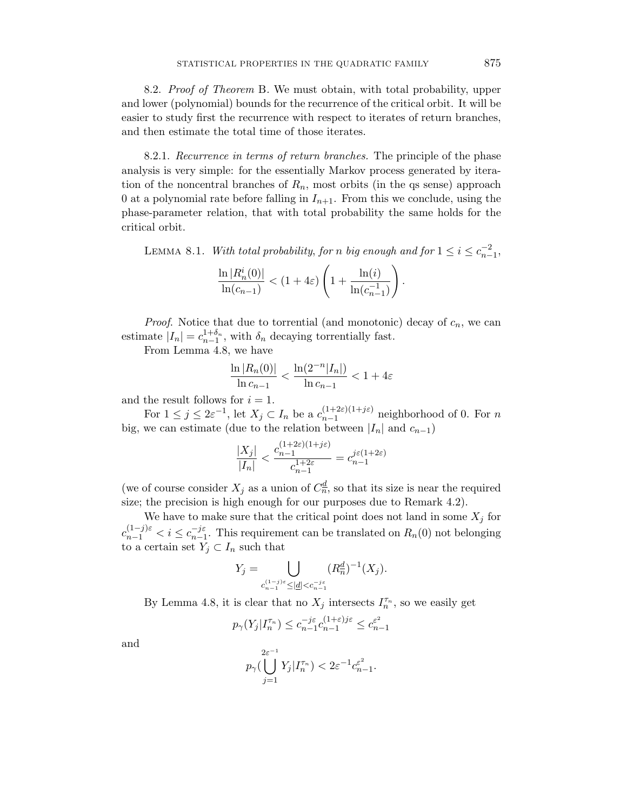8.2. Proof of Theorem B. We must obtain, with total probability, upper and lower (polynomial) bounds for the recurrence of the critical orbit. It will be easier to study first the recurrence with respect to iterates of return branches, and then estimate the total time of those iterates.

8.2.1. Recurrence in terms of return branches. The principle of the phase analysis is very simple: for the essentially Markov process generated by iteration of the noncentral branches of  $R_n$ , most orbits (in the qs sense) approach 0 at a polynomial rate before falling in  $I_{n+1}$ . From this we conclude, using the phase-parameter relation, that with total probability the same holds for the critical orbit.

LEMMA 8.1. With total probability, for *n* big enough and for  $1 \le i \le c_{n-1}^{-2}$ ,

$$
\frac{\ln |R_n^i(0)|}{\ln (c_{n-1})} < (1+4\varepsilon) \left(1+\frac{\ln (i)}{\ln (c_{n-1}^{-1})}\right).
$$

*Proof.* Notice that due to torrential (and monotonic) decay of  $c_n$ , we can estimate  $|I_n| = c_{n-1}^{1+\delta_n}$ , with  $\delta_n$  decaying torrentially fast.

From Lemma 4.8, we have

$$
\frac{\ln |R_n(0)|}{\ln c_{n-1}} < \frac{\ln(2^{-n}|I_n|)}{\ln c_{n-1}} < 1 + 4\varepsilon
$$

and the result follows for  $i = 1$ .

For  $1 \leq j \leq 2\varepsilon^{-1}$ , let  $X_j \subset I_n$  be a  $c_{n-1}^{(1+2\varepsilon)(1+j\varepsilon)}$  neighborhood of 0. For *n* big, we can estimate (due to the relation between  $|I_n|$  and  $c_{n-1}$ )

$$
\frac{|X_j|}{|I_n|} < \frac{c_{n-1}^{(1+2\varepsilon)(1+j\varepsilon)}}{c_{n-1}^{1+2\varepsilon}} = c_{n-1}^{j\varepsilon(1+2\varepsilon)}
$$

(we of course consider  $X_j$  as a union of  $C_n^d$ , so that its size is near the required size; the precision is high enough for our purposes due to Remark 4.2).

We have to make sure that the critical point does not land in some  $X_i$  for  $c_{n-1}^{(1-j)\varepsilon} < i \leq c_{n-1}^{-j\varepsilon}$ . This requirement can be translated on  $R_n(0)$  not belonging to a certain set  $Y_j \subset I_n$  such that

$$
Y_j = \bigcup_{\substack{c_{n-1}^{(1-j)\varepsilon} \leq |\underline{d}| < c_{n-1}^{-j\varepsilon}}} (R_n^{\underline{d}})^{-1}(X_j).
$$

By Lemma 4.8, it is clear that no  $X_j$  intersects  $I_n^{\tau_n}$ , so we easily get

$$
p_\gamma(Y_j|I_n^{\tau_n})\leq c_{n-1}^{-j\varepsilon}c_{n-1}^{(1+\varepsilon)j\varepsilon}\leq c_{n-1}^{\varepsilon^2}
$$

and

$$
p_{\gamma}(\bigcup_{j=1}^{2\varepsilon^{-1}} Y_j | I_n^{\tau_n}) < 2\varepsilon^{-1} c_{n-1}^{\varepsilon^2}.
$$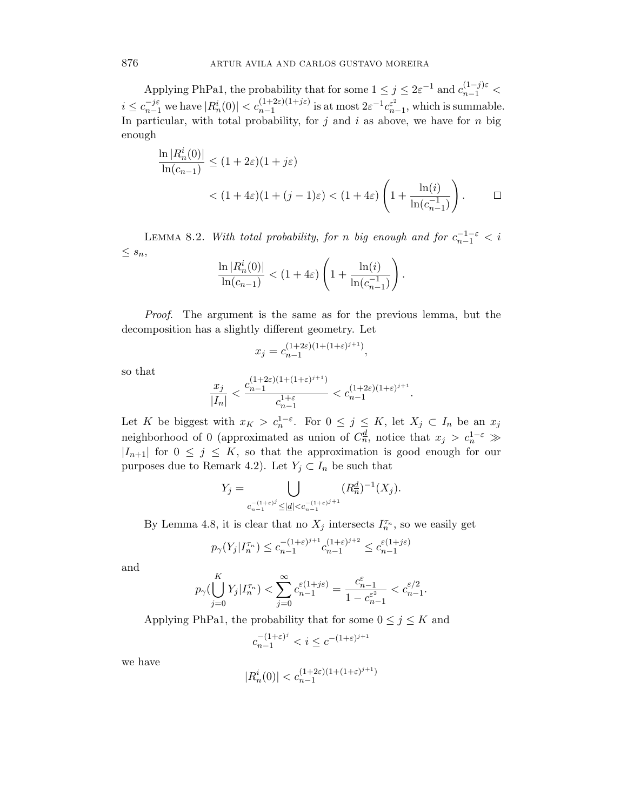Applying PhPa1, the probability that for some  $1 \leq j \leq 2\varepsilon^{-1}$  and  $c_{n-1}^{(1-j)\varepsilon}$  $i \leq c_{n-1}^{-j\varepsilon}$  we have  $|R_n^i(0)| < c_{n-1}^{(1+2\varepsilon)(1+j\varepsilon)}$  is at most  $2\varepsilon^{-1}c_{n-1}^{\varepsilon^2}$ , which is summable. In particular, with total probability, for  $j$  and  $i$  as above, we have for  $n$  big enough

$$
\frac{\ln |R_n^i(0)|}{\ln(c_{n-1})} \le (1+2\varepsilon)(1+j\varepsilon)
$$
  
< 
$$
< (1+4\varepsilon)(1+(j-1)\varepsilon) < (1+4\varepsilon)\left(1+\frac{\ln(i)}{\ln(c_{n-1}^{-1})}\right).
$$

LEMMA 8.2. With total probability, for *n* big enough and for  $c_{n-1}^{-1-\varepsilon} < i$  $\leq$   $s_n$ ,

$$
\frac{\ln |R_n^i(0)|}{\ln (c_{n-1})} < (1+4\varepsilon) \left(1+\frac{\ln(i)}{\ln(c_{n-1}^{-1})}\right).
$$

Proof. The argument is the same as for the previous lemma, but the decomposition has a slightly different geometry. Let

$$
x_j=c_{n-1}^{(1+2\varepsilon)(1+(1+\varepsilon)^{j+1})},
$$

so that

$$
\frac{x_j}{|I_n|} < \frac{c_{n-1}^{(1+2\varepsilon)(1+(1+\varepsilon)^{j+1})}}{c_{n-1}^{1+\varepsilon}} < c_{n-1}^{(1+2\varepsilon)(1+\varepsilon)^{j+1}}.
$$

Let *K* be biggest with  $x_K > c_n^{1-\varepsilon}$ . For  $0 \le j \le K$ , let  $X_j \subset I_n$  be an  $x_j$ neighborhood of 0 (approximated as union of  $C_n^{\underline{d}}$ , notice that  $x_j > c_n^{1-\varepsilon} \gg$  $|I_{n+1}|$  for  $0 \leq j \leq K$ , so that the approximation is good enough for our purposes due to Remark 4.2). Let  $Y_j \subset I_n$  be such that

$$
Y_j = \bigcup_{\substack{c_{n-1}^{-(1+\varepsilon)^j} \leq |\underline{d}| < c_{n-1}^{-(1+\varepsilon)^{j+1}}}} (R_n^{\underline{d}})^{-1}(X_j).
$$

By Lemma 4.8, it is clear that no  $X_j$  intersects  $I_n^{\tau_n}$ , so we easily get

$$
p_{\gamma}(Y_j | I_n^{\tau_n}) \le c_{n-1}^{-(1+\varepsilon)^{j+1}} c_{n-1}^{(1+\varepsilon)^{j+2}} \le c_{n-1}^{\varepsilon(1+j\varepsilon)}
$$

and

$$
p_{\gamma}(\bigcup_{j=0}^K Y_j | I_n^{\tau_n}) < \sum_{j=0}^{\infty} c_{n-1}^{\varepsilon(1+j\varepsilon)} = \frac{c_{n-1}^{\varepsilon}}{1 - c_{n-1}^{\varepsilon^2}} < c_{n-1}^{\varepsilon/2}.
$$

Applying PhPa1, the probability that for some  $0 \leq j \leq K$  and

$$
c_{n-1}^{-(1+\varepsilon)^j} < i \leq c^{-(1+\varepsilon)^{j+1}}
$$

we have

$$
|R_n^i(0)| < c_{n-1}^{(1+2\varepsilon)(1+(1+\varepsilon)^{j+1})}
$$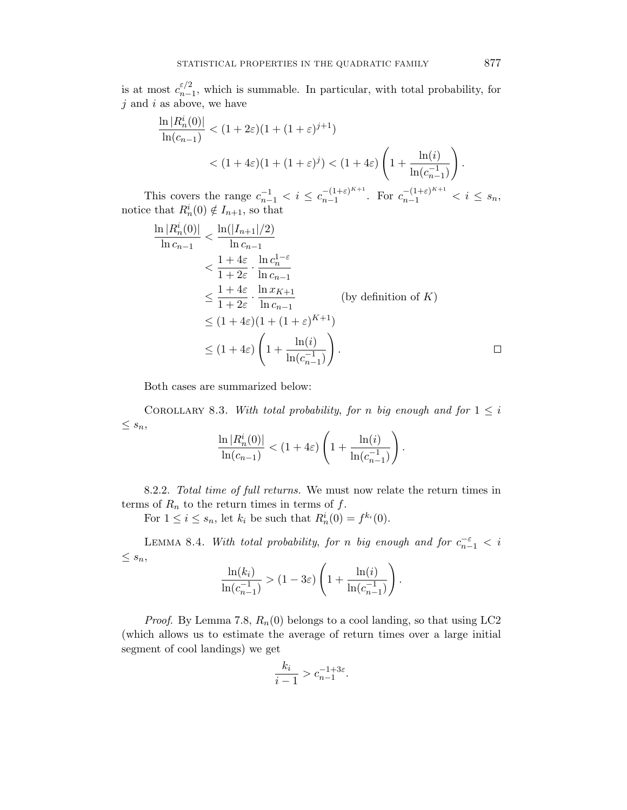is at most  $c_{n-1}^{\varepsilon/2}$ , which is summable. In particular, with total probability, for *j* and *i* as above, we have

$$
\frac{\ln |R_n^i(0)|}{\ln(c_{n-1})} < (1+2\varepsilon)(1+(1+\varepsilon)^{j+1})
$$
\n
$$
< (1+4\varepsilon)(1+(1+\varepsilon)^j) < (1+4\varepsilon)\left(1+\frac{\ln(i)}{\ln(c_{n-1}^{-1})}\right).
$$

This covers the range  $c_{n-1}^{-1} < i \leq c_{n-1}^{-(1+\varepsilon)^{K+1}}$ . For  $c_{n-1}^{-(1+\varepsilon)^{K+1}} < i \leq s_n$ , notice that  $R_n^i(0) \notin I_{n+1}$ , so that

$$
\frac{\ln |R_n^i(0)|}{\ln c_{n-1}} < \frac{\ln(|I_{n+1}|/2)}{\ln c_{n-1}} \n< \frac{1+4\varepsilon}{1+2\varepsilon} \cdot \frac{\ln c_n^{1-\varepsilon}}{\ln c_{n-1}} \n< \frac{1+4\varepsilon}{1+2\varepsilon} \cdot \frac{\ln x_{K+1}}{\ln c_{n-1}} \qquad \text{(by definition of } K) \n< (1+4\varepsilon)(1+(1+\varepsilon)^{K+1}) \n< (1+4\varepsilon) \left(1+\frac{\ln(i)}{\ln(c_{n-1}^{-1})}\right).
$$

Both cases are summarized below:

COROLLARY 8.3. With total probability, for *n* big enough and for  $1 \leq i$  $\leq s_n,$  $\overline{a}$ 

$$
\frac{\ln |R_n^i(0)|}{\ln (c_{n-1})} < (1+4\varepsilon) \left(1+\frac{\ln (i)}{\ln (c_{n-1}^{-1})}\right).
$$

8.2.2. Total time of full returns. We must now relate the return times in terms of  $R_n$  to the return times in terms of  $f$ .

For  $1 \leq i \leq s_n$ , let  $k_i$  be such that  $R_n^i(0) = f^{k_i}(0)$ .

LEMMA 8.4. With total probability, for *n* big enough and for  $c_{n-1}^{-\varepsilon} < i$  $\leq s_n,$ 

$$
\frac{\ln(k_i)}{\ln(c_{n-1}^{-1})} > (1 - 3\varepsilon) \left( 1 + \frac{\ln(i)}{\ln(c_{n-1}^{-1})} \right).
$$

*Proof.* By Lemma 7.8,  $R_n(0)$  belongs to a cool landing, so that using LC2 (which allows us to estimate the average of return times over a large initial segment of cool landings) we get

$$
\frac{k_i}{i-1} > c_{n-1}^{-1+3\varepsilon}.
$$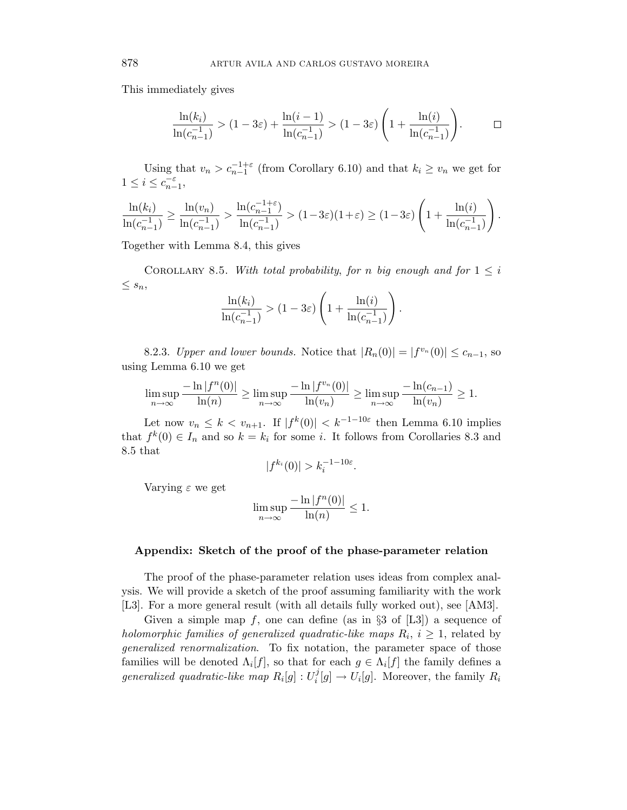This immediately gives

$$
\frac{\ln(k_i)}{\ln(c_{n-1}^{-1})} > (1 - 3\varepsilon) + \frac{\ln(i-1)}{\ln(c_{n-1}^{-1})} > (1 - 3\varepsilon) \left(1 + \frac{\ln(i)}{\ln(c_{n-1}^{-1})}\right). \qquad \Box
$$

Using that  $v_n > c_{n-1}^{-1+\varepsilon}$  (from Corollary 6.10) and that  $k_i \ge v_n$  we get for  $1 \leq i \leq c_{n-1}^{-\varepsilon},$ 

$$
\frac{\ln(k_i)}{\ln(c_{n-1}^{-1})} \ge \frac{\ln(v_n)}{\ln(c_{n-1}^{-1})} > \frac{\ln(c_{n-1}^{-1+\varepsilon})}{\ln(c_{n-1}^{-1})} > (1-3\varepsilon)(1+\varepsilon) \ge (1-3\varepsilon) \left(1+\frac{\ln(i)}{\ln(c_{n-1}^{-1})}\right).
$$

Together with Lemma 8.4, this gives

COROLLARY 8.5. With total probability, for *n* big enough and for  $1 \leq i$  $\leq s_n,$ 

$$
\frac{\ln(k_i)}{\ln(c_{n-1}^{-1})} > (1 - 3\varepsilon) \left( 1 + \frac{\ln(i)}{\ln(c_{n-1}^{-1})} \right).
$$

8.2.3. Upper and lower bounds. Notice that  $|R_n(0)| = |f^{v_n}(0)| \leq c_{n-1}$ , so using Lemma 6.10 we get

$$
\limsup_{n \to \infty} \frac{-\ln |f^n(0)|}{\ln(n)} \ge \limsup_{n \to \infty} \frac{-\ln |f^{v_n}(0)|}{\ln(v_n)} \ge \limsup_{n \to \infty} \frac{-\ln(c_{n-1})}{\ln(v_n)} \ge 1.
$$

Let now  $v_n \leq k < v_{n+1}$ . If  $|f^k(0)| < k^{-1-10\varepsilon}$  then Lemma 6.10 implies that  $f^k(0) \in I_n$  and so  $k = k_i$  for some *i*. It follows from Corollaries 8.3 and 8.5 that

$$
|f^{k_i}(0)| > k_i^{-1-10\varepsilon}.
$$

Varying *ε* we get

$$
\limsup_{n \to \infty} \frac{-\ln |f^n(0)|}{\ln(n)} \le 1.
$$

# **Appendix: Sketch of the proof of the phase-parameter relation**

The proof of the phase-parameter relation uses ideas from complex analysis. We will provide a sketch of the proof assuming familiarity with the work [L3]. For a more general result (with all details fully worked out), see [AM3].

Given a simple map  $f$ , one can define (as in  $\S 3$  of [L3]) a sequence of holomorphic families of generalized quadratic-like maps  $R_i$ ,  $i \geq 1$ , related by generalized renormalization. To fix notation, the parameter space of those families will be denoted  $\Lambda_i[f]$ , so that for each  $g \in \Lambda_i[f]$  the family defines a generalized quadratic-like map  $R_i[g] : U_i^j[g] \to U_i[g]$ . Moreover, the family  $R_i$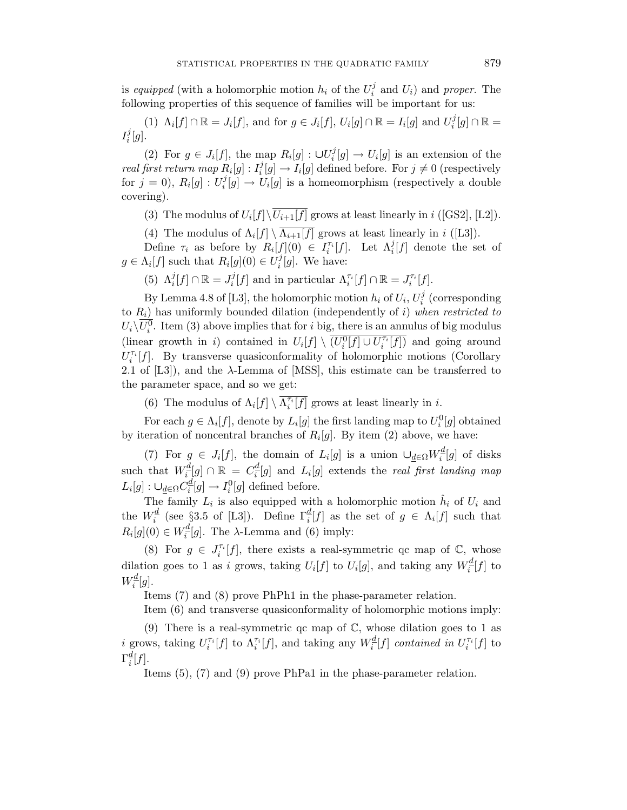is *equipped* (with a holomorphic motion  $h_i$  of the  $U_i^j$  and  $U_i$ ) and proper. The following properties of this sequence of families will be important for us:

(1)  $\Lambda_i[f] \cap \mathbb{R} = J_i[f]$ , and for  $g \in J_i[f]$ ,  $U_i[g] \cap \mathbb{R} = I_i[g]$  and  $U_i^j[g] \cap \mathbb{R} =$  $I_i^j[g]$ .

(2) For  $g \in J_i[f]$ , the map  $R_i[g] : \bigcup U_i^j[g] \to U_i[g]$  is an extension of the real first return map  $R_i[g] : I_i^j[g] \to I_i[g]$  defined before. For  $j \neq 0$  (respectively for  $j = 0$ ,  $R_i[g] : U_i^j[g] \to U_i[g]$  is a homeomorphism (respectively a double covering).

(3) The modulus of  $U_i[f] \setminus \overline{U_{i+1}[f]}$  grows at least linearly in *i* ([GS2], [L2]).

(4) The modulus of  $\Lambda_i[f] \setminus \overline{\Lambda_{i+1}[f]}$  grows at least linearly in *i* ([L3]).

Define  $\tau_i$  as before by  $R_i[f](0) \in I_i^{\tau_i}[f]$ . Let  $\Lambda_i^j[f]$  denote the set of  $g \in \Lambda_i[f]$  such that  $R_i[g](0) \in U_i^j[g]$ . We have:

(5)  $\Lambda_i^j[f] \cap \mathbb{R} = J_i^j[f]$  and in particular  $\Lambda_i^{\tau_i}[f] \cap \mathbb{R} = J_i^{\tau_i}[f]$ .

By Lemma 4.8 of [L3], the holomorphic motion  $h_i$  of  $U_i$ ,  $U_i^j$  (corresponding to *R*i) has uniformly bounded dilation (independently of *i*) when restricted to  $U_i\backslash U_i^0$ . Item (3) above implies that for *i* big, there is an annulus of big modulus (linear growth in *i*) contained in  $U_i[f] \setminus \overline{(U_i^0[f] \cup U_i^{\tau_i}[f])}$  and going around  $U_i^{\tau_i}[f]$ . By transverse quasiconformality of holomorphic motions (Corollary 2.1 of [L3]), and the *λ*-Lemma of [MSS], this estimate can be transferred to the parameter space, and so we get:

(6) The modulus of  $\Lambda_i[f] \setminus \overline{\Lambda_i^{r_i}[f]}$  grows at least linearly in *i*.

For each  $g \in \Lambda_i[f]$ , denote by  $L_i[g]$  the first landing map to  $U_i^0[g]$  obtained by iteration of noncentral branches of  $R_i[g]$ . By item (2) above, we have:

(7) For  $g \in J_i[f]$ , the domain of  $L_i[g]$  is a union  $\cup_{\underline{d} \in \Omega} W_i^{\underline{d}}[g]$  of disks such that  $W_i^{\underline{d}}[g] \cap \mathbb{R} = C_i^{\underline{d}}[g]$  and  $L_i[g]$  extends the *real first landing map*  $L_i[g] : \bigcup_{\underline{d} \in \Omega} C_i^{\underline{d}}[g] \to I_i^0[g]$  defined before.

The family  $L_i$  is also equipped with a holomorphic motion  $\hat{h}_i$  of  $U_i$  and the  $W_i^{\underline{d}}$  (see §3.5 of [L3]). Define  $\Gamma_i^{\underline{d}}[f]$  as the set of  $g \in \Lambda_i[f]$  such that  $R_i[g](0) \in W_i^{\underline{d}}[g]$ . The  $\lambda$ -Lemma and (6) imply:

(8) For  $g \in J_i^{\tau_i}[f]$ , there exists a real-symmetric qc map of  $\mathbb{C}$ , whose dilation goes to 1 as *i* grows, taking  $U_i[f]$  to  $U_i[g]$ , and taking any  $W_i^{\underline{d}}[f]$  to  $W_i^{\underline{d}}[g]$ .

Items (7) and (8) prove PhPh1 in the phase-parameter relation.

Item (6) and transverse quasiconformality of holomorphic motions imply:

(9) There is a real-symmetric qc map of  $\mathbb{C}$ , whose dilation goes to 1 as *i* grows, taking  $U_i^{\tau_i}[f]$  to  $\Lambda_i^{\tau_i}[f]$ , and taking any  $W_i^{\underline{d}}[f]$  contained in  $U_i^{\tau_i}[f]$  to  $\Gamma_i^{\underline{d}}[f].$ 

Items (5), (7) and (9) prove PhPa1 in the phase-parameter relation.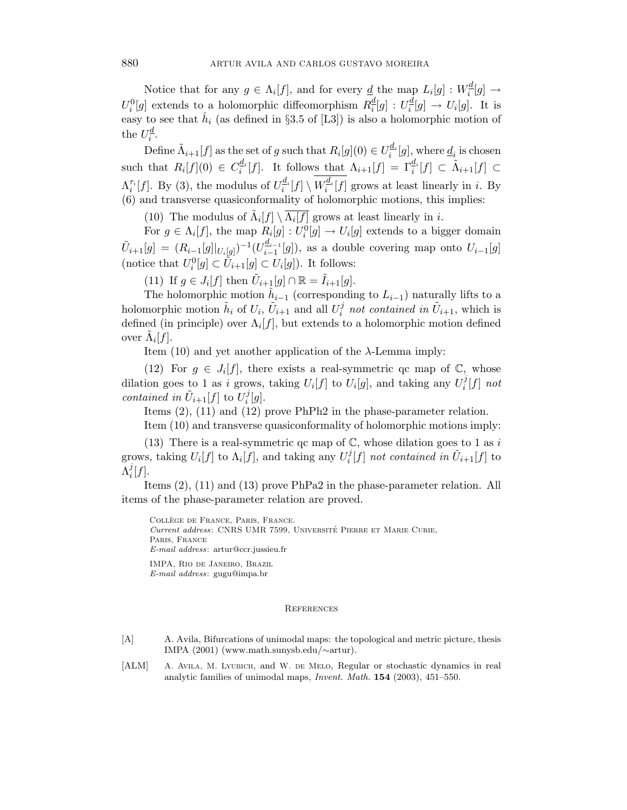Notice that for any  $g \in \Lambda_i[f]$ , and for every <u>*d*</u> the map  $L_i[g] : W_i^{\underline{d}}[g] \to$  $U_i^0[g]$  extends to a holomorphic diffeomorphism  $R_i^d[g] : U_i^d[g] \to U_i[g]$ . It is easy to see that  $\hat{h}_i$  (as defined in §3.5 of [L3]) is also a holomorphic motion of the  $U_i^{\underline{d}}$ .

Define  $\tilde{\Lambda}_{i+1}[f]$  as the set of *g* such that  $R_i[g](0) \in U_i^{d_i}[g]$ , where  $\underline{d}_i$  is chosen such that  $R_i[f](0) \in C_i^{\underline{d}_i}[f]$ . It follows that  $\Lambda_{i+1}[f] = \Gamma_i^{\underline{d}_i}[f] \subset \tilde{\Lambda}_{i+1}[f] \subset$  $\Lambda_i^{\tau_i}[f]$ . By (3), the modulus of  $U_i^{d_i}[f] \setminus W_i^{d_i}[f]$  grows at least linearly in *i*. By (6) and transverse quasiconformality of holomorphic motions, this implies:

(10) The modulus of  $\tilde{\Lambda}_i[f] \setminus \Lambda_i[f]$  grows at least linearly in *i*.

For  $g \in \Lambda_i[f]$ , the map  $R_i[g] : U_i^0[g] \to U_i[g]$  extends to a bigger domain  $\tilde{U}_{i+1}[g] = (R_{i-1}[g]|_{U_i[g]})^{-1}(U_{i-1}^{d_{i-1}}[g])$ , as a double covering map onto  $U_{i-1}[g]$ (notice that  $U_i^0[g] \subset \tilde{U}_{i+1}[g] \subset U_i[g]$ ). It follows:

(11) If  $g \in J_i[f]$  then  $U_{i+1}[g] \cap \mathbb{R} = I_{i+1}[g]$ .

The holomorphic motion  $\hat{h}_{i-1}$  (corresponding to  $L_{i-1}$ ) naturally lifts to a holomorphic motion  $\tilde{h}_i$  of  $U_i$ ,  $\tilde{U}_{i+1}$  and all  $U_i^j$  not contained in  $\tilde{U}_{i+1}$ , which is defined (in principle) over  $\Lambda_i[f]$ , but extends to a holomorphic motion defined over  $\Lambda_i[f]$ .

Item (10) and yet another application of the *λ*-Lemma imply:

(12) For  $g \in J_i[f]$ , there exists a real-symmetric qc map of  $\mathbb{C}$ , whose dilation goes to 1 as *i* grows, taking  $U_i[f]$  to  $U_i[g]$ , and taking any  $U_i^j[f]$  not contained in  $\tilde{U}_{i+1}[f]$  to  $U_i^j[g]$ .

Items (2), (11) and (12) prove PhPh2 in the phase-parameter relation.

Item (10) and transverse quasiconformality of holomorphic motions imply:

(13) There is a real-symmetric qc map of C, whose dilation goes to 1 as *i* grows, taking  $U_i[f]$  to  $\Lambda_i[f]$ , and taking any  $U_i^j[f]$  not contained in  $\tilde{U}_{i+1}[f]$  to  $\Lambda_i^j[f]$ .

Items (2), (11) and (13) prove PhPa2 in the phase-parameter relation. All items of the phase-parameter relation are proved.

COLLÈGE DE FRANCE, PARIS, FRANCE. *Current address*: CNRS UMR 7599, Universite Pierre et Marie Curie, ´ Paris, France *E-mail address*: artur@ccr.jussieu.fr

IMPA, Rio de Janeiro, Brazil *E-mail address*: gugu@impa.br

#### **REFERENCES**

- [A] A. Avila, Bifurcations of unimodal maps: the topological and metric picture, thesis IMPA (2001) (www.math.sunysb.edu/∼artur).
- [ALM] A. AVILA, M. LYUBICH, and W. DE MELO, Regular or stochastic dynamics in real analytic families of unimodal maps, *Invent. Math.* **154** (2003), 451–550.